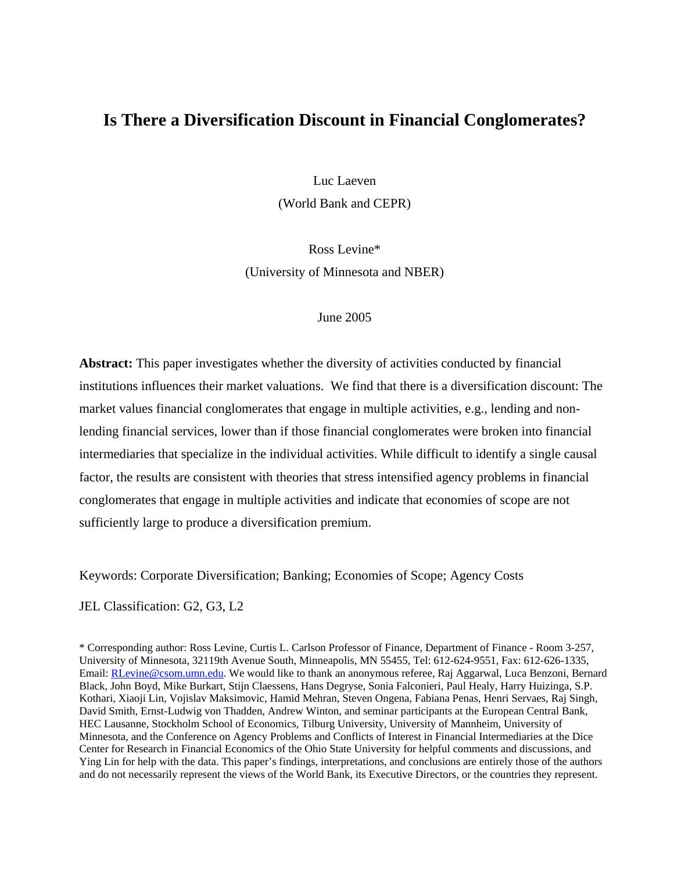### **Is There a Diversification Discount in Financial Conglomerates?**

Luc Laeven

(World Bank and CEPR)

Ross Levine\* (University of Minnesota and NBER)

#### June 2005

**Abstract:** This paper investigates whether the diversity of activities conducted by financial institutions influences their market valuations.We find that there is a diversification discount: The market values financial conglomerates that engage in multiple activities, e.g., lending and nonlending financial services, lower than if those financial conglomerates were broken into financial intermediaries that specialize in the individual activities. While difficult to identify a single causal factor, the results are consistent with theories that stress intensified agency problems in financial conglomerates that engage in multiple activities and indicate that economies of scope are not sufficiently large to produce a diversification premium.

Keywords: Corporate Diversification; Banking; Economies of Scope; Agency Costs

JEL Classification: G2, G3, L2

\* Corresponding author: Ross Levine, Curtis L. Carlson Professor of Finance, Department of Finance - Room 3-257, University of Minnesota, 32119th Avenue South, Minneapolis, MN 55455, Tel: 612-624-9551, Fax: 612-626-1335, Email: [RLevine@csom.umn.edu](mailto:RLevine@csom.umn.edu). We would like to thank an anonymous referee, Raj Aggarwal, Luca Benzoni, Bernard Black, John Boyd, Mike Burkart, Stijn Claessens, Hans Degryse, Sonia Falconieri, Paul Healy, Harry Huizinga, S.P. Kothari, Xiaoji Lin, Vojislav Maksimovic, Hamid Mehran, Steven Ongena, Fabiana Penas, Henri Servaes, Raj Singh, David Smith, Ernst-Ludwig von Thadden, Andrew Winton, and seminar participants at the European Central Bank, HEC Lausanne, Stockholm School of Economics, Tilburg University, University of Mannheim, University of Minnesota, and the Conference on Agency Problems and Conflicts of Interest in Financial Intermediaries at the Dice Center for Research in Financial Economics of the Ohio State University for helpful comments and discussions, and Ying Lin for help with the data. This paper's findings, interpretations, and conclusions are entirely those of the authors and do not necessarily represent the views of the World Bank, its Executive Directors, or the countries they represent.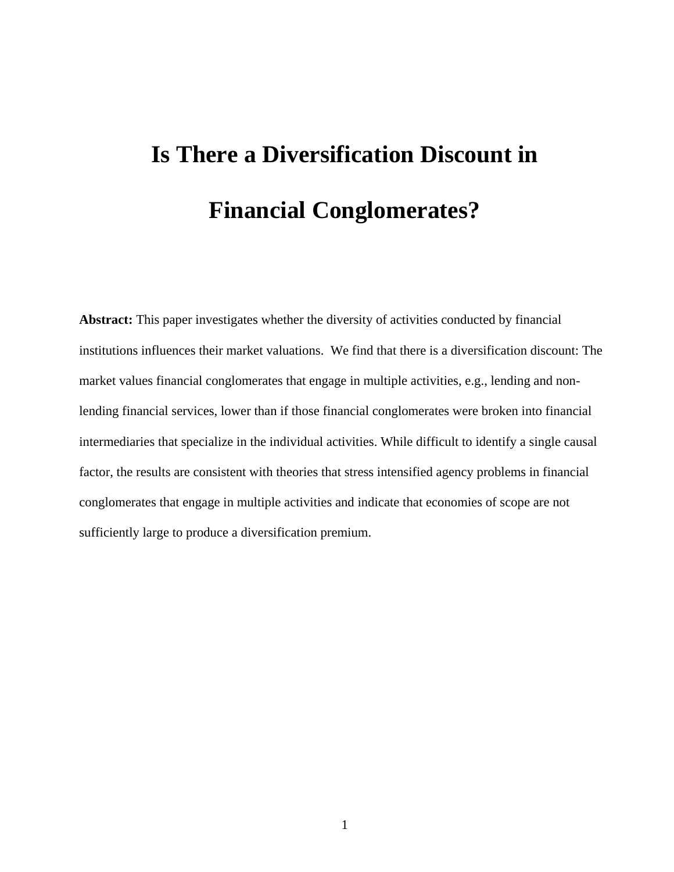# **Is There a Diversification Discount in Financial Conglomerates?**

**Abstract:** This paper investigates whether the diversity of activities conducted by financial institutions influences their market valuations. We find that there is a diversification discount: The market values financial conglomerates that engage in multiple activities, e.g., lending and nonlending financial services, lower than if those financial conglomerates were broken into financial intermediaries that specialize in the individual activities. While difficult to identify a single causal factor, the results are consistent with theories that stress intensified agency problems in financial conglomerates that engage in multiple activities and indicate that economies of scope are not sufficiently large to produce a diversification premium.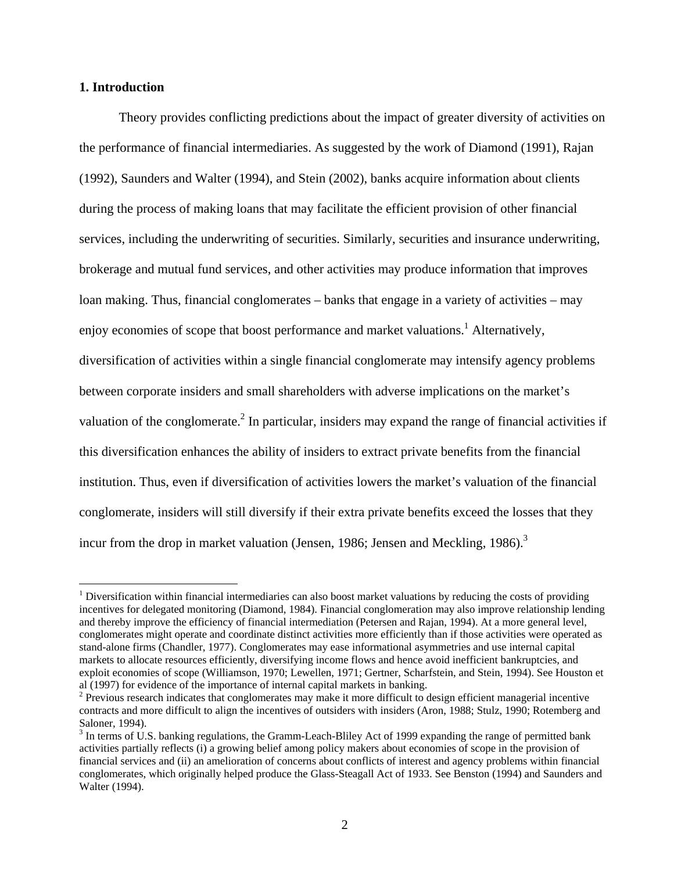#### **1. Introduction**

 $\overline{a}$ 

Theory provides conflicting predictions about the impact of greater diversity of activities on the performance of financial intermediaries. As suggested by the work of Diamond (1991), Rajan (1992), Saunders and Walter (1994), and Stein (2002), banks acquire information about clients during the process of making loans that may facilitate the efficient provision of other financial services, including the underwriting of securities. Similarly, securities and insurance underwriting, brokerage and mutual fund services, and other activities may produce information that improves loan making. Thus, financial conglomerates – banks that engage in a variety of activities – may enjoy economies of scope that boost performance and market valuations.<sup>[1](#page-2-0)</sup> Alternatively, diversification of activities within a single financial conglomerate may intensify agency problems between corporate insiders and small shareholders with adverse implications on the market's valuation of the conglomerate.<sup>[2](#page-2-1)</sup> In particular, insiders may expand the range of financial activities if this diversification enhances the ability of insiders to extract private benefits from the financial institution. Thus, even if diversification of activities lowers the market's valuation of the financial conglomerate, insiders will still diversify if their extra private benefits exceed the losses that they incur from the drop in market valuation (Jensen, 1986; Jensen and Meckling, 1986).<sup>[3](#page-2-2)</sup>

<span id="page-2-0"></span><sup>&</sup>lt;sup>1</sup> Diversification within financial intermediaries can also boost market valuations by reducing the costs of providing incentives for delegated monitoring (Diamond, 1984). Financial conglomeration may also improve relationship lending and thereby improve the efficiency of financial intermediation (Petersen and Rajan, 1994). At a more general level, conglomerates might operate and coordinate distinct activities more efficiently than if those activities were operated as stand-alone firms (Chandler, 1977). Conglomerates may ease informational asymmetries and use internal capital markets to allocate resources efficiently, diversifying income flows and hence avoid inefficient bankruptcies, and exploit economies of scope (Williamson, 1970; Lewellen, 1971; Gertner, Scharfstein, and Stein, 1994). See Houston et al (1997) for evidence of the importance of internal capital markets in banking. <sup>2</sup>

<span id="page-2-1"></span><sup>&</sup>lt;sup>2</sup> Previous research indicates that conglomerates may make it more difficult to design efficient managerial incentive contracts and more difficult to align the incentives of outsiders with insiders (Aron, 1988; Stulz, 1990; Rotemberg and Saloner, 1994).

<span id="page-2-2"></span><sup>&</sup>lt;sup>3</sup> In terms of U.S. banking regulations, the Gramm-Leach-Bliley Act of 1999 expanding the range of permitted bank activities partially reflects (i) a growing belief among policy makers about economies of scope in the provision of financial services and (ii) an amelioration of concerns about conflicts of interest and agency problems within financial conglomerates, which originally helped produce the Glass-Steagall Act of 1933. See Benston (1994) and Saunders and Walter (1994).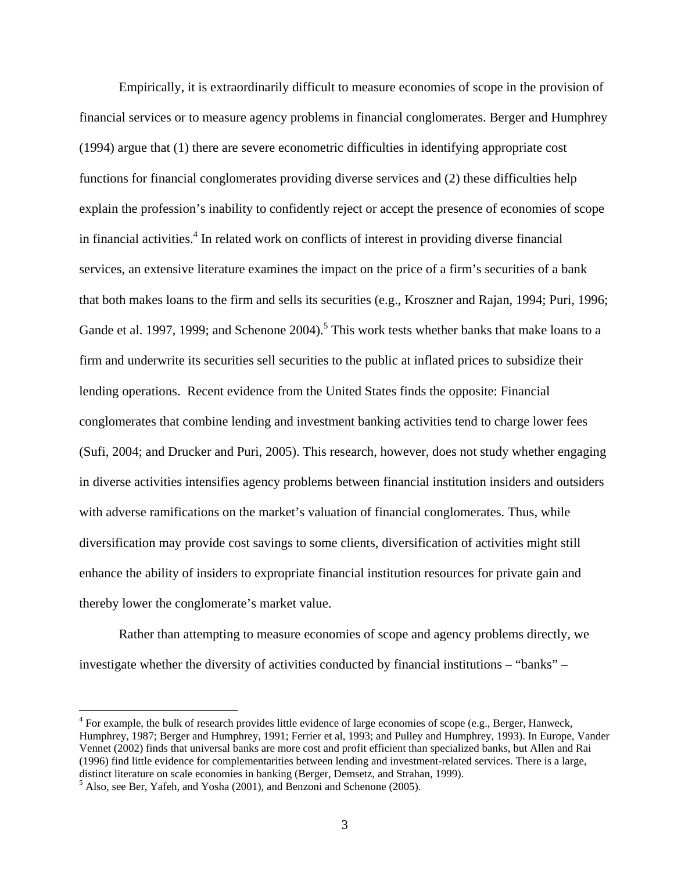Empirically, it is extraordinarily difficult to measure economies of scope in the provision of financial services or to measure agency problems in financial conglomerates. Berger and Humphrey (1994) argue that (1) there are severe econometric difficulties in identifying appropriate cost functions for financial conglomerates providing diverse services and (2) these difficulties help explain the profession's inability to confidently reject or accept the presence of economies of scope in financial activities.<sup>[4](#page-3-0)</sup> In related work on conflicts of interest in providing diverse financial services, an extensive literature examines the impact on the price of a firm's securities of a bank that both makes loans to the firm and sells its securities (e.g., Kroszner and Rajan, 1994; Puri, 1996; Gande et al. 1997, 1999; and Schenone  $2004$ <sup>5</sup>. This work tests whether banks that make loans to a firm and underwrite its securities sell securities to the public at inflated prices to subsidize their lending operations. Recent evidence from the United States finds the opposite: Financial conglomerates that combine lending and investment banking activities tend to charge lower fees (Sufi, 2004; and Drucker and Puri, 2005). This research, however, does not study whether engaging in diverse activities intensifies agency problems between financial institution insiders and outsiders with adverse ramifications on the market's valuation of financial conglomerates. Thus, while diversification may provide cost savings to some clients, diversification of activities might still enhance the ability of insiders to expropriate financial institution resources for private gain and thereby lower the conglomerate's market value.

Rather than attempting to measure economies of scope and agency problems directly, we investigate whether the diversity of activities conducted by financial institutions – "banks" –

<span id="page-3-0"></span> $4$  For example, the bulk of research provides little evidence of large economies of scope (e.g., Berger, Hanweck, Humphrey, 1987; Berger and Humphrey, 1991; Ferrier et al, 1993; and Pulley and Humphrey, 1993). In Europe, Vander Vennet (2002) finds that universal banks are more cost and profit efficient than specialized banks, but Allen and Rai (1996) find little evidence for complementarities between lending and investment-related services. There is a large, distinct literature on scale economies in banking (Berger, Demsetz, and Strahan, 1999).

<span id="page-3-1"></span> $<sup>5</sup>$  Also, see Ber, Yafeh, and Yosha (2001), and Benzoni and Schenone (2005).</sup>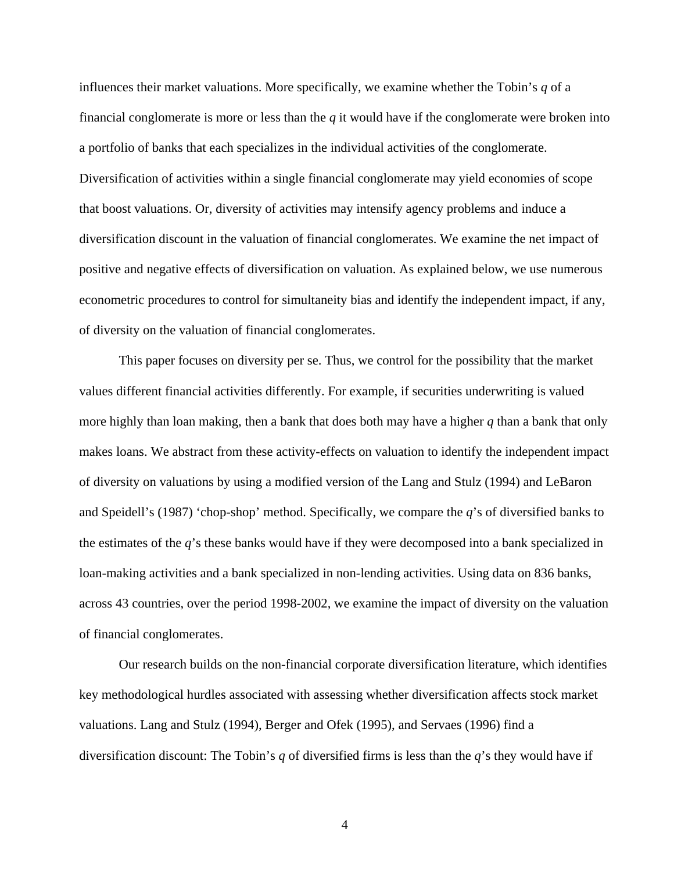influences their market valuations. More specifically, we examine whether the Tobin's *q* of a financial conglomerate is more or less than the *q* it would have if the conglomerate were broken into a portfolio of banks that each specializes in the individual activities of the conglomerate. Diversification of activities within a single financial conglomerate may yield economies of scope that boost valuations. Or, diversity of activities may intensify agency problems and induce a diversification discount in the valuation of financial conglomerates. We examine the net impact of positive and negative effects of diversification on valuation. As explained below, we use numerous econometric procedures to control for simultaneity bias and identify the independent impact, if any, of diversity on the valuation of financial conglomerates.

This paper focuses on diversity per se. Thus, we control for the possibility that the market values different financial activities differently. For example, if securities underwriting is valued more highly than loan making, then a bank that does both may have a higher *q* than a bank that only makes loans. We abstract from these activity-effects on valuation to identify the independent impact of diversity on valuations by using a modified version of the Lang and Stulz (1994) and LeBaron and Speidell's (1987) 'chop-shop' method. Specifically, we compare the *q*'s of diversified banks to the estimates of the *q*'s these banks would have if they were decomposed into a bank specialized in loan-making activities and a bank specialized in non-lending activities. Using data on 836 banks, across 43 countries, over the period 1998-2002, we examine the impact of diversity on the valuation of financial conglomerates.

Our research builds on the non-financial corporate diversification literature, which identifies key methodological hurdles associated with assessing whether diversification affects stock market valuations. Lang and Stulz (1994), Berger and Ofek (1995), and Servaes (1996) find a diversification discount: The Tobin's *q* of diversified firms is less than the *q*'s they would have if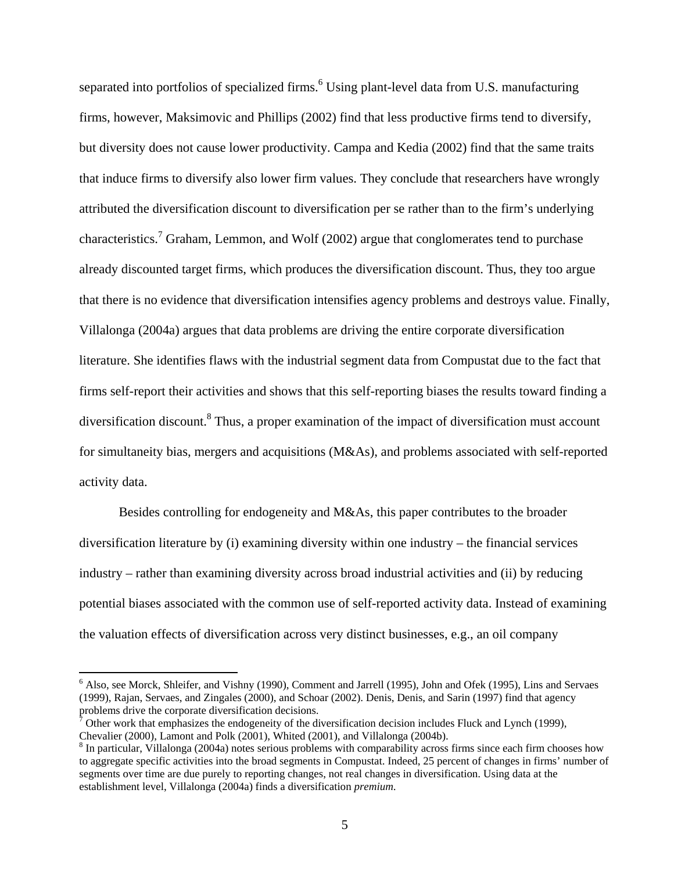separatedinto portfolios of specialized firms.<sup>6</sup> Using plant-level data from U.S. manufacturing firms, however, Maksimovic and Phillips (2002) find that less productive firms tend to diversify, but diversity does not cause lower productivity. Campa and Kedia (2002) find that the same traits that induce firms to diversify also lower firm values. They conclude that researchers have wrongly attributed the diversification discount to diversification per se rather than to the firm's underlying characteristics.<sup>[7](#page-5-1)</sup> Graham, Lemmon, and Wolf (2002) argue that conglomerates tend to purchase already discounted target firms, which produces the diversification discount. Thus, they too argue that there is no evidence that diversification intensifies agency problems and destroys value. Finally, Villalonga (2004a) argues that data problems are driving the entire corporate diversification literature. She identifies flaws with the industrial segment data from Compustat due to the fact that firms self-report their activities and shows that this self-reporting biases the results toward finding a diversification discount.<sup>8</sup> Thus, a proper examination of the impact of diversification must account for simultaneity bias, mergers and acquisitions (M&As), and problems associated with self-reported activity data.

Besides controlling for endogeneity and M&As, this paper contributes to the broader diversification literature by (i) examining diversity within one industry – the financial services industry – rather than examining diversity across broad industrial activities and (ii) by reducing potential biases associated with the common use of self-reported activity data. Instead of examining the valuation effects of diversification across very distinct businesses, e.g., an oil company

 $\overline{a}$ 

<span id="page-5-0"></span><sup>&</sup>lt;sup>6</sup> Also, see Morck, Shleifer, and Vishny (1990), Comment and Jarrell (1995), John and Ofek (1995), Lins and Servaes (1999), Rajan, Servaes, and Zingales (2000), and Schoar (2002). Denis, Denis, and Sarin (1997) find that agency problems drive the corporate diversification decisions. 7

<span id="page-5-1"></span>Other work that emphasizes the endogeneity of the diversification decision includes Fluck and Lynch (1999), Chevalier (2000), Lamont and Polk (2001), Whited (2001), and Villalonga (2004b).<br><sup>8</sup> In particular, Villalonga (2004a) notes serious problems with comparability across firms since each firm chooses how

<span id="page-5-2"></span>to aggregate specific activities into the broad segments in Compustat. Indeed, 25 percent of changes in firms' number of segments over time are due purely to reporting changes, not real changes in diversification. Using data at the establishment level, Villalonga (2004a) finds a diversification *premium*.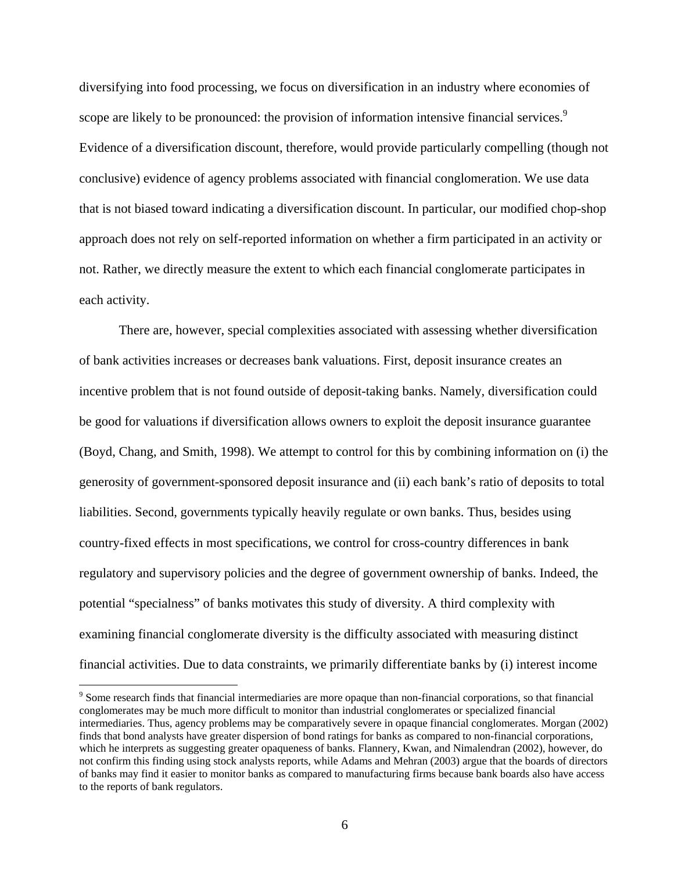diversifying into food processing, we focus on diversification in an industry where economies of scope are likely to be pronounced: the provision of information intensive financial services.<sup>[9](#page-6-0)</sup> Evidence of a diversification discount, therefore, would provide particularly compelling (though not conclusive) evidence of agency problems associated with financial conglomeration. We use data that is not biased toward indicating a diversification discount. In particular, our modified chop-shop approach does not rely on self-reported information on whether a firm participated in an activity or not. Rather, we directly measure the extent to which each financial conglomerate participates in each activity.

There are, however, special complexities associated with assessing whether diversification of bank activities increases or decreases bank valuations. First, deposit insurance creates an incentive problem that is not found outside of deposit-taking banks. Namely, diversification could be good for valuations if diversification allows owners to exploit the deposit insurance guarantee (Boyd, Chang, and Smith, 1998). We attempt to control for this by combining information on (i) the generosity of government-sponsored deposit insurance and (ii) each bank's ratio of deposits to total liabilities. Second, governments typically heavily regulate or own banks. Thus, besides using country-fixed effects in most specifications, we control for cross-country differences in bank regulatory and supervisory policies and the degree of government ownership of banks. Indeed, the potential "specialness" of banks motivates this study of diversity. A third complexity with examining financial conglomerate diversity is the difficulty associated with measuring distinct financial activities. Due to data constraints, we primarily differentiate banks by (i) interest income

 $\overline{a}$ 

<span id="page-6-0"></span><sup>&</sup>lt;sup>9</sup> Some research finds that financial intermediaries are more opaque than non-financial corporations, so that financial conglomerates may be much more difficult to monitor than industrial conglomerates or specialized financial intermediaries. Thus, agency problems may be comparatively severe in opaque financial conglomerates. Morgan (2002) finds that bond analysts have greater dispersion of bond ratings for banks as compared to non-financial corporations, which he interprets as suggesting greater opaqueness of banks. Flannery, Kwan, and Nimalendran (2002), however, do not confirm this finding using stock analysts reports, while Adams and Mehran (2003) argue that the boards of directors of banks may find it easier to monitor banks as compared to manufacturing firms because bank boards also have access to the reports of bank regulators.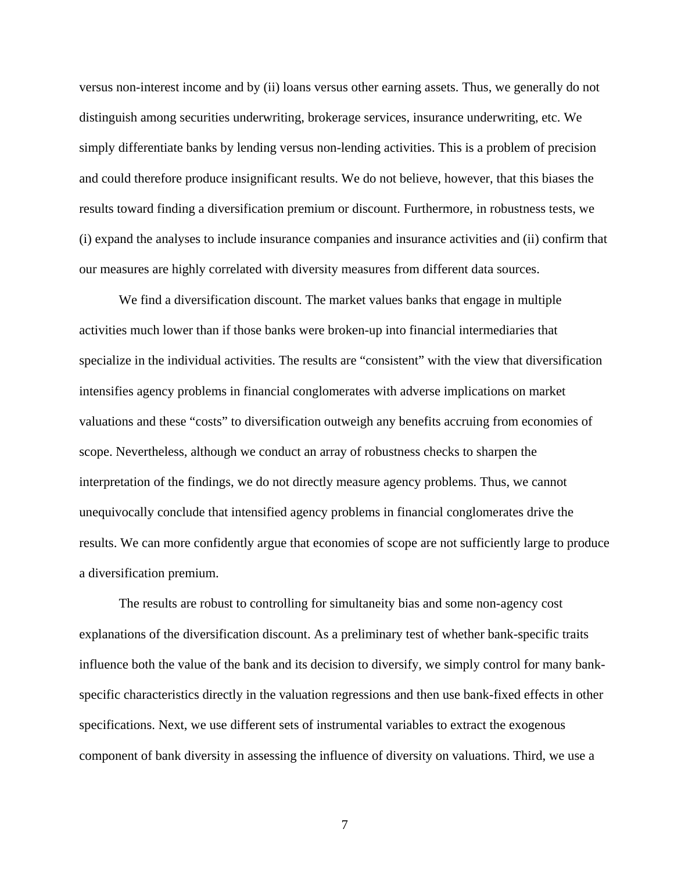versus non-interest income and by (ii) loans versus other earning assets. Thus, we generally do not distinguish among securities underwriting, brokerage services, insurance underwriting, etc. We simply differentiate banks by lending versus non-lending activities. This is a problem of precision and could therefore produce insignificant results. We do not believe, however, that this biases the results toward finding a diversification premium or discount. Furthermore, in robustness tests, we (i) expand the analyses to include insurance companies and insurance activities and (ii) confirm that our measures are highly correlated with diversity measures from different data sources.

We find a diversification discount. The market values banks that engage in multiple activities much lower than if those banks were broken-up into financial intermediaries that specialize in the individual activities. The results are "consistent" with the view that diversification intensifies agency problems in financial conglomerates with adverse implications on market valuations and these "costs" to diversification outweigh any benefits accruing from economies of scope. Nevertheless, although we conduct an array of robustness checks to sharpen the interpretation of the findings, we do not directly measure agency problems. Thus, we cannot unequivocally conclude that intensified agency problems in financial conglomerates drive the results. We can more confidently argue that economies of scope are not sufficiently large to produce a diversification premium.

The results are robust to controlling for simultaneity bias and some non-agency cost explanations of the diversification discount. As a preliminary test of whether bank-specific traits influence both the value of the bank and its decision to diversify, we simply control for many bankspecific characteristics directly in the valuation regressions and then use bank-fixed effects in other specifications. Next, we use different sets of instrumental variables to extract the exogenous component of bank diversity in assessing the influence of diversity on valuations. Third, we use a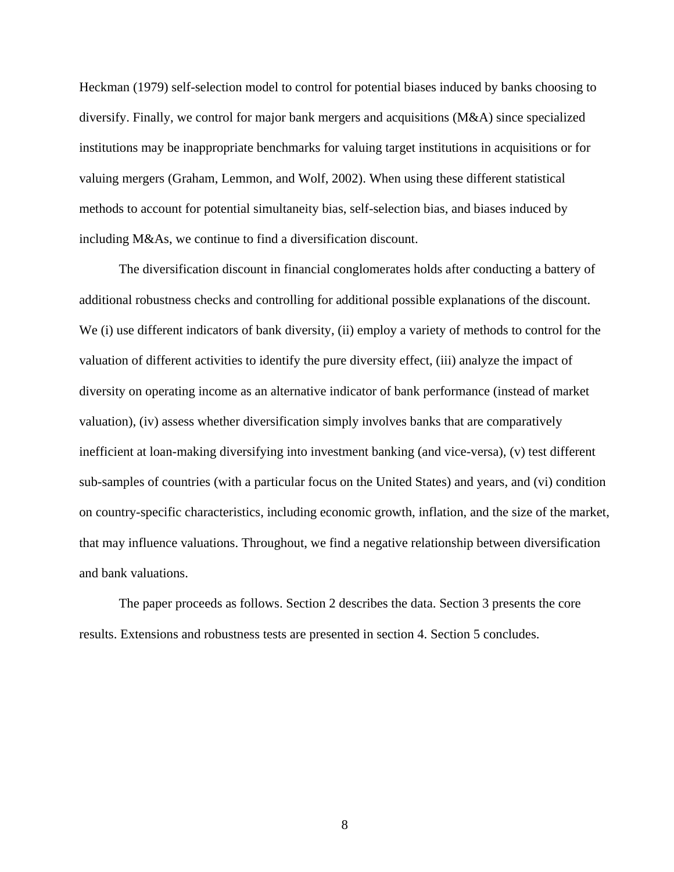Heckman (1979) self-selection model to control for potential biases induced by banks choosing to diversify. Finally, we control for major bank mergers and acquisitions (M&A) since specialized institutions may be inappropriate benchmarks for valuing target institutions in acquisitions or for valuing mergers (Graham, Lemmon, and Wolf, 2002). When using these different statistical methods to account for potential simultaneity bias, self-selection bias, and biases induced by including M&As, we continue to find a diversification discount.

The diversification discount in financial conglomerates holds after conducting a battery of additional robustness checks and controlling for additional possible explanations of the discount. We (i) use different indicators of bank diversity, (ii) employ a variety of methods to control for the valuation of different activities to identify the pure diversity effect, (iii) analyze the impact of diversity on operating income as an alternative indicator of bank performance (instead of market valuation), (iv) assess whether diversification simply involves banks that are comparatively inefficient at loan-making diversifying into investment banking (and vice-versa), (v) test different sub-samples of countries (with a particular focus on the United States) and years, and (vi) condition on country-specific characteristics, including economic growth, inflation, and the size of the market, that may influence valuations. Throughout, we find a negative relationship between diversification and bank valuations.

The paper proceeds as follows. Section 2 describes the data. Section 3 presents the core results. Extensions and robustness tests are presented in section 4. Section 5 concludes.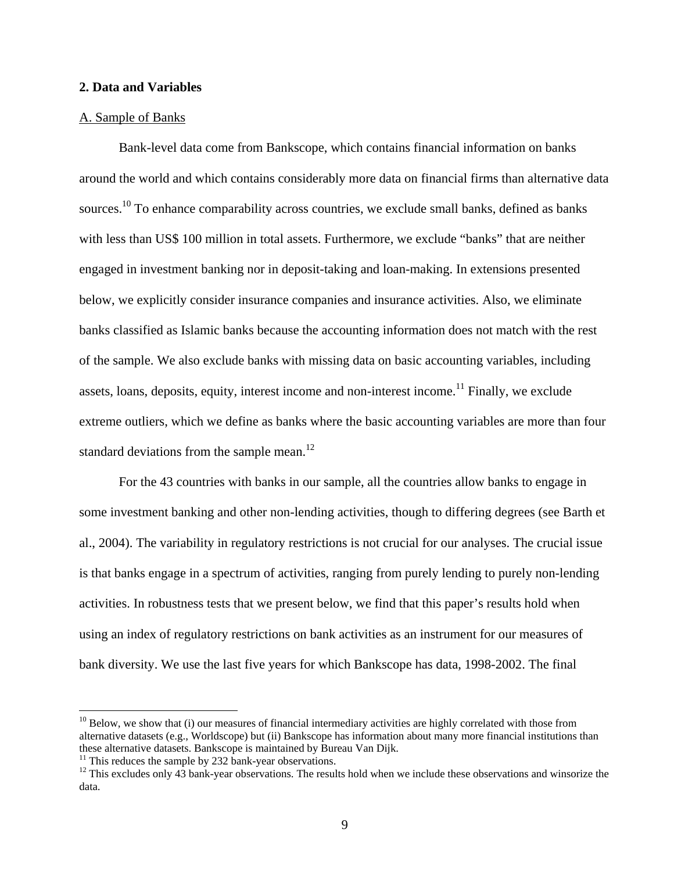#### **2. Data and Variables**

#### A. Sample of Banks

Bank-level data come from Bankscope, which contains financial information on banks around the world and which contains considerably more data on financial firms than alternative data sources.<sup>10</sup> To enhance comparability across countries, we exclude small banks, defined as banks with less than US\$ 100 million in total assets. Furthermore, we exclude "banks" that are neither engaged in investment banking nor in deposit-taking and loan-making. In extensions presented below, we explicitly consider insurance companies and insurance activities. Also, we eliminate banks classified as Islamic banks because the accounting information does not match with the rest of the sample. We also exclude banks with missing data on basic accounting variables, including assets, loans, deposits, equity, interest income and non-interest income.<sup>11</sup> Finally, we exclude extreme outliers, which we define as banks where the basic accounting variables are more than four standard deviations from the sample mean.<sup>12</sup>

For the 43 countries with banks in our sample, all the countries allow banks to engage in some investment banking and other non-lending activities, though to differing degrees (see Barth et al., 2004). The variability in regulatory restrictions is not crucial for our analyses. The crucial issue is that banks engage in a spectrum of activities, ranging from purely lending to purely non-lending activities. In robustness tests that we present below, we find that this paper's results hold when using an index of regulatory restrictions on bank activities as an instrument for our measures of bank diversity. We use the last five years for which Bankscope has data, 1998-2002. The final

<span id="page-9-0"></span> $10$  Below, we show that (i) our measures of financial intermediary activities are highly correlated with those from alternative datasets (e.g., Worldscope) but (ii) Bankscope has information about many more financial institutions than these alternative datasets. Bankscope is maintained by Bureau Van Dijk.<br><sup>11</sup> This reduces the sample by 232 bank-year observations.<br><sup>12</sup> This excludes only 43 bank-year observations. The results hold when we include these

<span id="page-9-1"></span>

<span id="page-9-2"></span>data.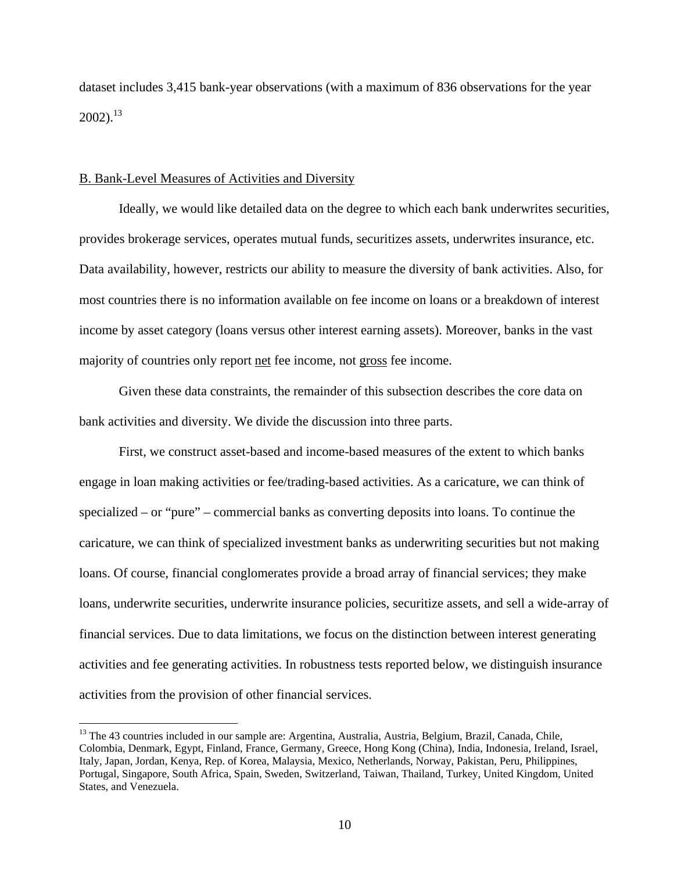dataset includes 3,415 bank-year observations (with a maximum of 836 observations for the year 2002)[.13](#page-10-0)

#### B. Bank-Level Measures of Activities and Diversity

1

Ideally, we would like detailed data on the degree to which each bank underwrites securities, provides brokerage services, operates mutual funds, securitizes assets, underwrites insurance, etc. Data availability, however, restricts our ability to measure the diversity of bank activities. Also, for most countries there is no information available on fee income on loans or a breakdown of interest income by asset category (loans versus other interest earning assets). Moreover, banks in the vast majority of countries only report net fee income, not gross fee income.

Given these data constraints, the remainder of this subsection describes the core data on bank activities and diversity. We divide the discussion into three parts.

First, we construct asset-based and income-based measures of the extent to which banks engage in loan making activities or fee/trading-based activities. As a caricature, we can think of specialized – or "pure" – commercial banks as converting deposits into loans. To continue the caricature, we can think of specialized investment banks as underwriting securities but not making loans. Of course, financial conglomerates provide a broad array of financial services; they make loans, underwrite securities, underwrite insurance policies, securitize assets, and sell a wide-array of financial services. Due to data limitations, we focus on the distinction between interest generating activities and fee generating activities. In robustness tests reported below, we distinguish insurance activities from the provision of other financial services.

<span id="page-10-0"></span><sup>&</sup>lt;sup>13</sup> The 43 countries included in our sample are: Argentina, Australia, Austria, Belgium, Brazil, Canada, Chile, Colombia, Denmark, Egypt, Finland, France, Germany, Greece, Hong Kong (China), India, Indonesia, Ireland, Israel, Italy, Japan, Jordan, Kenya, Rep. of Korea, Malaysia, Mexico, Netherlands, Norway, Pakistan, Peru, Philippines, Portugal, Singapore, South Africa, Spain, Sweden, Switzerland, Taiwan, Thailand, Turkey, United Kingdom, United States, and Venezuela.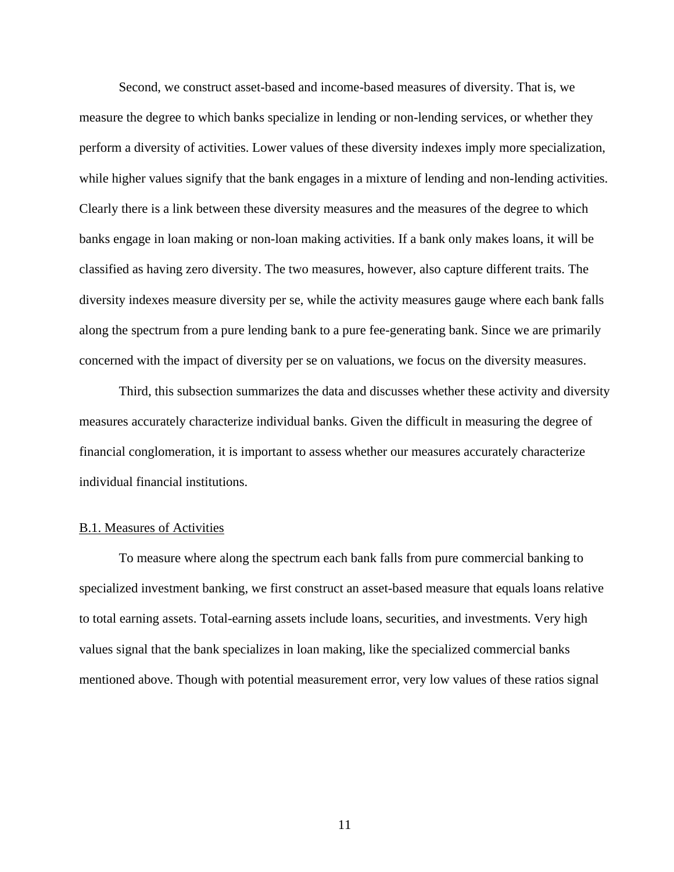Second, we construct asset-based and income-based measures of diversity. That is, we measure the degree to which banks specialize in lending or non-lending services, or whether they perform a diversity of activities. Lower values of these diversity indexes imply more specialization, while higher values signify that the bank engages in a mixture of lending and non-lending activities. Clearly there is a link between these diversity measures and the measures of the degree to which banks engage in loan making or non-loan making activities. If a bank only makes loans, it will be classified as having zero diversity. The two measures, however, also capture different traits. The diversity indexes measure diversity per se, while the activity measures gauge where each bank falls along the spectrum from a pure lending bank to a pure fee-generating bank. Since we are primarily concerned with the impact of diversity per se on valuations, we focus on the diversity measures.

Third, this subsection summarizes the data and discusses whether these activity and diversity measures accurately characterize individual banks. Given the difficult in measuring the degree of financial conglomeration, it is important to assess whether our measures accurately characterize individual financial institutions.

#### B.1. Measures of Activities

To measure where along the spectrum each bank falls from pure commercial banking to specialized investment banking, we first construct an asset-based measure that equals loans relative to total earning assets. Total-earning assets include loans, securities, and investments. Very high values signal that the bank specializes in loan making, like the specialized commercial banks mentioned above. Though with potential measurement error, very low values of these ratios signal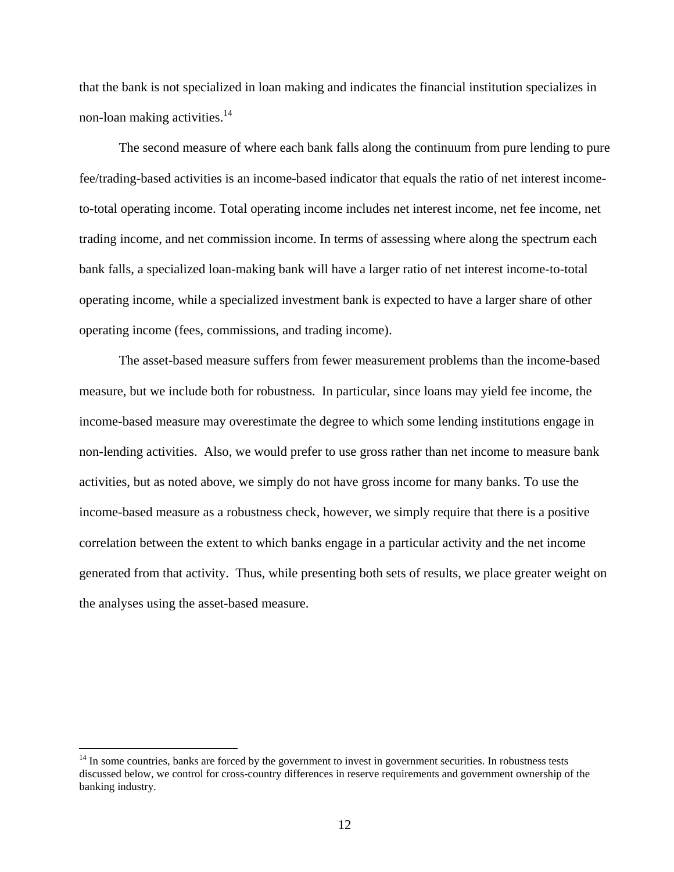that the bank is not specialized in loan making and indicates the financial institution specializes in non-loan making activities.<sup>14</sup>

The second measure of where each bank falls along the continuum from pure lending to pure fee/trading-based activities is an income-based indicator that equals the ratio of net interest incometo-total operating income. Total operating income includes net interest income, net fee income, net trading income, and net commission income. In terms of assessing where along the spectrum each bank falls, a specialized loan-making bank will have a larger ratio of net interest income-to-total operating income, while a specialized investment bank is expected to have a larger share of other operating income (fees, commissions, and trading income).

The asset-based measure suffers from fewer measurement problems than the income-based measure, but we include both for robustness. In particular, since loans may yield fee income, the income-based measure may overestimate the degree to which some lending institutions engage in non-lending activities. Also, we would prefer to use gross rather than net income to measure bank activities, but as noted above, we simply do not have gross income for many banks. To use the income-based measure as a robustness check, however, we simply require that there is a positive correlation between the extent to which banks engage in a particular activity and the net income generated from that activity. Thus, while presenting both sets of results, we place greater weight on the analyses using the asset-based measure.

 $\overline{a}$ 

<span id="page-12-0"></span> $14$  In some countries, banks are forced by the government to invest in government securities. In robustness tests discussed below, we control for cross-country differences in reserve requirements and government ownership of the banking industry.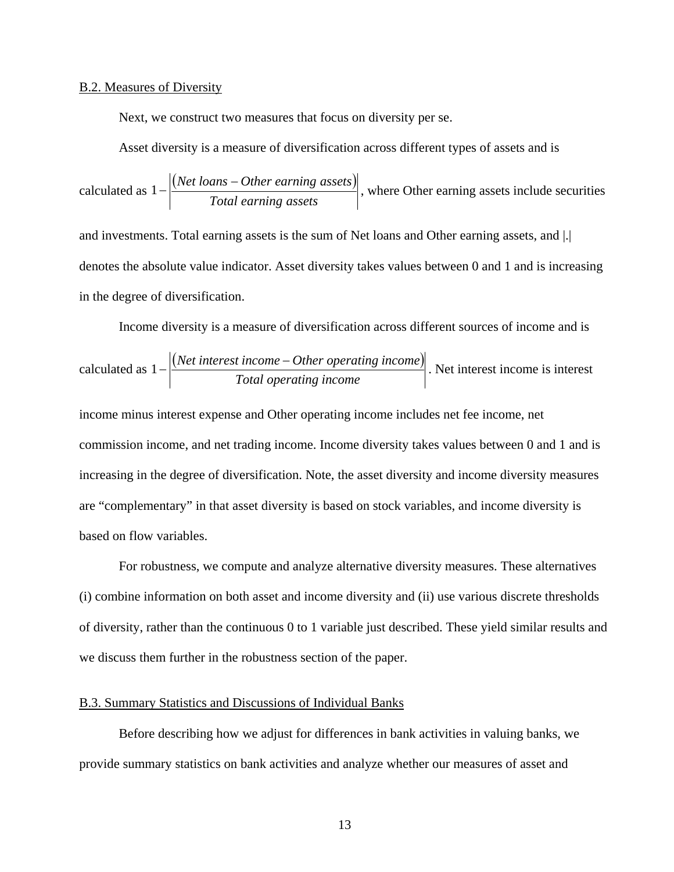#### B.2. Measures of Diversity

Next, we construct two measures that focus on diversity per se.

Asset diversity is a measure of diversification across different types of assets and is

calculated as 
$$
1 - \left| \frac{(Net \text{ loans} - Other \text{ earning assets})}{Total \text{ earning assets}} \right|
$$
, where Other earning assets include securities

and investments. Total earning assets is the sum of Net loans and Other earning assets, and |.| denotes the absolute value indicator. Asset diversity takes values between 0 and 1 and is increasing in the degree of diversification.

Income diversity is a measure of diversification across different sources of income and is

calculated as 
$$
1 - \frac{(\text{Net interest income} - \text{Other operating income})}{\text{Total operating income}}
$$
. Net interest income is interest

income minus interest expense and Other operating income includes net fee income, net commission income, and net trading income. Income diversity takes values between 0 and 1 and is increasing in the degree of diversification. Note, the asset diversity and income diversity measures are "complementary" in that asset diversity is based on stock variables, and income diversity is based on flow variables.

For robustness, we compute and analyze alternative diversity measures. These alternatives (i) combine information on both asset and income diversity and (ii) use various discrete thresholds of diversity, rather than the continuous 0 to 1 variable just described. These yield similar results and we discuss them further in the robustness section of the paper.

#### B.3. Summary Statistics and Discussions of Individual Banks

Before describing how we adjust for differences in bank activities in valuing banks, we provide summary statistics on bank activities and analyze whether our measures of asset and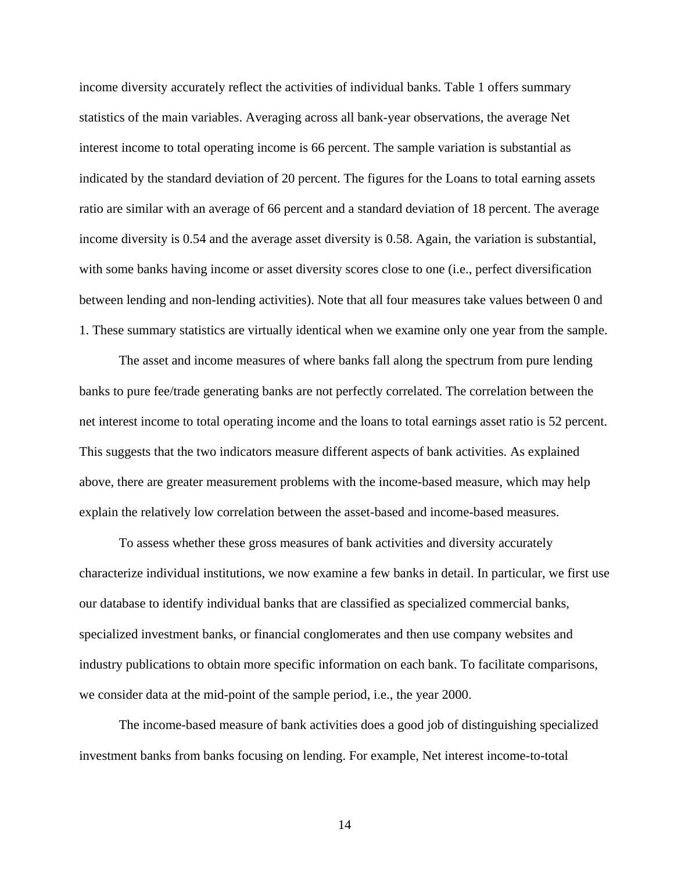income diversity accurately reflect the activities of individual banks. Table 1 offers summary statistics of the main variables. Averaging across all bank-year observations, the average Net interest income to total operating income is 66 percent. The sample variation is substantial as indicated by the standard deviation of 20 percent. The figures for the Loans to total earning assets ratio are similar with an average of 66 percent and a standard deviation of 18 percent. The average income diversity is 0.54 and the average asset diversity is 0.58. Again, the variation is substantial, with some banks having income or asset diversity scores close to one (i.e., perfect diversification between lending and non-lending activities). Note that all four measures take values between 0 and 1. These summary statistics are virtually identical when we examine only one year from the sample.

The asset and income measures of where banks fall along the spectrum from pure lending banks to pure fee/trade generating banks are not perfectly correlated. The correlation between the net interest income to total operating income and the loans to total earnings asset ratio is 52 percent. This suggests that the two indicators measure different aspects of bank activities. As explained above, there are greater measurement problems with the income-based measure, which may help explain the relatively low correlation between the asset-based and income-based measures.

To assess whether these gross measures of bank activities and diversity accurately characterize individual institutions, we now examine a few banks in detail. In particular, we first use our database to identify individual banks that are classified as specialized commercial banks, specialized investment banks, or financial conglomerates and then use company websites and industry publications to obtain more specific information on each bank. To facilitate comparisons, we consider data at the mid-point of the sample period, i.e., the year 2000.

The income-based measure of bank activities does a good job of distinguishing specialized investment banks from banks focusing on lending. For example, Net interest income-to-total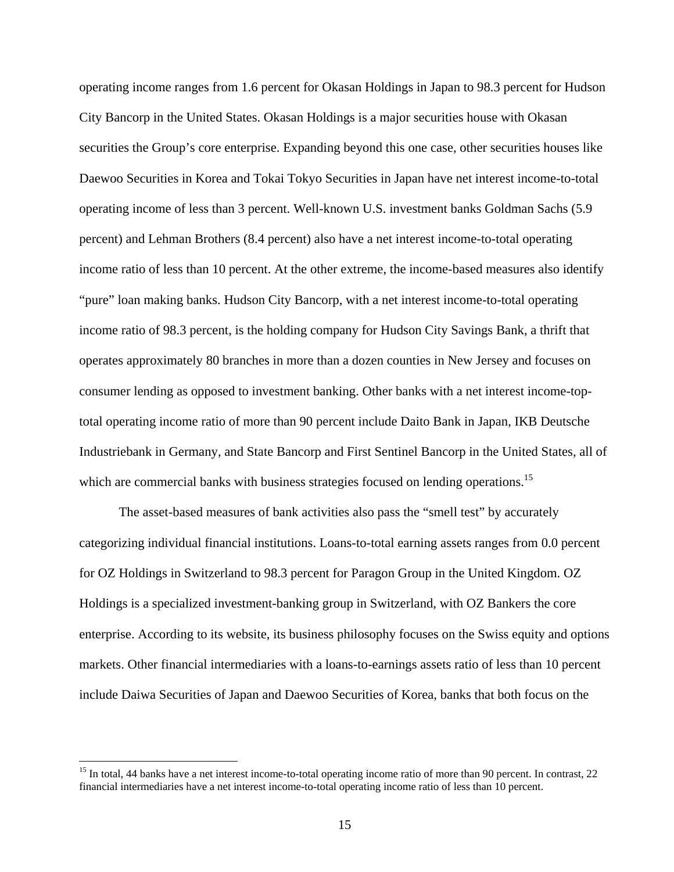operating income ranges from 1.6 percent for Okasan Holdings in Japan to 98.3 percent for Hudson City Bancorp in the United States. Okasan Holdings is a major securities house with Okasan securities the Group's core enterprise. Expanding beyond this one case, other securities houses like Daewoo Securities in Korea and Tokai Tokyo Securities in Japan have net interest income-to-total operating income of less than 3 percent. Well-known U.S. investment banks Goldman Sachs (5.9 percent) and Lehman Brothers (8.4 percent) also have a net interest income-to-total operating income ratio of less than 10 percent. At the other extreme, the income-based measures also identify "pure" loan making banks. Hudson City Bancorp, with a net interest income-to-total operating income ratio of 98.3 percent, is the holding company for Hudson City Savings Bank, a thrift that operates approximately 80 branches in more than a dozen counties in New Jersey and focuses on consumer lending as opposed to investment banking. Other banks with a net interest income-toptotal operating income ratio of more than 90 percent include Daito Bank in Japan, IKB Deutsche Industriebank in Germany, and State Bancorp and First Sentinel Bancorp in the United States, all of which are commercial banks with business strategies focused on lending operations.<sup>15</sup>

The asset-based measures of bank activities also pass the "smell test" by accurately categorizing individual financial institutions. Loans-to-total earning assets ranges from 0.0 percent for OZ Holdings in Switzerland to 98.3 percent for Paragon Group in the United Kingdom. OZ Holdings is a specialized investment-banking group in Switzerland, with OZ Bankers the core enterprise. According to its website, its business philosophy focuses on the Swiss equity and options markets. Other financial intermediaries with a loans-to-earnings assets ratio of less than 10 percent include Daiwa Securities of Japan and Daewoo Securities of Korea, banks that both focus on the

 $\overline{a}$ 

<span id="page-15-0"></span><sup>&</sup>lt;sup>15</sup> In total, 44 banks have a net interest income-to-total operating income ratio of more than 90 percent. In contrast, 22 financial intermediaries have a net interest income-to-total operating income ratio of less than 10 percent.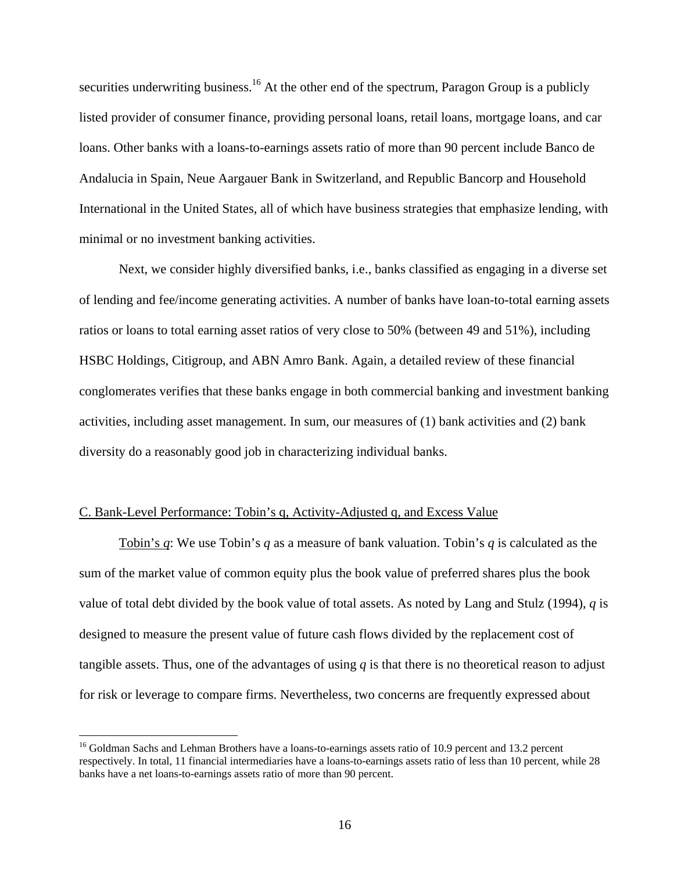securities underwriting business.<sup>16</sup> At the other end of the spectrum, Paragon Group is a publicly listed provider of consumer finance, providing personal loans, retail loans, mortgage loans, and car loans. Other banks with a loans-to-earnings assets ratio of more than 90 percent include Banco de Andalucia in Spain, Neue Aargauer Bank in Switzerland, and Republic Bancorp and Household International in the United States, all of which have business strategies that emphasize lending, with minimal or no investment banking activities.

Next, we consider highly diversified banks, i.e., banks classified as engaging in a diverse set of lending and fee/income generating activities. A number of banks have loan-to-total earning assets ratios or loans to total earning asset ratios of very close to 50% (between 49 and 51%), including HSBC Holdings, Citigroup, and ABN Amro Bank. Again, a detailed review of these financial conglomerates verifies that these banks engage in both commercial banking and investment banking activities, including asset management. In sum, our measures of (1) bank activities and (2) bank diversity do a reasonably good job in characterizing individual banks.

#### C. Bank-Level Performance: Tobin's q, Activity-Adjusted q, and Excess Value

<u>.</u>

Tobin's *q*: We use Tobin's *q* as a measure of bank valuation. Tobin's *q* is calculated as the sum of the market value of common equity plus the book value of preferred shares plus the book value of total debt divided by the book value of total assets. As noted by Lang and Stulz (1994), *q* is designed to measure the present value of future cash flows divided by the replacement cost of tangible assets. Thus, one of the advantages of using *q* is that there is no theoretical reason to adjust for risk or leverage to compare firms. Nevertheless, two concerns are frequently expressed about

<span id="page-16-0"></span><sup>&</sup>lt;sup>16</sup> Goldman Sachs and Lehman Brothers have a loans-to-earnings assets ratio of 10.9 percent and 13.2 percent respectively. In total, 11 financial intermediaries have a loans-to-earnings assets ratio of less than 10 percent, while 28 banks have a net loans-to-earnings assets ratio of more than 90 percent.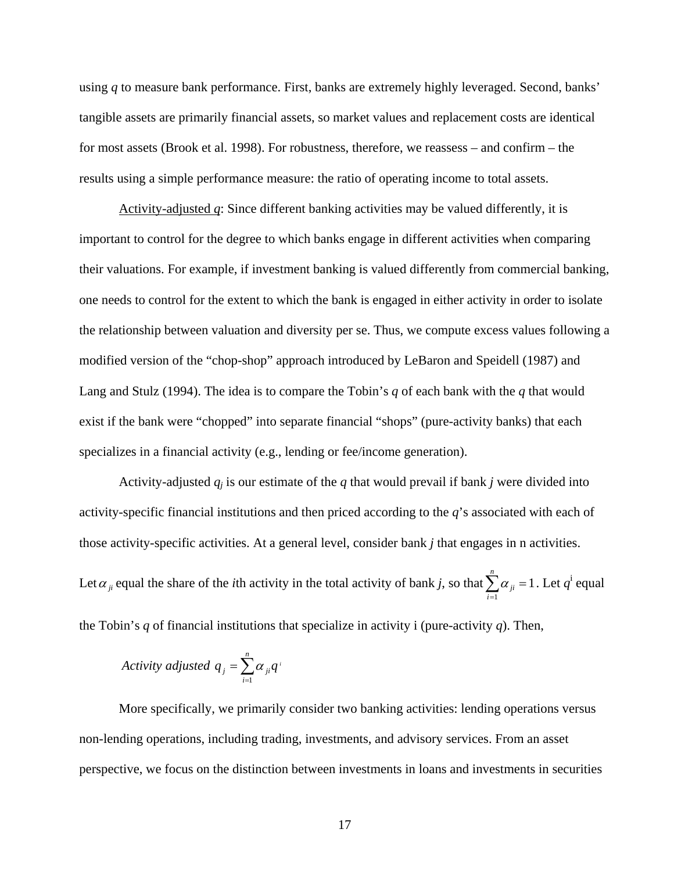using *q* to measure bank performance. First, banks are extremely highly leveraged. Second, banks' tangible assets are primarily financial assets, so market values and replacement costs are identical for most assets (Brook et al. 1998). For robustness, therefore, we reassess – and confirm – the results using a simple performance measure: the ratio of operating income to total assets.

Activity-adjusted *q*: Since different banking activities may be valued differently, it is important to control for the degree to which banks engage in different activities when comparing their valuations. For example, if investment banking is valued differently from commercial banking, one needs to control for the extent to which the bank is engaged in either activity in order to isolate the relationship between valuation and diversity per se. Thus, we compute excess values following a modified version of the "chop-shop" approach introduced by LeBaron and Speidell (1987) and Lang and Stulz (1994). The idea is to compare the Tobin's *q* of each bank with the *q* that would exist if the bank were "chopped" into separate financial "shops" (pure-activity banks) that each specializes in a financial activity (e.g., lending or fee/income generation).

Activity-adjusted *qj* is our estimate of the *q* that would prevail if bank *j* were divided into activity-specific financial institutions and then priced according to the *q*'s associated with each of those activity-specific activities. At a general level, consider bank *j* that engages in n activities.

Let  $\alpha_{ji}$  equal the share of the *i*th activity in the total activity of bank *j*, so that  $\sum \alpha_{ji} = 1$ . Let *q*  $\sum_{i=1}^n \alpha_{ji} =$ *i*  $\alpha_{ji} = 1$ . Let  $q^i$  equal the Tobin's  $q$  of financial institutions that specialize in activity i (pure-activity  $q$ ). Then,

$$
\mathcal{L}^{\mathcal{L}}(\mathcal{L}^{\mathcal{L}}(\mathcal{L}^{\mathcal{L}}(\mathcal{L}^{\mathcal{L}}(\mathcal{L}^{\mathcal{L}}(\mathcal{L}^{\mathcal{L}}(\mathcal{L}^{\mathcal{L}}(\mathcal{L}^{\mathcal{L}}(\mathcal{L}^{\mathcal{L}}(\mathcal{L}^{\mathcal{L}}(\mathcal{L}^{\mathcal{L}}(\mathcal{L}^{\mathcal{L}}(\mathcal{L}^{\mathcal{L}}(\mathcal{L}^{\mathcal{L}}(\mathcal{L}^{\mathcal{L}}(\mathcal{L}^{\mathcal{L}}(\mathcal{L}^{\mathcal{L}}(\mathcal{L}^{\mathcal{L}}(\mathcal{L}^{\mathcal{L}}(\mathcal{L}^{\mathcal{L}}(\mathcal{L}^{\mathcal{L}}(\mathcal{L}^{\mathcal{L}}(\mathcal{L}^{\mathcal{L}}(\mathcal{L}^{\mathcal{L}}(\mathcal{L}^{\mathcal{L}}(\mathcal{L}^{\mathcal{L}}(\mathcal{L}^{\mathcal{L}}(\mathcal{L}^{\mathcal{L}}(\mathcal{L}^{\mathcal{L}}(\mathcal{L}^{\mathcal{L}}(\mathcal{L}^{\mathcal{L}}(\mathcal{L}^{\mathcal{L}}(\mathcal{L}^{\mathcal{L}}(\mathcal{L}^{\mathcal{L}}(\mathcal{L}^{\mathcal{L}}(\mathcal{L}^{\mathcal{L}}(\mathcal{L}^{\mathcal{L}}(\mathcal{L}^{\mathcal{L}}(\mathcal{L}^{\mathcal{L}}(\mathcal{L}^{\mathcal{L}}(\mathcal{L}^{\mathcal{L}}(\mathcal{L}^{\mathcal{L}}(\mathcal{L}^{\mathcal{L}}(\mathcal{L}^{\mathcal{L}}(\mathcal{L}^{\mathcal{L}}(\mathcal{L}^{\mathcal{L}}(\mathcal{L}^{\mathcal{L}}(\mathcal{L}^{\mathcal{L}}(\mathcal{L}^{\mathcal{L}}(\mathcal{L}^{\mathcal{L}}(\mathcal{L}^{\mathcal{L}}(\mathcal{L}^{\mathcal{L}}(\mathcal{L}^{\mathcal{L}}(\mathcal{L}^{\mathcal{L}}(\mathcal{L}^{\mathcal{L}}(\mathcal{L}^{\mathcal{L}}(\mathcal{L}^{\mathcal{L}}(\mathcal{L}^{\mathcal{L}}(\mathcal{L}
$$

Activity adjusted 
$$
q_j = \sum_{i=1}^n \alpha_{ji} q^i
$$

More specifically, we primarily consider two banking activities: lending operations versus non-lending operations, including trading, investments, and advisory services. From an asset perspective, we focus on the distinction between investments in loans and investments in securities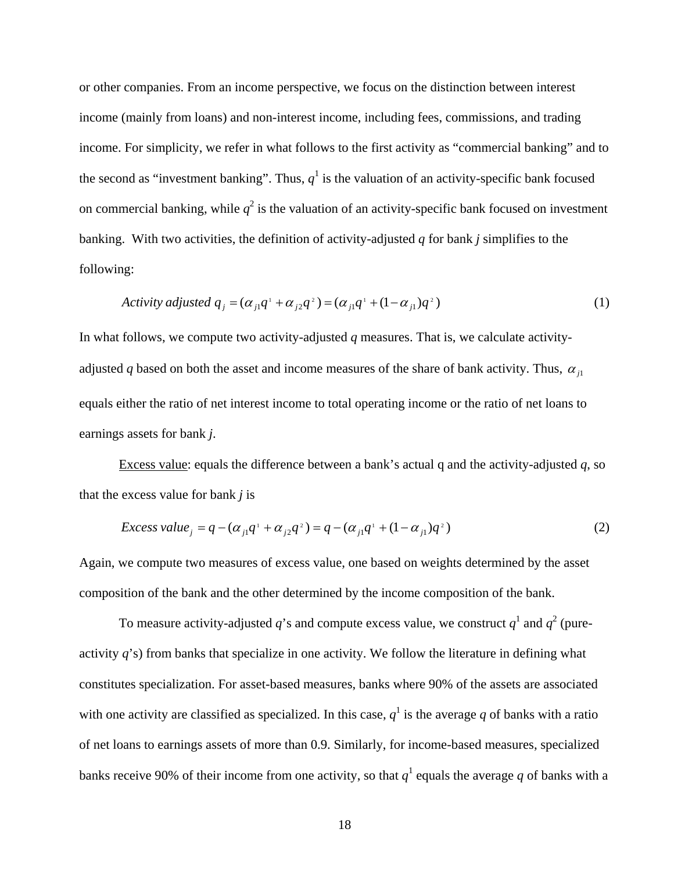or other companies. From an income perspective, we focus on the distinction between interest income (mainly from loans) and non-interest income, including fees, commissions, and trading income. For simplicity, we refer in what follows to the first activity as "commercial banking" and to the second as "investment banking". Thus,  $q<sup>1</sup>$  is the valuation of an activity-specific bank focused on commercial banking, while  $q^2$  is the valuation of an activity-specific bank focused on investment banking. With two activities, the definition of activity-adjusted *q* for bank *j* simplifies to the following:

Activity adjusted 
$$
q_j = (\alpha_{j1}q^1 + \alpha_{j2}q^2) = (\alpha_{j1}q^1 + (1 - \alpha_{j1})q^2)
$$
 (1)

In what follows, we compute two activity-adjusted *q* measures. That is, we calculate activityadjusted *q* based on both the asset and income measures of the share of bank activity. Thus,  $\alpha_{ij}$ equals either the ratio of net interest income to total operating income or the ratio of net loans to earnings assets for bank *j*.

Excess value: equals the difference between a bank's actual q and the activity-adjusted *q*, so that the excess value for bank *j* is

$$
Excess value_j = q - (\alpha_{j1}q^1 + \alpha_{j2}q^2) = q - (\alpha_{j1}q^1 + (1 - \alpha_{j1})q^2)
$$
 (2)

Again, we compute two measures of excess value, one based on weights determined by the asset composition of the bank and the other determined by the income composition of the bank.

To measure activity-adjusted  $q$ 's and compute excess value, we construct  $q^1$  and  $q^2$  (pureactivity *q*'s) from banks that specialize in one activity. We follow the literature in defining what constitutes specialization. For asset-based measures, banks where 90% of the assets are associated with one activity are classified as specialized. In this case,  $q^1$  is the average q of banks with a ratio of net loans to earnings assets of more than 0.9. Similarly, for income-based measures, specialized banks receive 90% of their income from one activity, so that  $q<sup>1</sup>$  equals the average q of banks with a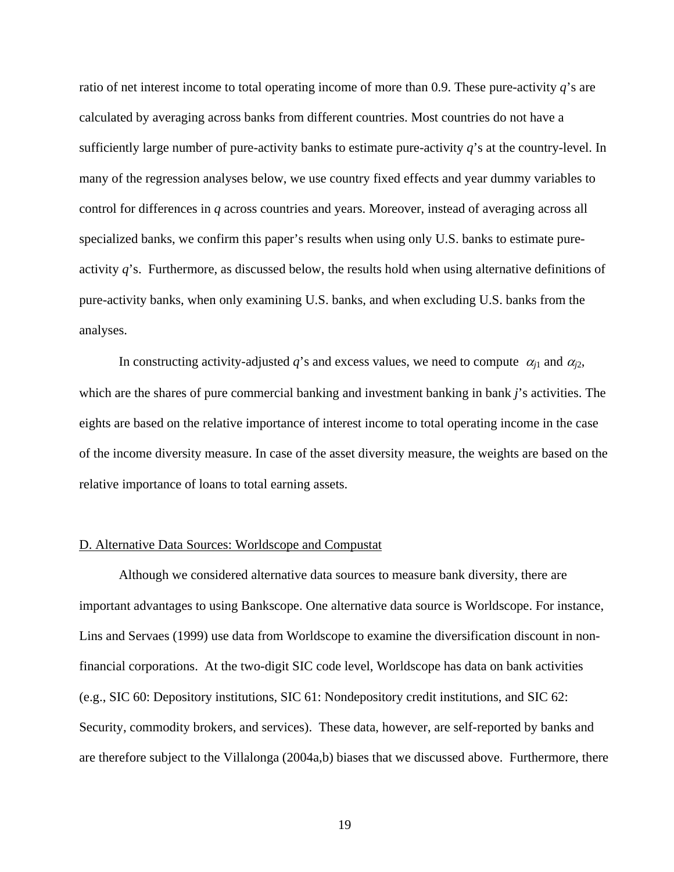ratio of net interest income to total operating income of more than 0.9. These pure-activity *q*'s are calculated by averaging across banks from different countries. Most countries do not have a sufficiently large number of pure-activity banks to estimate pure-activity *q*'s at the country-level. In many of the regression analyses below, we use country fixed effects and year dummy variables to control for differences in *q* across countries and years. Moreover, instead of averaging across all specialized banks, we confirm this paper's results when using only U.S. banks to estimate pureactivity *q*'s. Furthermore, as discussed below, the results hold when using alternative definitions of pure-activity banks, when only examining U.S. banks, and when excluding U.S. banks from the analyses.

In constructing activity-adjusted *q*'s and excess values, we need to compute  $\alpha_{i1}$  and  $\alpha_{i2}$ , which are the shares of pure commercial banking and investment banking in bank *j*'s activities. The eights are based on the relative importance of interest income to total operating income in the case of the income diversity measure. In case of the asset diversity measure, the weights are based on the relative importance of loans to total earning assets.

#### D. Alternative Data Sources: Worldscope and Compustat

Although we considered alternative data sources to measure bank diversity, there are important advantages to using Bankscope. One alternative data source is Worldscope. For instance, Lins and Servaes (1999) use data from Worldscope to examine the diversification discount in nonfinancial corporations. At the two-digit SIC code level, Worldscope has data on bank activities (e.g., SIC 60: Depository institutions, SIC 61: Nondepository credit institutions, and SIC 62: Security, commodity brokers, and services). These data, however, are self-reported by banks and are therefore subject to the Villalonga (2004a,b) biases that we discussed above. Furthermore, there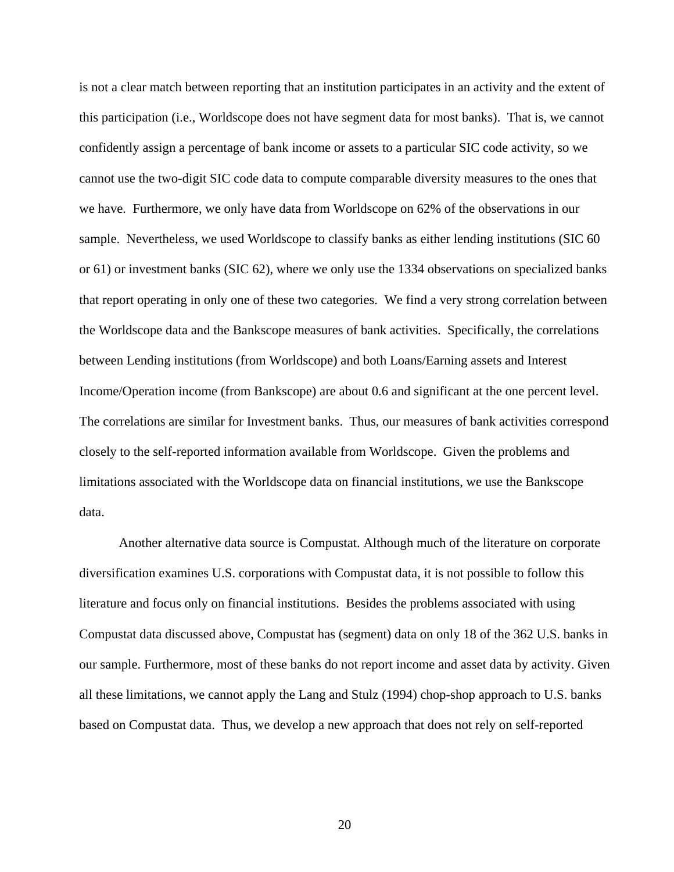is not a clear match between reporting that an institution participates in an activity and the extent of this participation (i.e., Worldscope does not have segment data for most banks). That is, we cannot confidently assign a percentage of bank income or assets to a particular SIC code activity, so we cannot use the two-digit SIC code data to compute comparable diversity measures to the ones that we have. Furthermore, we only have data from Worldscope on 62% of the observations in our sample. Nevertheless, we used Worldscope to classify banks as either lending institutions (SIC 60 or 61) or investment banks (SIC 62), where we only use the 1334 observations on specialized banks that report operating in only one of these two categories. We find a very strong correlation between the Worldscope data and the Bankscope measures of bank activities. Specifically, the correlations between Lending institutions (from Worldscope) and both Loans/Earning assets and Interest Income/Operation income (from Bankscope) are about 0.6 and significant at the one percent level. The correlations are similar for Investment banks. Thus, our measures of bank activities correspond closely to the self-reported information available from Worldscope. Given the problems and limitations associated with the Worldscope data on financial institutions, we use the Bankscope data.

Another alternative data source is Compustat. Although much of the literature on corporate diversification examines U.S. corporations with Compustat data, it is not possible to follow this literature and focus only on financial institutions. Besides the problems associated with using Compustat data discussed above, Compustat has (segment) data on only 18 of the 362 U.S. banks in our sample. Furthermore, most of these banks do not report income and asset data by activity. Given all these limitations, we cannot apply the Lang and Stulz (1994) chop-shop approach to U.S. banks based on Compustat data. Thus, we develop a new approach that does not rely on self-reported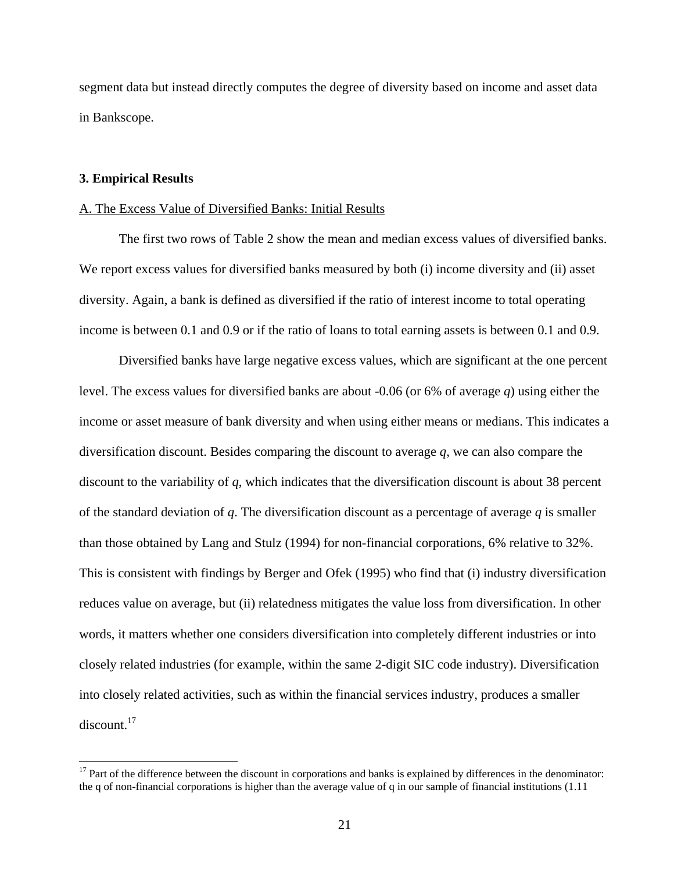segment data but instead directly computes the degree of diversity based on income and asset data in Bankscope.

#### **3. Empirical Results**

 $\overline{a}$ 

#### A. The Excess Value of Diversified Banks: Initial Results

The first two rows of Table 2 show the mean and median excess values of diversified banks. We report excess values for diversified banks measured by both (i) income diversity and (ii) asset diversity. Again, a bank is defined as diversified if the ratio of interest income to total operating income is between 0.1 and 0.9 or if the ratio of loans to total earning assets is between 0.1 and 0.9.

Diversified banks have large negative excess values, which are significant at the one percent level. The excess values for diversified banks are about -0.06 (or 6% of average *q*) using either the income or asset measure of bank diversity and when using either means or medians. This indicates a diversification discount. Besides comparing the discount to average *q*, we can also compare the discount to the variability of *q*, which indicates that the diversification discount is about 38 percent of the standard deviation of *q*. The diversification discount as a percentage of average *q* is smaller than those obtained by Lang and Stulz (1994) for non-financial corporations, 6% relative to 32%. This is consistent with findings by Berger and Ofek (1995) who find that (i) industry diversification reduces value on average, but (ii) relatedness mitigates the value loss from diversification. In other words, it matters whether one considers diversification into completely different industries or into closely related industries (for example, within the same 2-digit SIC code industry). Diversification into closely related activities, such as within the financial services industry, produces a smaller discount.[17](#page-21-0) 

<span id="page-21-0"></span> $17$  Part of the difference between the discount in corporations and banks is explained by differences in the denominator: the q of non-financial corporations is higher than the average value of q in our sample of financial institutions (1.11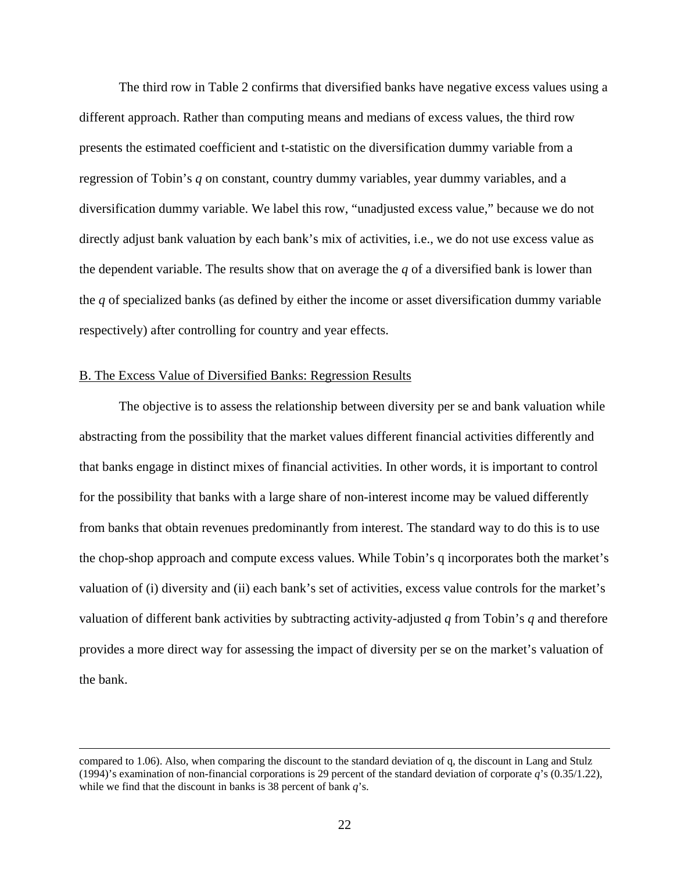The third row in Table 2 confirms that diversified banks have negative excess values using a different approach. Rather than computing means and medians of excess values, the third row presents the estimated coefficient and t-statistic on the diversification dummy variable from a regression of Tobin's *q* on constant, country dummy variables, year dummy variables, and a diversification dummy variable. We label this row, "unadjusted excess value," because we do not directly adjust bank valuation by each bank's mix of activities, i.e., we do not use excess value as the dependent variable. The results show that on average the *q* of a diversified bank is lower than the *q* of specialized banks (as defined by either the income or asset diversification dummy variable respectively) after controlling for country and year effects.

#### B. The Excess Value of Diversified Banks: Regression Results

The objective is to assess the relationship between diversity per se and bank valuation while abstracting from the possibility that the market values different financial activities differently and that banks engage in distinct mixes of financial activities. In other words, it is important to control for the possibility that banks with a large share of non-interest income may be valued differently from banks that obtain revenues predominantly from interest. The standard way to do this is to use the chop-shop approach and compute excess values. While Tobin's q incorporates both the market's valuation of (i) diversity and (ii) each bank's set of activities, excess value controls for the market's valuation of different bank activities by subtracting activity-adjusted *q* from Tobin's *q* and therefore provides a more direct way for assessing the impact of diversity per se on the market's valuation of the bank.

compared to 1.06). Also, when comparing the discount to the standard deviation of q, the discount in Lang and Stulz (1994)'s examination of non-financial corporations is 29 percent of the standard deviation of corporate *q*'s (0.35/1.22), while we find that the discount in banks is 38 percent of bank *q*'s.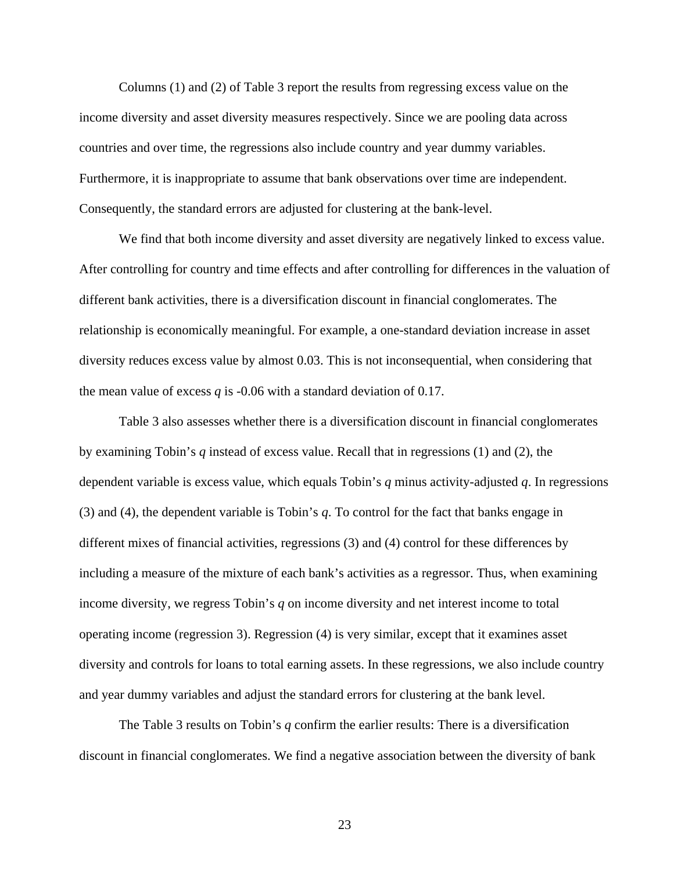Columns (1) and (2) of Table 3 report the results from regressing excess value on the income diversity and asset diversity measures respectively. Since we are pooling data across countries and over time, the regressions also include country and year dummy variables. Furthermore, it is inappropriate to assume that bank observations over time are independent. Consequently, the standard errors are adjusted for clustering at the bank-level.

We find that both income diversity and asset diversity are negatively linked to excess value. After controlling for country and time effects and after controlling for differences in the valuation of different bank activities, there is a diversification discount in financial conglomerates. The relationship is economically meaningful. For example, a one-standard deviation increase in asset diversity reduces excess value by almost 0.03. This is not inconsequential, when considering that the mean value of excess  $q$  is  $-0.06$  with a standard deviation of 0.17.

Table 3 also assesses whether there is a diversification discount in financial conglomerates by examining Tobin's *q* instead of excess value. Recall that in regressions (1) and (2), the dependent variable is excess value, which equals Tobin's *q* minus activity-adjusted *q*. In regressions (3) and (4), the dependent variable is Tobin's *q*. To control for the fact that banks engage in different mixes of financial activities, regressions (3) and (4) control for these differences by including a measure of the mixture of each bank's activities as a regressor. Thus, when examining income diversity, we regress Tobin's *q* on income diversity and net interest income to total operating income (regression 3). Regression (4) is very similar, except that it examines asset diversity and controls for loans to total earning assets. In these regressions, we also include country and year dummy variables and adjust the standard errors for clustering at the bank level.

The Table 3 results on Tobin's *q* confirm the earlier results: There is a diversification discount in financial conglomerates. We find a negative association between the diversity of bank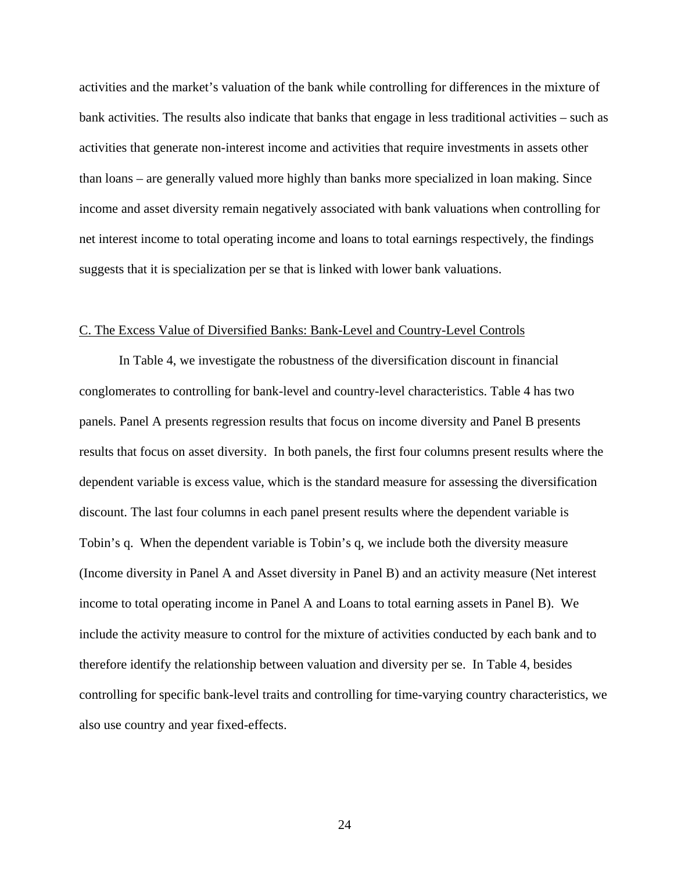activities and the market's valuation of the bank while controlling for differences in the mixture of bank activities. The results also indicate that banks that engage in less traditional activities – such as activities that generate non-interest income and activities that require investments in assets other than loans – are generally valued more highly than banks more specialized in loan making. Since income and asset diversity remain negatively associated with bank valuations when controlling for net interest income to total operating income and loans to total earnings respectively, the findings suggests that it is specialization per se that is linked with lower bank valuations.

#### C. The Excess Value of Diversified Banks: Bank-Level and Country-Level Controls

In Table 4, we investigate the robustness of the diversification discount in financial conglomerates to controlling for bank-level and country-level characteristics. Table 4 has two panels. Panel A presents regression results that focus on income diversity and Panel B presents results that focus on asset diversity. In both panels, the first four columns present results where the dependent variable is excess value, which is the standard measure for assessing the diversification discount. The last four columns in each panel present results where the dependent variable is Tobin's q. When the dependent variable is Tobin's q, we include both the diversity measure (Income diversity in Panel A and Asset diversity in Panel B) and an activity measure (Net interest income to total operating income in Panel A and Loans to total earning assets in Panel B). We include the activity measure to control for the mixture of activities conducted by each bank and to therefore identify the relationship between valuation and diversity per se. In Table 4, besides controlling for specific bank-level traits and controlling for time-varying country characteristics, we also use country and year fixed-effects.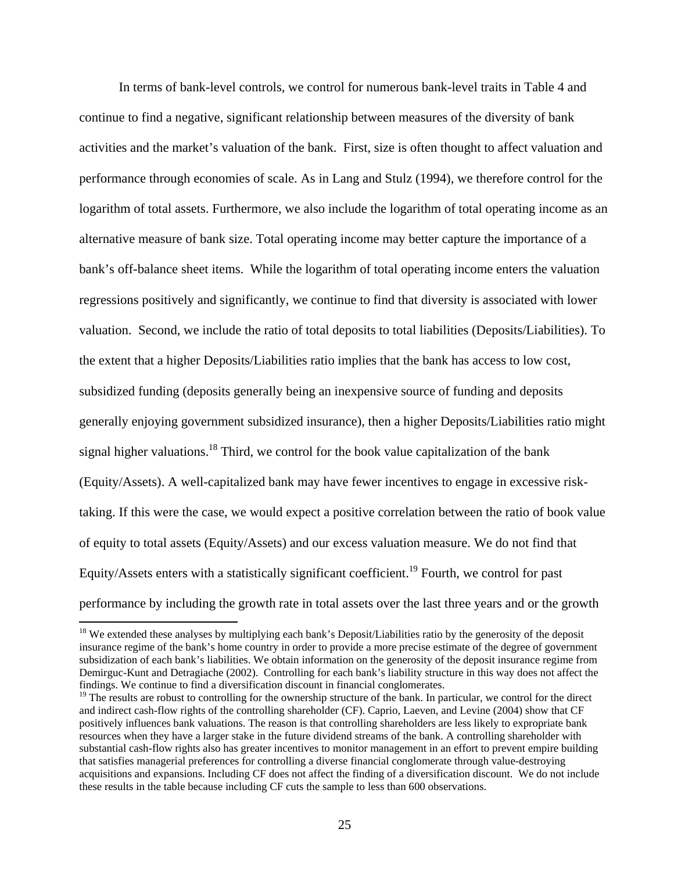In terms of bank-level controls, we control for numerous bank-level traits in Table 4 and continue to find a negative, significant relationship between measures of the diversity of bank activities and the market's valuation of the bank. First, size is often thought to affect valuation and performance through economies of scale. As in Lang and Stulz (1994), we therefore control for the logarithm of total assets. Furthermore, we also include the logarithm of total operating income as an alternative measure of bank size. Total operating income may better capture the importance of a bank's off-balance sheet items. While the logarithm of total operating income enters the valuation regressions positively and significantly, we continue to find that diversity is associated with lower valuation. Second, we include the ratio of total deposits to total liabilities (Deposits/Liabilities). To the extent that a higher Deposits/Liabilities ratio implies that the bank has access to low cost, subsidized funding (deposits generally being an inexpensive source of funding and deposits generally enjoying government subsidized insurance), then a higher Deposits/Liabilities ratio might signal higher valuations.<sup>18</sup> Third, we control for the book value capitalization of the bank (Equity/Assets). A well-capitalized bank may have fewer incentives to engage in excessive risktaking. If this were the case, we would expect a positive correlation between the ratio of book value of equity to total assets (Equity/Assets) and our excess valuation measure. We do not find that Equity/Assets enters with a statistically significant coefficient.<sup>19</sup> Fourth, we control for past performance by including the growth rate in total assets over the last three years and or the growth

 $\overline{a}$ 

<span id="page-25-0"></span><sup>&</sup>lt;sup>18</sup> We extended these analyses by multiplying each bank's Deposit/Liabilities ratio by the generosity of the deposit insurance regime of the bank's home country in order to provide a more precise estimate of the degree of government subsidization of each bank's liabilities. We obtain information on the generosity of the deposit insurance regime from Demirguc-Kunt and Detragiache (2002). Controlling for each bank's liability structure in this way does not affect the findings. We continue to find a diversification discount in financial conglomerates.

<span id="page-25-1"></span><sup>&</sup>lt;sup>19</sup> The results are robust to controlling for the ownership structure of the bank. In particular, we control for the direct and indirect cash-flow rights of the controlling shareholder (CF). Caprio, Laeven, and Levine (2004) show that CF positively influences bank valuations. The reason is that controlling shareholders are less likely to expropriate bank resources when they have a larger stake in the future dividend streams of the bank. A controlling shareholder with substantial cash-flow rights also has greater incentives to monitor management in an effort to prevent empire building that satisfies managerial preferences for controlling a diverse financial conglomerate through value-destroying acquisitions and expansions. Including CF does not affect the finding of a diversification discount. We do not include these results in the table because including CF cuts the sample to less than 600 observations.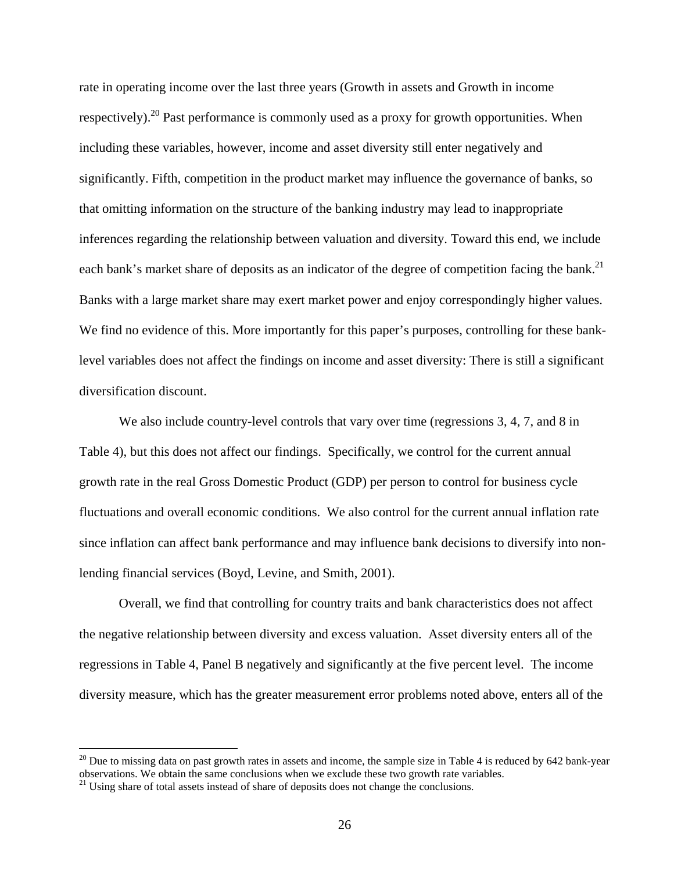rate in operating income over the last three years (Growth in assets and Growth in income respectively).<sup>20</sup> Past performance is commonly used as a proxy for growth opportunities. When including these variables, however, income and asset diversity still enter negatively and significantly. Fifth, competition in the product market may influence the governance of banks, so that omitting information on the structure of the banking industry may lead to inappropriate inferences regarding the relationship between valuation and diversity. Toward this end, we include each bank's market share of deposits as an indicator of the degree of competition facing the bank.<sup>21</sup> Banks with a large market share may exert market power and enjoy correspondingly higher values. We find no evidence of this. More importantly for this paper's purposes, controlling for these banklevel variables does not affect the findings on income and asset diversity: There is still a significant diversification discount.

We also include country-level controls that vary over time (regressions 3, 4, 7, and 8 in Table 4), but this does not affect our findings. Specifically, we control for the current annual growth rate in the real Gross Domestic Product (GDP) per person to control for business cycle fluctuations and overall economic conditions. We also control for the current annual inflation rate since inflation can affect bank performance and may influence bank decisions to diversify into nonlending financial services (Boyd, Levine, and Smith, 2001).

Overall, we find that controlling for country traits and bank characteristics does not affect the negative relationship between diversity and excess valuation. Asset diversity enters all of the regressions in Table 4, Panel B negatively and significantly at the five percent level. The income diversity measure, which has the greater measurement error problems noted above, enters all of the

<span id="page-26-0"></span> $^{20}$  Due to missing data on past growth rates in assets and income, the sample size in Table 4 is reduced by 642 bank-year observations. We obtain the same conclusions when we exclude these two growth rate variables. 21 Using share of total assets instead of share of deposits does not change the conclusions.

<span id="page-26-1"></span>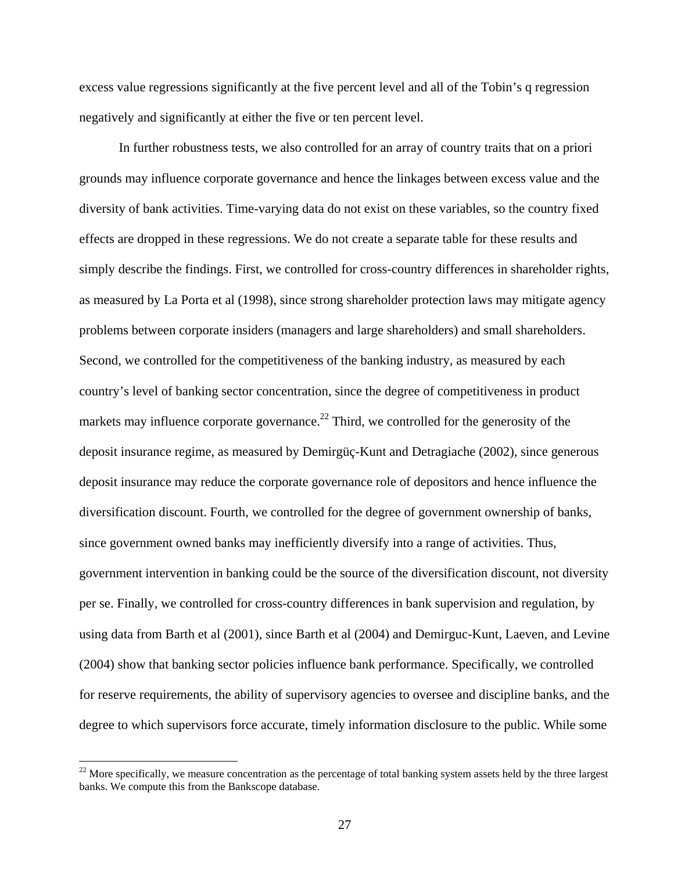excess value regressions significantly at the five percent level and all of the Tobin's q regression negatively and significantly at either the five or ten percent level.

In further robustness tests, we also controlled for an array of country traits that on a priori grounds may influence corporate governance and hence the linkages between excess value and the diversity of bank activities. Time-varying data do not exist on these variables, so the country fixed effects are dropped in these regressions. We do not create a separate table for these results and simply describe the findings. First, we controlled for cross-country differences in shareholder rights, as measured by La Porta et al (1998), since strong shareholder protection laws may mitigate agency problems between corporate insiders (managers and large shareholders) and small shareholders. Second, we controlled for the competitiveness of the banking industry, as measured by each country's level of banking sector concentration, since the degree of competitiveness in product markets may influence corporate governance.<sup>22</sup> Third, we controlled for the generosity of the deposit insurance regime, as measured by Demirgüç-Kunt and Detragiache (2002), since generous deposit insurance may reduce the corporate governance role of depositors and hence influence the diversification discount. Fourth, we controlled for the degree of government ownership of banks, since government owned banks may inefficiently diversify into a range of activities. Thus, government intervention in banking could be the source of the diversification discount, not diversity per se. Finally, we controlled for cross-country differences in bank supervision and regulation, by using data from Barth et al (2001), since Barth et al (2004) and Demirguc-Kunt, Laeven, and Levine (2004) show that banking sector policies influence bank performance. Specifically, we controlled for reserve requirements, the ability of supervisory agencies to oversee and discipline banks, and the degree to which supervisors force accurate, timely information disclosure to the public. While some

<span id="page-27-0"></span> $22$  More specifically, we measure concentration as the percentage of total banking system assets held by the three largest banks. We compute this from the Bankscope database.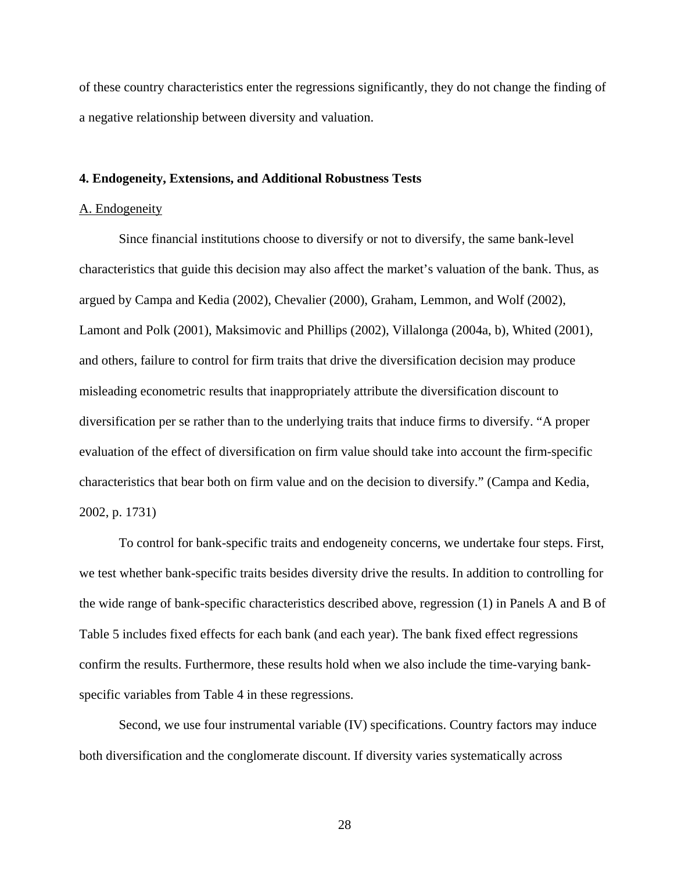of these country characteristics enter the regressions significantly, they do not change the finding of a negative relationship between diversity and valuation.

#### **4. Endogeneity, Extensions, and Additional Robustness Tests**

#### A. Endogeneity

Since financial institutions choose to diversify or not to diversify, the same bank-level characteristics that guide this decision may also affect the market's valuation of the bank. Thus, as argued by Campa and Kedia (2002), Chevalier (2000), Graham, Lemmon, and Wolf (2002), Lamont and Polk (2001), Maksimovic and Phillips (2002), Villalonga (2004a, b), Whited (2001), and others, failure to control for firm traits that drive the diversification decision may produce misleading econometric results that inappropriately attribute the diversification discount to diversification per se rather than to the underlying traits that induce firms to diversify. "A proper evaluation of the effect of diversification on firm value should take into account the firm-specific characteristics that bear both on firm value and on the decision to diversify." (Campa and Kedia, 2002, p. 1731)

To control for bank-specific traits and endogeneity concerns, we undertake four steps. First, we test whether bank-specific traits besides diversity drive the results. In addition to controlling for the wide range of bank-specific characteristics described above, regression (1) in Panels A and B of Table 5 includes fixed effects for each bank (and each year). The bank fixed effect regressions confirm the results. Furthermore, these results hold when we also include the time-varying bankspecific variables from Table 4 in these regressions.

Second, we use four instrumental variable (IV) specifications. Country factors may induce both diversification and the conglomerate discount. If diversity varies systematically across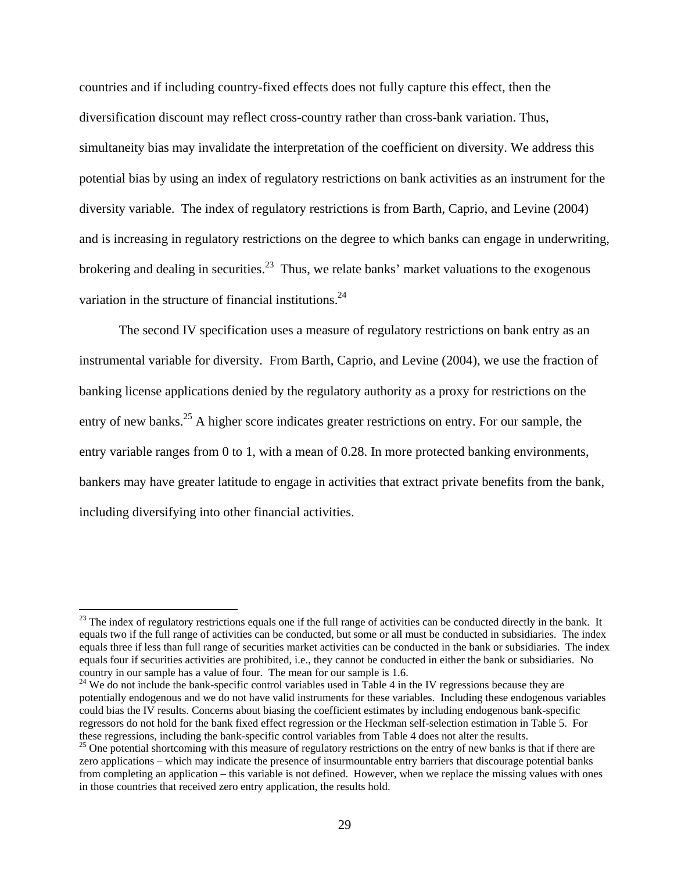countries and if including country-fixed effects does not fully capture this effect, then the diversification discount may reflect cross-country rather than cross-bank variation. Thus, simultaneity bias may invalidate the interpretation of the coefficient on diversity. We address this potential bias by using an index of regulatory restrictions on bank activities as an instrument for the diversity variable. The index of regulatory restrictions is from Barth, Caprio, and Levine (2004) and is increasing in regulatory restrictions on the degree to which banks can engage in underwriting, brokering and dealing in securities.<sup>23</sup> Thus, we relate banks' market valuations to the exogenous variation in the structure of financial institutions.<sup>24</sup>

The second IV specification uses a measure of regulatory restrictions on bank entry as an instrumental variable for diversity. From Barth, Caprio, and Levine (2004), we use the fraction of banking license applications denied by the regulatory authority as a proxy for restrictions on the entry of new banks.<sup>25</sup> A higher score indicates greater restrictions on entry. For our sample, the entry variable ranges from 0 to 1, with a mean of 0.28. In more protected banking environments, bankers may have greater latitude to engage in activities that extract private benefits from the bank, including diversifying into other financial activities.

<span id="page-29-0"></span> $23$  The index of regulatory restrictions equals one if the full range of activities can be conducted directly in the bank. It equals two if the full range of activities can be conducted, but some or all must be conducted in subsidiaries. The index equals three if less than full range of securities market activities can be conducted in the bank or subsidiaries. The index equals four if securities activities are prohibited, i.e., they cannot be conducted in either the bank or subsidiaries. No country in our sample has a value of four. The mean for our sample is 1.6.

<span id="page-29-1"></span><sup>&</sup>lt;sup>24</sup> We do not include the bank-specific control variables used in Table 4 in the IV regressions because they are potentially endogenous and we do not have valid instruments for these variables. Including these endogenous variables could bias the IV results. Concerns about biasing the coefficient estimates by including endogenous bank-specific regressors do not hold for the bank fixed effect regression or the Heckman self-selection estimation in Table 5. For these regressions, including the bank-specific control variables from Table 4 does not alter the results.<br><sup>25</sup> One potential shortcoming with this measure of regulatory restrictions on the entry of new banks is that if the

<span id="page-29-2"></span>zero applications – which may indicate the presence of insurmountable entry barriers that discourage potential banks from completing an application – this variable is not defined. However, when we replace the missing values with ones in those countries that received zero entry application, the results hold.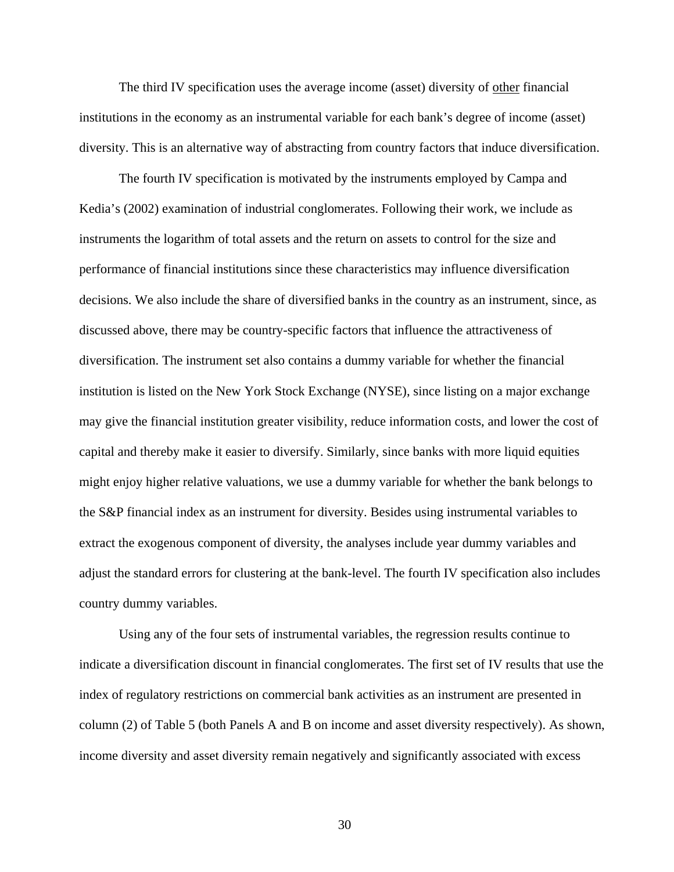The third IV specification uses the average income (asset) diversity of other financial institutions in the economy as an instrumental variable for each bank's degree of income (asset) diversity. This is an alternative way of abstracting from country factors that induce diversification.

The fourth IV specification is motivated by the instruments employed by Campa and Kedia's (2002) examination of industrial conglomerates. Following their work, we include as instruments the logarithm of total assets and the return on assets to control for the size and performance of financial institutions since these characteristics may influence diversification decisions. We also include the share of diversified banks in the country as an instrument, since, as discussed above, there may be country-specific factors that influence the attractiveness of diversification. The instrument set also contains a dummy variable for whether the financial institution is listed on the New York Stock Exchange (NYSE), since listing on a major exchange may give the financial institution greater visibility, reduce information costs, and lower the cost of capital and thereby make it easier to diversify. Similarly, since banks with more liquid equities might enjoy higher relative valuations, we use a dummy variable for whether the bank belongs to the S&P financial index as an instrument for diversity. Besides using instrumental variables to extract the exogenous component of diversity, the analyses include year dummy variables and adjust the standard errors for clustering at the bank-level. The fourth IV specification also includes country dummy variables.

Using any of the four sets of instrumental variables, the regression results continue to indicate a diversification discount in financial conglomerates. The first set of IV results that use the index of regulatory restrictions on commercial bank activities as an instrument are presented in column (2) of Table 5 (both Panels A and B on income and asset diversity respectively). As shown, income diversity and asset diversity remain negatively and significantly associated with excess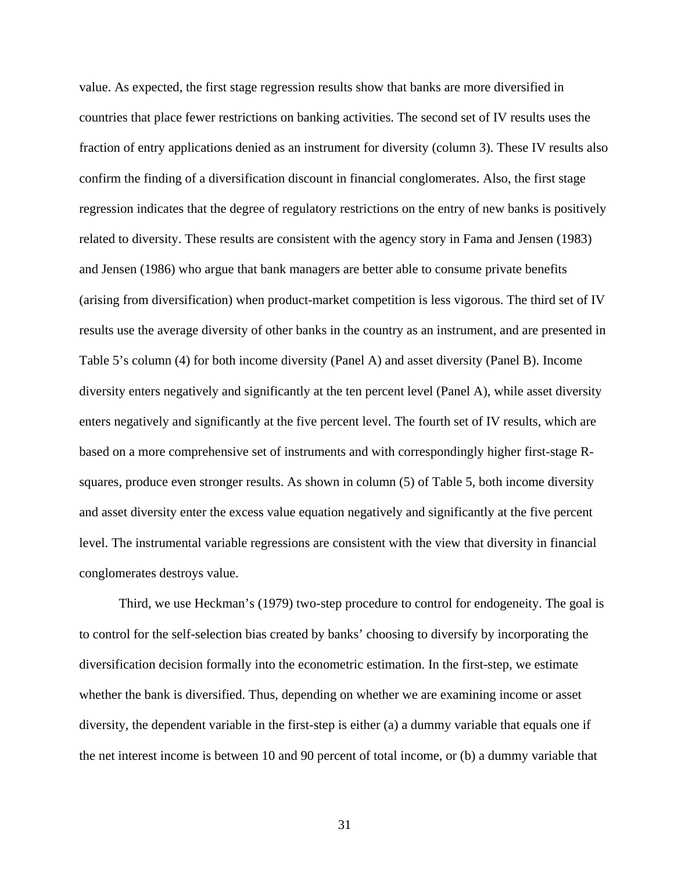value. As expected, the first stage regression results show that banks are more diversified in countries that place fewer restrictions on banking activities. The second set of IV results uses the fraction of entry applications denied as an instrument for diversity (column 3). These IV results also confirm the finding of a diversification discount in financial conglomerates. Also, the first stage regression indicates that the degree of regulatory restrictions on the entry of new banks is positively related to diversity. These results are consistent with the agency story in Fama and Jensen (1983) and Jensen (1986) who argue that bank managers are better able to consume private benefits (arising from diversification) when product-market competition is less vigorous. The third set of IV results use the average diversity of other banks in the country as an instrument, and are presented in Table 5's column (4) for both income diversity (Panel A) and asset diversity (Panel B). Income diversity enters negatively and significantly at the ten percent level (Panel A), while asset diversity enters negatively and significantly at the five percent level. The fourth set of IV results, which are based on a more comprehensive set of instruments and with correspondingly higher first-stage Rsquares, produce even stronger results. As shown in column (5) of Table 5, both income diversity and asset diversity enter the excess value equation negatively and significantly at the five percent level. The instrumental variable regressions are consistent with the view that diversity in financial conglomerates destroys value.

Third, we use Heckman's (1979) two-step procedure to control for endogeneity. The goal is to control for the self-selection bias created by banks' choosing to diversify by incorporating the diversification decision formally into the econometric estimation. In the first-step, we estimate whether the bank is diversified. Thus, depending on whether we are examining income or asset diversity, the dependent variable in the first-step is either (a) a dummy variable that equals one if the net interest income is between 10 and 90 percent of total income, or (b) a dummy variable that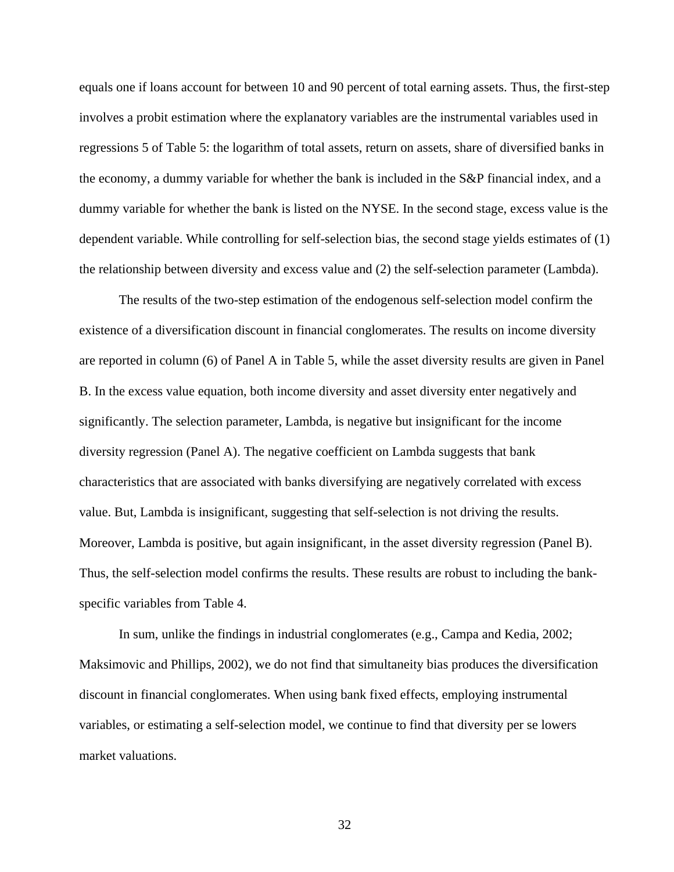equals one if loans account for between 10 and 90 percent of total earning assets. Thus, the first-step involves a probit estimation where the explanatory variables are the instrumental variables used in regressions 5 of Table 5: the logarithm of total assets, return on assets, share of diversified banks in the economy, a dummy variable for whether the bank is included in the S&P financial index, and a dummy variable for whether the bank is listed on the NYSE. In the second stage, excess value is the dependent variable. While controlling for self-selection bias, the second stage yields estimates of (1) the relationship between diversity and excess value and (2) the self-selection parameter (Lambda).

The results of the two-step estimation of the endogenous self-selection model confirm the existence of a diversification discount in financial conglomerates. The results on income diversity are reported in column (6) of Panel A in Table 5, while the asset diversity results are given in Panel B. In the excess value equation, both income diversity and asset diversity enter negatively and significantly. The selection parameter, Lambda, is negative but insignificant for the income diversity regression (Panel A). The negative coefficient on Lambda suggests that bank characteristics that are associated with banks diversifying are negatively correlated with excess value. But, Lambda is insignificant, suggesting that self-selection is not driving the results. Moreover, Lambda is positive, but again insignificant, in the asset diversity regression (Panel B). Thus, the self-selection model confirms the results. These results are robust to including the bankspecific variables from Table 4.

In sum, unlike the findings in industrial conglomerates (e.g., Campa and Kedia, 2002; Maksimovic and Phillips, 2002), we do not find that simultaneity bias produces the diversification discount in financial conglomerates. When using bank fixed effects, employing instrumental variables, or estimating a self-selection model, we continue to find that diversity per se lowers market valuations.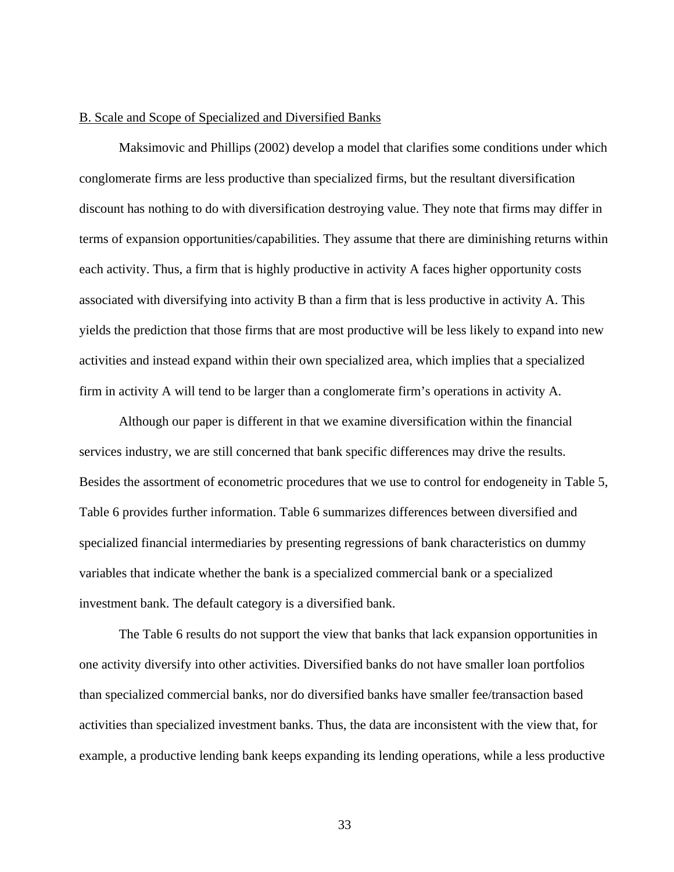#### B. Scale and Scope of Specialized and Diversified Banks

Maksimovic and Phillips (2002) develop a model that clarifies some conditions under which conglomerate firms are less productive than specialized firms, but the resultant diversification discount has nothing to do with diversification destroying value. They note that firms may differ in terms of expansion opportunities/capabilities. They assume that there are diminishing returns within each activity. Thus, a firm that is highly productive in activity A faces higher opportunity costs associated with diversifying into activity B than a firm that is less productive in activity A. This yields the prediction that those firms that are most productive will be less likely to expand into new activities and instead expand within their own specialized area, which implies that a specialized firm in activity A will tend to be larger than a conglomerate firm's operations in activity A.

Although our paper is different in that we examine diversification within the financial services industry, we are still concerned that bank specific differences may drive the results. Besides the assortment of econometric procedures that we use to control for endogeneity in Table 5, Table 6 provides further information. Table 6 summarizes differences between diversified and specialized financial intermediaries by presenting regressions of bank characteristics on dummy variables that indicate whether the bank is a specialized commercial bank or a specialized investment bank. The default category is a diversified bank.

The Table 6 results do not support the view that banks that lack expansion opportunities in one activity diversify into other activities. Diversified banks do not have smaller loan portfolios than specialized commercial banks, nor do diversified banks have smaller fee/transaction based activities than specialized investment banks. Thus, the data are inconsistent with the view that, for example, a productive lending bank keeps expanding its lending operations, while a less productive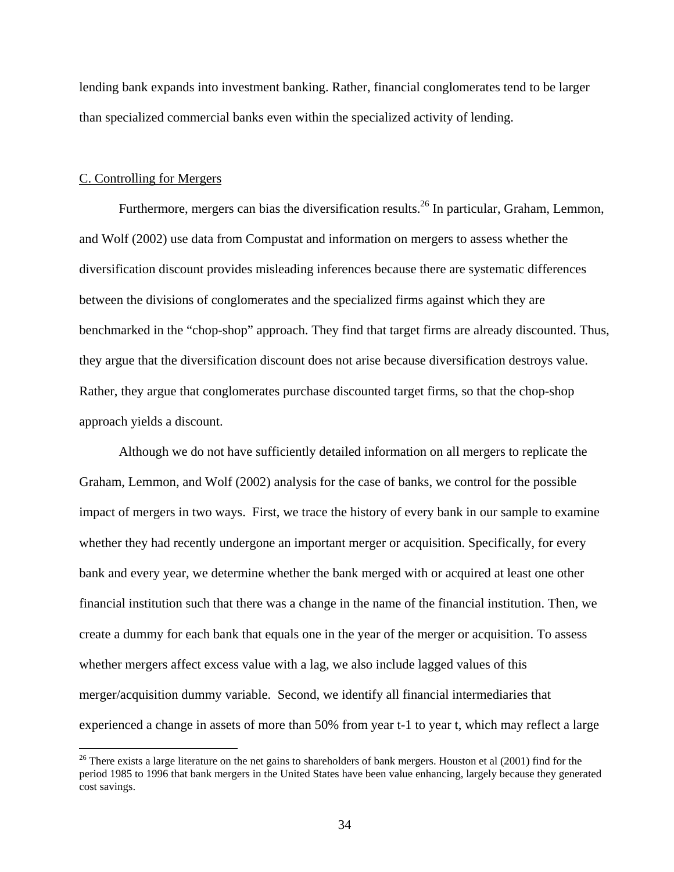lending bank expands into investment banking. Rather, financial conglomerates tend to be larger than specialized commercial banks even within the specialized activity of lending.

#### C. Controlling for Mergers

 $\overline{a}$ 

Furthermore, mergers can bias the diversification results.<sup>26</sup> In particular, Graham, Lemmon, and Wolf (2002) use data from Compustat and information on mergers to assess whether the diversification discount provides misleading inferences because there are systematic differences between the divisions of conglomerates and the specialized firms against which they are benchmarked in the "chop-shop" approach. They find that target firms are already discounted. Thus, they argue that the diversification discount does not arise because diversification destroys value. Rather, they argue that conglomerates purchase discounted target firms, so that the chop-shop approach yields a discount.

Although we do not have sufficiently detailed information on all mergers to replicate the Graham, Lemmon, and Wolf (2002) analysis for the case of banks, we control for the possible impact of mergers in two ways. First, we trace the history of every bank in our sample to examine whether they had recently undergone an important merger or acquisition. Specifically, for every bank and every year, we determine whether the bank merged with or acquired at least one other financial institution such that there was a change in the name of the financial institution. Then, we create a dummy for each bank that equals one in the year of the merger or acquisition. To assess whether mergers affect excess value with a lag, we also include lagged values of this merger/acquisition dummy variable. Second, we identify all financial intermediaries that experienced a change in assets of more than 50% from year t-1 to year t, which may reflect a large

<span id="page-34-0"></span> $26$  There exists a large literature on the net gains to shareholders of bank mergers. Houston et al (2001) find for the period 1985 to 1996 that bank mergers in the United States have been value enhancing, largely because they generated cost savings.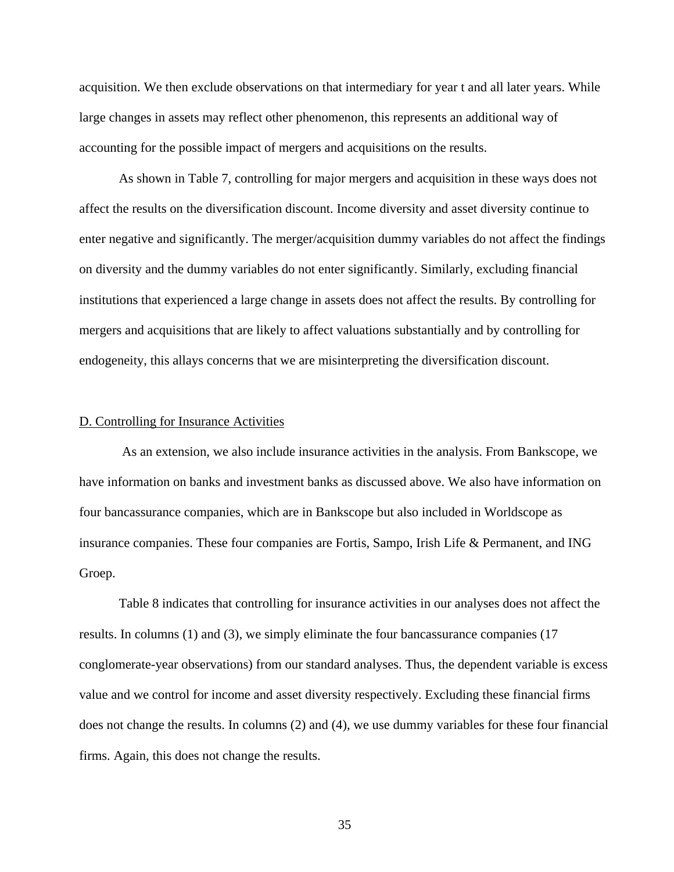acquisition. We then exclude observations on that intermediary for year t and all later years. While large changes in assets may reflect other phenomenon, this represents an additional way of accounting for the possible impact of mergers and acquisitions on the results.

As shown in Table 7, controlling for major mergers and acquisition in these ways does not affect the results on the diversification discount. Income diversity and asset diversity continue to enter negative and significantly. The merger/acquisition dummy variables do not affect the findings on diversity and the dummy variables do not enter significantly. Similarly, excluding financial institutions that experienced a large change in assets does not affect the results. By controlling for mergers and acquisitions that are likely to affect valuations substantially and by controlling for endogeneity, this allays concerns that we are misinterpreting the diversification discount.

#### D. Controlling for Insurance Activities

 As an extension, we also include insurance activities in the analysis. From Bankscope, we have information on banks and investment banks as discussed above. We also have information on four bancassurance companies, which are in Bankscope but also included in Worldscope as insurance companies. These four companies are Fortis, Sampo, Irish Life & Permanent, and ING Groep.

Table 8 indicates that controlling for insurance activities in our analyses does not affect the results. In columns (1) and (3), we simply eliminate the four bancassurance companies (17 conglomerate-year observations) from our standard analyses. Thus, the dependent variable is excess value and we control for income and asset diversity respectively. Excluding these financial firms does not change the results. In columns (2) and (4), we use dummy variables for these four financial firms. Again, this does not change the results.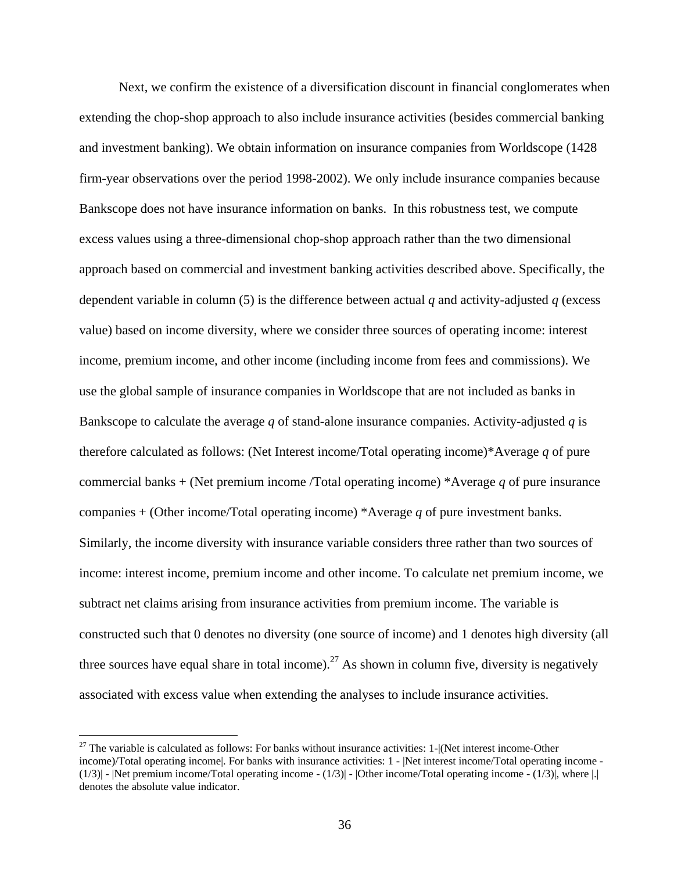Next, we confirm the existence of a diversification discount in financial conglomerates when extending the chop-shop approach to also include insurance activities (besides commercial banking and investment banking). We obtain information on insurance companies from Worldscope (1428 firm-year observations over the period 1998-2002). We only include insurance companies because Bankscope does not have insurance information on banks. In this robustness test, we compute excess values using a three-dimensional chop-shop approach rather than the two dimensional approach based on commercial and investment banking activities described above. Specifically, the dependent variable in column (5) is the difference between actual *q* and activity-adjusted *q* (excess value) based on income diversity, where we consider three sources of operating income: interest income, premium income, and other income (including income from fees and commissions). We use the global sample of insurance companies in Worldscope that are not included as banks in Bankscope to calculate the average *q* of stand-alone insurance companies. Activity-adjusted *q* is therefore calculated as follows: (Net Interest income/Total operating income)\*Average *q* of pure commercial banks + (Net premium income /Total operating income) \*Average *q* of pure insurance companies + (Other income/Total operating income) \*Average *q* of pure investment banks. Similarly, the income diversity with insurance variable considers three rather than two sources of income: interest income, premium income and other income. To calculate net premium income, we subtract net claims arising from insurance activities from premium income. The variable is constructed such that 0 denotes no diversity (one source of income) and 1 denotes high diversity (all three sources have equal share in total income).<sup>27</sup> As shown in column five, diversity is negatively associated with excess value when extending the analyses to include insurance activities.

 $\overline{a}$ 

<span id="page-36-0"></span> $27$  The variable is calculated as follows: For banks without insurance activities: 1- $(Net$  interest income-Other income)/Total operating income|. For banks with insurance activities: 1 - |Net interest income/Total operating income -  $(1/3)|$  - |Net premium income/Total operating income -  $(1/3)|$  - |Other income/Total operating income -  $(1/3)|$ , where |.| denotes the absolute value indicator.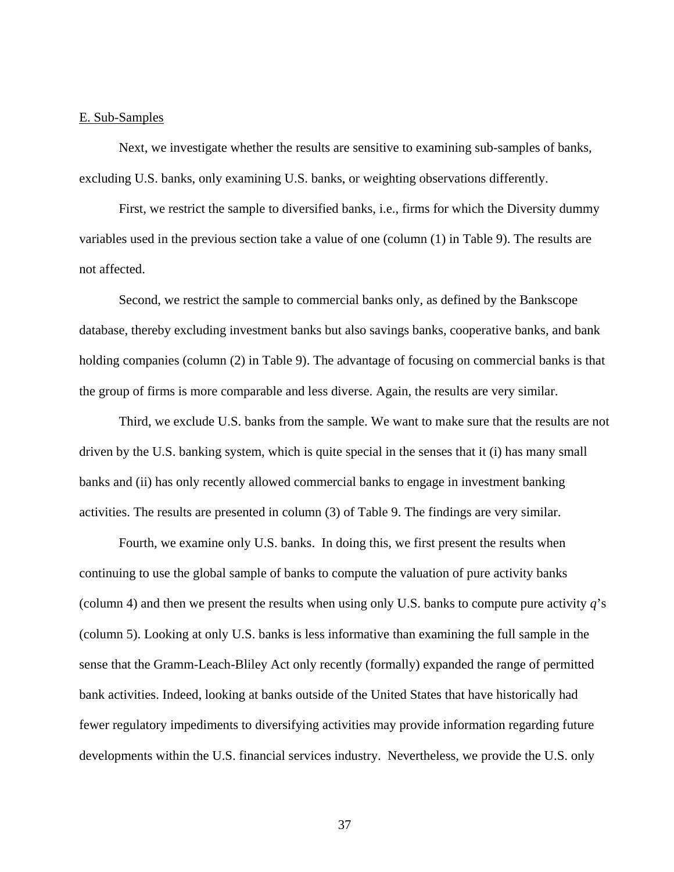#### E. Sub-Samples

Next, we investigate whether the results are sensitive to examining sub-samples of banks, excluding U.S. banks, only examining U.S. banks, or weighting observations differently.

First, we restrict the sample to diversified banks, i.e., firms for which the Diversity dummy variables used in the previous section take a value of one (column (1) in Table 9). The results are not affected.

Second, we restrict the sample to commercial banks only, as defined by the Bankscope database, thereby excluding investment banks but also savings banks, cooperative banks, and bank holding companies (column (2) in Table 9). The advantage of focusing on commercial banks is that the group of firms is more comparable and less diverse. Again, the results are very similar.

Third, we exclude U.S. banks from the sample. We want to make sure that the results are not driven by the U.S. banking system, which is quite special in the senses that it (i) has many small banks and (ii) has only recently allowed commercial banks to engage in investment banking activities. The results are presented in column (3) of Table 9. The findings are very similar.

Fourth, we examine only U.S. banks. In doing this, we first present the results when continuing to use the global sample of banks to compute the valuation of pure activity banks (column 4) and then we present the results when using only U.S. banks to compute pure activity *q*'s (column 5). Looking at only U.S. banks is less informative than examining the full sample in the sense that the Gramm-Leach-Bliley Act only recently (formally) expanded the range of permitted bank activities. Indeed, looking at banks outside of the United States that have historically had fewer regulatory impediments to diversifying activities may provide information regarding future developments within the U.S. financial services industry. Nevertheless, we provide the U.S. only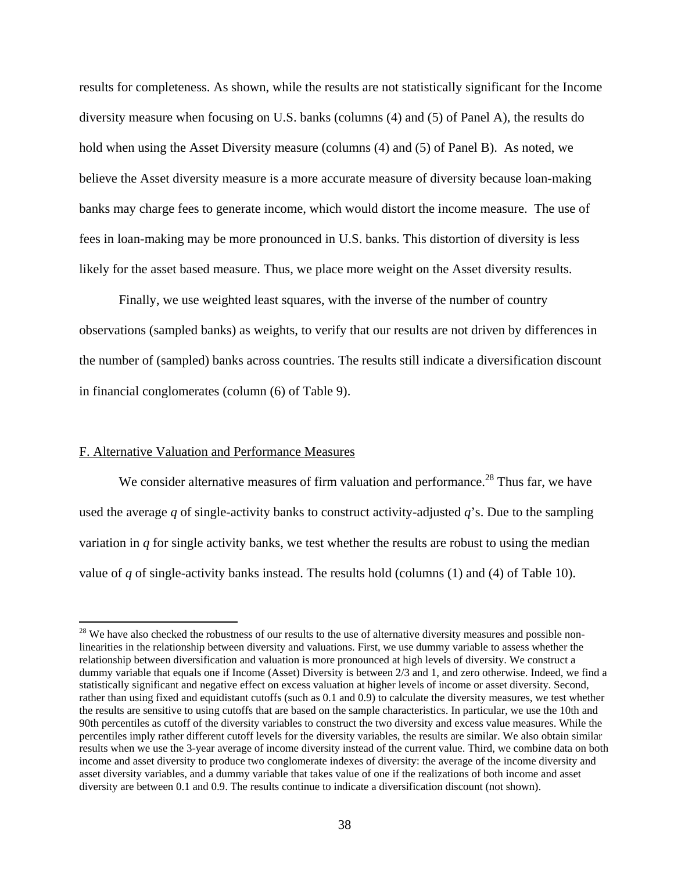results for completeness. As shown, while the results are not statistically significant for the Income diversity measure when focusing on U.S. banks (columns (4) and (5) of Panel A), the results do hold when using the Asset Diversity measure (columns (4) and (5) of Panel B). As noted, we believe the Asset diversity measure is a more accurate measure of diversity because loan-making banks may charge fees to generate income, which would distort the income measure. The use of fees in loan-making may be more pronounced in U.S. banks. This distortion of diversity is less likely for the asset based measure. Thus, we place more weight on the Asset diversity results.

Finally, we use weighted least squares, with the inverse of the number of country observations (sampled banks) as weights, to verify that our results are not driven by differences in the number of (sampled) banks across countries. The results still indicate a diversification discount in financial conglomerates (column (6) of Table 9).

#### F. Alternative Valuation and Performance Measures

1

We consider alternative measures of firm valuation and performance.<sup>28</sup> Thus far, we have used the average *q* of single-activity banks to construct activity-adjusted *q*'s. Due to the sampling variation in *q* for single activity banks, we test whether the results are robust to using the median value of *q* of single-activity banks instead. The results hold (columns (1) and (4) of Table 10).

<span id="page-38-0"></span><sup>&</sup>lt;sup>28</sup> We have also checked the robustness of our results to the use of alternative diversity measures and possible nonlinearities in the relationship between diversity and valuations. First, we use dummy variable to assess whether the relationship between diversification and valuation is more pronounced at high levels of diversity. We construct a dummy variable that equals one if Income (Asset) Diversity is between 2/3 and 1, and zero otherwise. Indeed, we find a statistically significant and negative effect on excess valuation at higher levels of income or asset diversity. Second, rather than using fixed and equidistant cutoffs (such as 0.1 and 0.9) to calculate the diversity measures, we test whether the results are sensitive to using cutoffs that are based on the sample characteristics. In particular, we use the 10th and 90th percentiles as cutoff of the diversity variables to construct the two diversity and excess value measures. While the percentiles imply rather different cutoff levels for the diversity variables, the results are similar. We also obtain similar results when we use the 3-year average of income diversity instead of the current value. Third, we combine data on both income and asset diversity to produce two conglomerate indexes of diversity: the average of the income diversity and asset diversity variables, and a dummy variable that takes value of one if the realizations of both income and asset diversity are between 0.1 and 0.9. The results continue to indicate a diversification discount (not shown).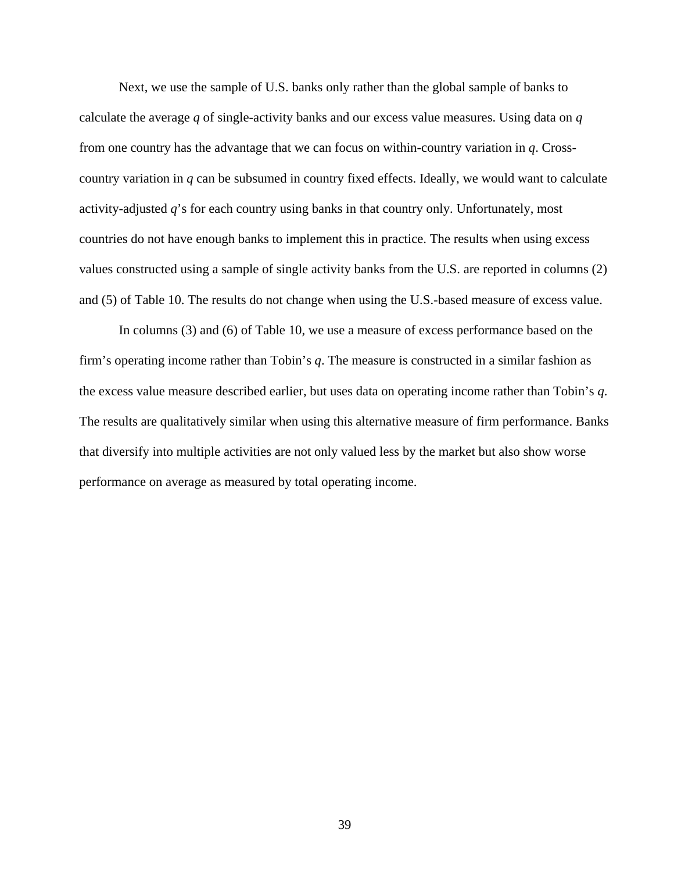Next, we use the sample of U.S. banks only rather than the global sample of banks to calculate the average *q* of single-activity banks and our excess value measures. Using data on *q* from one country has the advantage that we can focus on within-country variation in *q*. Crosscountry variation in *q* can be subsumed in country fixed effects. Ideally, we would want to calculate activity-adjusted *q*'s for each country using banks in that country only. Unfortunately, most countries do not have enough banks to implement this in practice. The results when using excess values constructed using a sample of single activity banks from the U.S. are reported in columns (2) and (5) of Table 10. The results do not change when using the U.S.-based measure of excess value.

In columns (3) and (6) of Table 10, we use a measure of excess performance based on the firm's operating income rather than Tobin's *q*. The measure is constructed in a similar fashion as the excess value measure described earlier, but uses data on operating income rather than Tobin's *q*. The results are qualitatively similar when using this alternative measure of firm performance. Banks that diversify into multiple activities are not only valued less by the market but also show worse performance on average as measured by total operating income.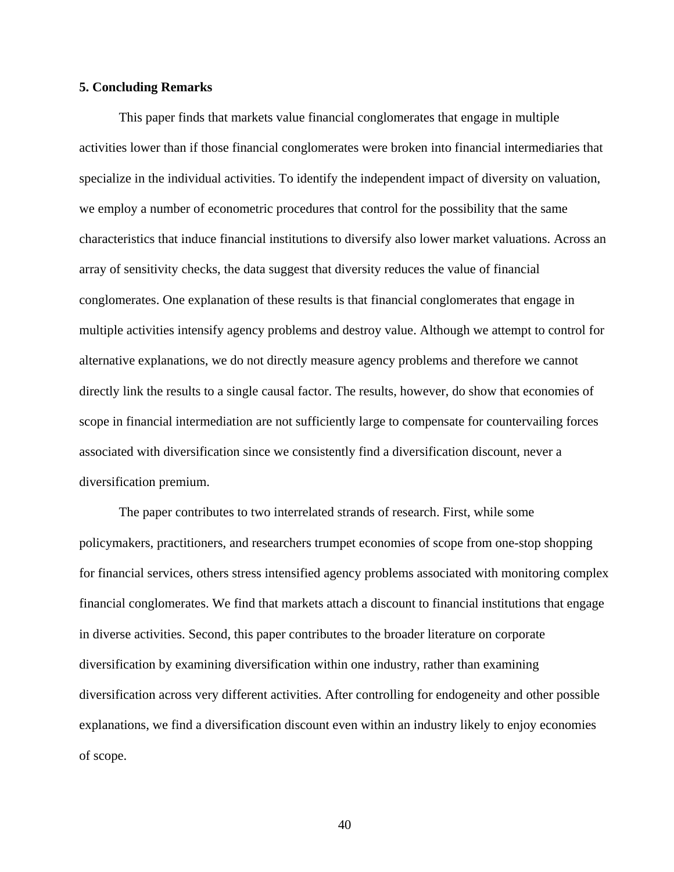#### **5. Concluding Remarks**

This paper finds that markets value financial conglomerates that engage in multiple activities lower than if those financial conglomerates were broken into financial intermediaries that specialize in the individual activities. To identify the independent impact of diversity on valuation, we employ a number of econometric procedures that control for the possibility that the same characteristics that induce financial institutions to diversify also lower market valuations. Across an array of sensitivity checks, the data suggest that diversity reduces the value of financial conglomerates. One explanation of these results is that financial conglomerates that engage in multiple activities intensify agency problems and destroy value. Although we attempt to control for alternative explanations, we do not directly measure agency problems and therefore we cannot directly link the results to a single causal factor. The results, however, do show that economies of scope in financial intermediation are not sufficiently large to compensate for countervailing forces associated with diversification since we consistently find a diversification discount, never a diversification premium.

The paper contributes to two interrelated strands of research. First, while some policymakers, practitioners, and researchers trumpet economies of scope from one-stop shopping for financial services, others stress intensified agency problems associated with monitoring complex financial conglomerates. We find that markets attach a discount to financial institutions that engage in diverse activities. Second, this paper contributes to the broader literature on corporate diversification by examining diversification within one industry, rather than examining diversification across very different activities. After controlling for endogeneity and other possible explanations, we find a diversification discount even within an industry likely to enjoy economies of scope.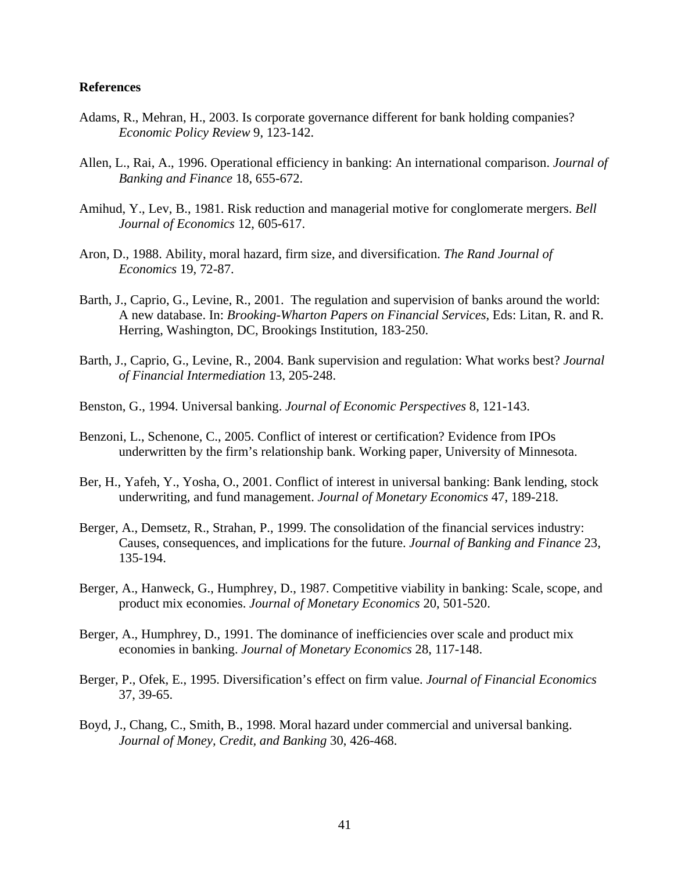#### **References**

- Adams, R., Mehran, H., 2003. Is corporate governance different for bank holding companies? *Economic Policy Review* 9, 123-142.
- Allen, L., Rai, A., 1996. Operational efficiency in banking: An international comparison. *Journal of Banking and Finance* 18, 655-672.
- Amihud, Y., Lev, B., 1981. Risk reduction and managerial motive for conglomerate mergers. *Bell Journal of Economics* 12, 605-617.
- Aron, D., 1988. Ability, moral hazard, firm size, and diversification. *The Rand Journal of Economics* 19, 72-87.
- Barth, J., Caprio, G., Levine, R., 2001. The regulation and supervision of banks around the world: A new database. In: *Brooking-Wharton Papers on Financial Services*, Eds: Litan, R. and R. Herring, Washington, DC, Brookings Institution, 183-250.
- Barth, J., Caprio, G., Levine, R., 2004. Bank supervision and regulation: What works best? *Journal of Financial Intermediation* 13, 205-248.
- Benston, G., 1994. Universal banking. *Journal of Economic Perspectives* 8, 121-143.
- Benzoni, L., Schenone, C., 2005. Conflict of interest or certification? Evidence from IPOs underwritten by the firm's relationship bank. Working paper, University of Minnesota.
- Ber, H., Yafeh, Y., Yosha, O., 2001. Conflict of interest in universal banking: Bank lending, stock underwriting, and fund management. *Journal of Monetary Economics* 47, 189-218.
- Berger, A., Demsetz, R., Strahan, P., 1999. The consolidation of the financial services industry: Causes, consequences, and implications for the future. *Journal of Banking and Finance* 23, 135-194.
- Berger, A., Hanweck, G., Humphrey, D., 1987. Competitive viability in banking: Scale, scope, and product mix economies. *Journal of Monetary Economics* 20, 501-520.
- Berger, A., Humphrey, D., 1991. The dominance of inefficiencies over scale and product mix economies in banking. *Journal of Monetary Economics* 28, 117-148.
- Berger, P., Ofek, E., 1995. Diversification's effect on firm value. *Journal of Financial Economics* 37, 39-65.
- Boyd, J., Chang, C., Smith, B., 1998. Moral hazard under commercial and universal banking. *Journal of Money, Credit, and Banking* 30, 426-468.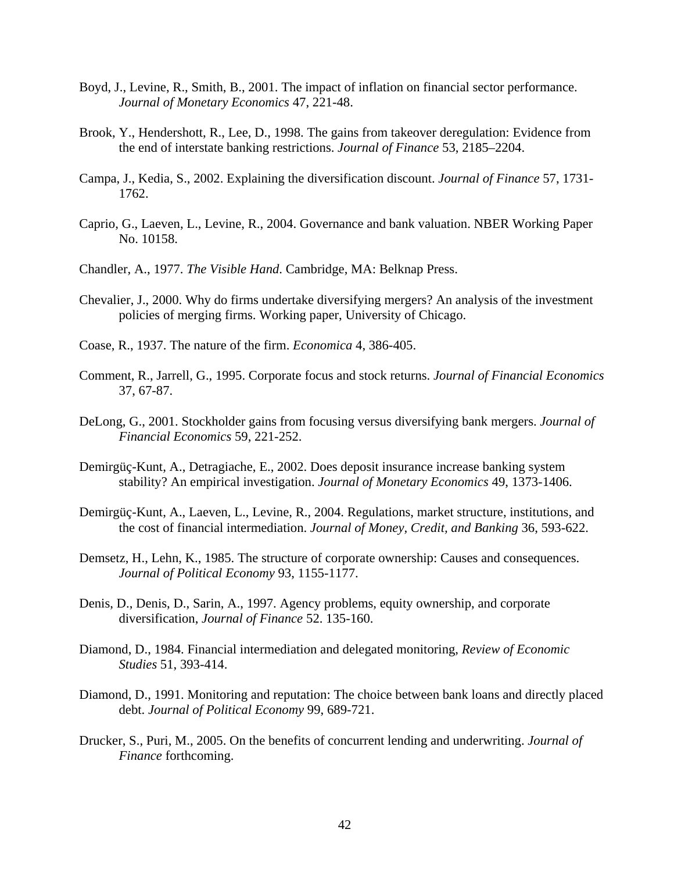- Boyd, J., Levine, R., Smith, B., 2001. The impact of inflation on financial sector performance. *Journal of Monetary Economics* 47, 221-48.
- Brook, Y., Hendershott, R., Lee, D., 1998. The gains from takeover deregulation: Evidence from the end of interstate banking restrictions. *Journal of Finance* 53, 2185–2204.
- Campa, J., Kedia, S., 2002. Explaining the diversification discount. *Journal of Finance* 57, 1731- 1762.
- Caprio, G., Laeven, L., Levine, R., 2004. Governance and bank valuation. NBER Working Paper No. 10158.
- Chandler, A., 1977. *The Visible Hand*. Cambridge, MA: Belknap Press.
- Chevalier, J., 2000. Why do firms undertake diversifying mergers? An analysis of the investment policies of merging firms. Working paper, University of Chicago.
- Coase, R., 1937. The nature of the firm. *Economica* 4, 386-405.
- Comment, R., Jarrell, G., 1995. Corporate focus and stock returns. *Journal of Financial Economics* 37, 67-87.
- DeLong, G., 2001. Stockholder gains from focusing versus diversifying bank mergers. *Journal of Financial Economics* 59, 221-252.
- Demirgüç-Kunt, A., Detragiache, E., 2002. Does deposit insurance increase banking system stability? An empirical investigation. *Journal of Monetary Economics* 49, 1373-1406.
- Demirgüç-Kunt, A., Laeven, L., Levine, R., 2004. Regulations, market structure, institutions, and the cost of financial intermediation. *Journal of Money, Credit, and Banking* 36, 593-622.
- Demsetz, H., Lehn, K., 1985. The structure of corporate ownership: Causes and consequences. *Journal of Political Economy* 93, 1155-1177.
- Denis, D., Denis, D., Sarin, A., 1997. Agency problems, equity ownership, and corporate diversification, *Journal of Finance* 52. 135-160.
- Diamond, D., 1984. Financial intermediation and delegated monitoring, *Review of Economic Studies* 51, 393-414.
- Diamond, D., 1991. Monitoring and reputation: The choice between bank loans and directly placed debt. *Journal of Political Economy* 99, 689-721.
- Drucker, S., Puri, M., 2005. On the benefits of concurrent lending and underwriting. *Journal of Finance* forthcoming.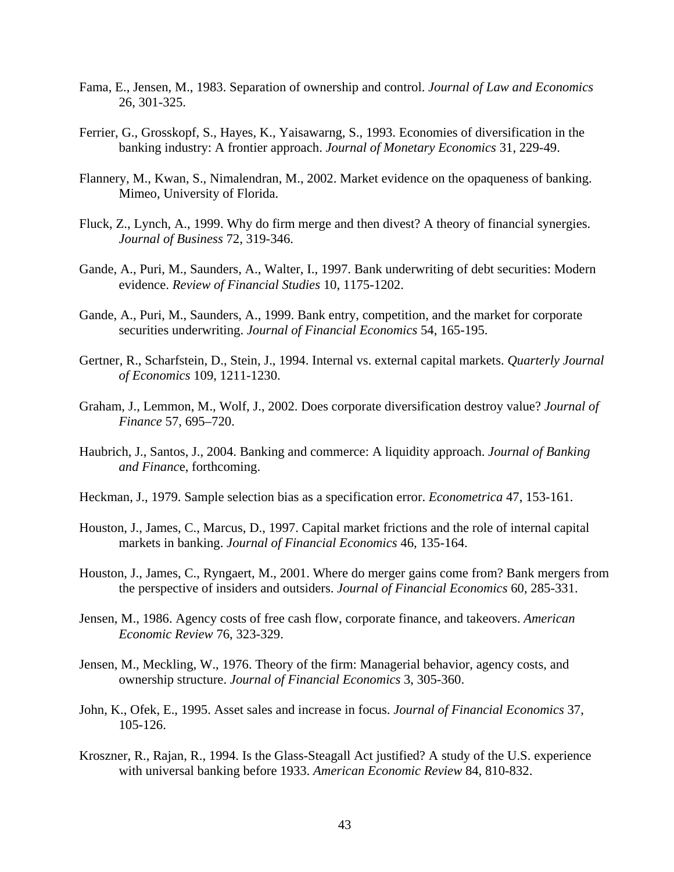- Fama, E., Jensen, M., 1983. Separation of ownership and control. *Journal of Law and Economics* 26, 301-325.
- Ferrier, G., Grosskopf, S., Hayes, K., Yaisawarng, S., 1993. Economies of diversification in the banking industry: A frontier approach. *Journal of Monetary Economics* 31, 229-49.
- Flannery, M., Kwan, S., Nimalendran, M., 2002. Market evidence on the opaqueness of banking. Mimeo, University of Florida.
- Fluck, Z., Lynch, A., 1999. Why do firm merge and then divest? A theory of financial synergies. *Journal of Business* 72, 319-346.
- Gande, A., Puri, M., Saunders, A., Walter, I., 1997. Bank underwriting of debt securities: Modern evidence. *Review of Financial Studies* 10, 1175-1202.
- Gande, A., Puri, M., Saunders, A., 1999. Bank entry, competition, and the market for corporate securities underwriting. *Journal of Financial Economics* 54, 165-195.
- Gertner, R., Scharfstein, D., Stein, J., 1994. Internal vs. external capital markets. *Quarterly Journal of Economics* 109, 1211-1230.
- Graham, J., Lemmon, M., Wolf, J., 2002. Does corporate diversification destroy value? *Journal of Finance* 57, 695–720.
- Haubrich, J., Santos, J., 2004. Banking and commerce: A liquidity approach. *Journal of Banking and Financ*e, forthcoming.
- Heckman, J., 1979. Sample selection bias as a specification error. *Econometrica* 47, 153-161.
- Houston, J., James, C., Marcus, D., 1997. Capital market frictions and the role of internal capital markets in banking. *Journal of Financial Economics* 46, 135-164.
- Houston, J., James, C., Ryngaert, M., 2001. Where do merger gains come from? Bank mergers from the perspective of insiders and outsiders. *Journal of Financial Economics* 60, 285-331.
- Jensen, M., 1986. Agency costs of free cash flow, corporate finance, and takeovers. *American Economic Review* 76, 323-329.
- Jensen, M., Meckling, W., 1976. Theory of the firm: Managerial behavior, agency costs, and ownership structure. *Journal of Financial Economics* 3, 305-360.
- John, K., Ofek, E., 1995. Asset sales and increase in focus. *Journal of Financial Economics* 37, 105-126.
- Kroszner, R., Rajan, R., 1994. Is the Glass-Steagall Act justified? A study of the U.S. experience with universal banking before 1933. *American Economic Review* 84, 810-832.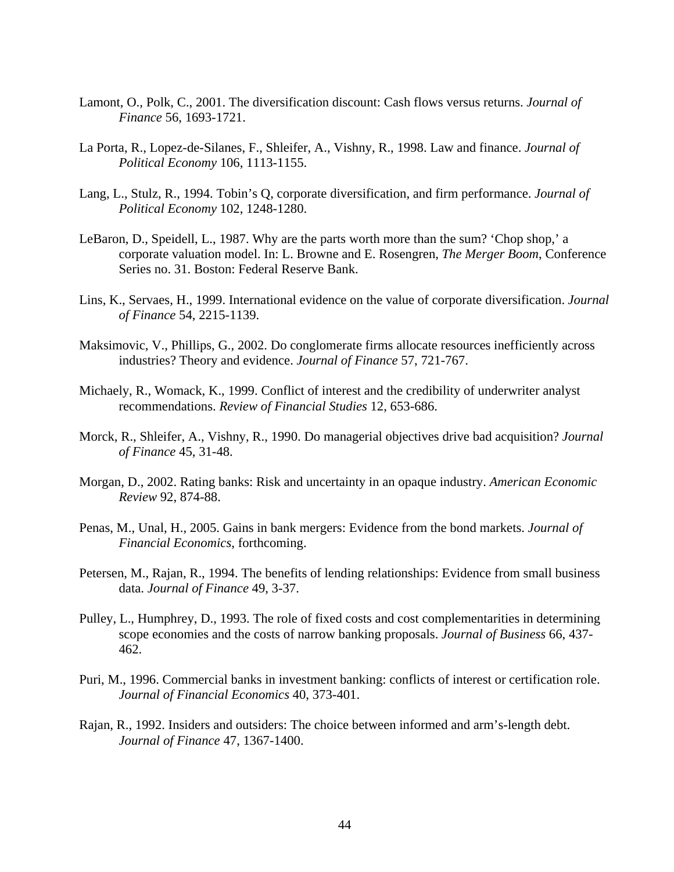- Lamont, O., Polk, C., 2001. The diversification discount: Cash flows versus returns. *Journal of Finance* 56, 1693-1721.
- La Porta, R., Lopez-de-Silanes, F., Shleifer, A., Vishny, R., 1998. Law and finance. *Journal of Political Economy* 106, 1113-1155.
- Lang, L., Stulz, R., 1994. Tobin's Q, corporate diversification, and firm performance. *Journal of Political Economy* 102, 1248-1280.
- LeBaron, D., Speidell, L., 1987. Why are the parts worth more than the sum? 'Chop shop,' a corporate valuation model. In: L. Browne and E. Rosengren, *The Merger Boom*, Conference Series no. 31. Boston: Federal Reserve Bank.
- Lins, K., Servaes, H., 1999. International evidence on the value of corporate diversification. *Journal of Finance* 54, 2215-1139.
- Maksimovic, V., Phillips, G., 2002. Do conglomerate firms allocate resources inefficiently across industries? Theory and evidence. *Journal of Finance* 57, 721-767.
- Michaely, R., Womack, K., 1999. Conflict of interest and the credibility of underwriter analyst recommendations. *Review of Financial Studies* 12, 653-686.
- Morck, R., Shleifer, A., Vishny, R., 1990. Do managerial objectives drive bad acquisition? *Journal of Finance* 45, 31-48.
- Morgan, D., 2002. Rating banks: Risk and uncertainty in an opaque industry. *American Economic Review* 92, 874-88.
- Penas, M., Unal, H., 2005. Gains in bank mergers: Evidence from the bond markets. *Journal of Financial Economics*, forthcoming.
- Petersen, M., Rajan, R., 1994. The benefits of lending relationships: Evidence from small business data. *Journal of Finance* 49, 3-37.
- Pulley, L., Humphrey, D., 1993. The role of fixed costs and cost complementarities in determining scope economies and the costs of narrow banking proposals. *Journal of Business* 66, 437- 462.
- Puri, M., 1996. Commercial banks in investment banking: conflicts of interest or certification role. *Journal of Financial Economics* 40, 373-401.
- Rajan, R., 1992. Insiders and outsiders: The choice between informed and arm's-length debt. *Journal of Finance* 47, 1367-1400.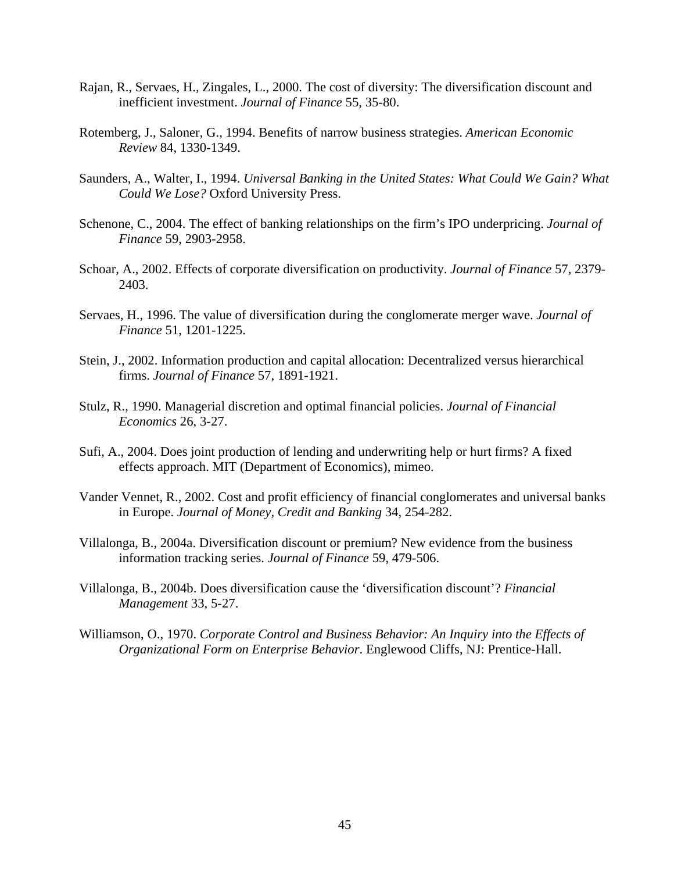- Rajan, R., Servaes, H., Zingales, L., 2000. The cost of diversity: The diversification discount and inefficient investment. *Journal of Finance* 55, 35-80.
- Rotemberg, J., Saloner, G., 1994. Benefits of narrow business strategies. *American Economic Review* 84, 1330-1349.
- Saunders, A., Walter, I., 1994. *Universal Banking in the United States: What Could We Gain? What Could We Lose?* Oxford University Press.
- Schenone, C., 2004. The effect of banking relationships on the firm's IPO underpricing. *Journal of Finance* 59, 2903-2958.
- Schoar, A., 2002. Effects of corporate diversification on productivity. *Journal of Finance* 57, 2379- 2403.
- Servaes, H., 1996. The value of diversification during the conglomerate merger wave. *Journal of Finance* 51, 1201-1225.
- Stein, J., 2002. Information production and capital allocation: Decentralized versus hierarchical firms. *Journal of Finance* 57, 1891-1921.
- Stulz, R., 1990. Managerial discretion and optimal financial policies. *Journal of Financial Economics* 26, 3-27.
- Sufi, A., 2004. Does joint production of lending and underwriting help or hurt firms? A fixed effects approach. MIT (Department of Economics), mimeo.
- Vander Vennet, R., 2002. Cost and profit efficiency of financial conglomerates and universal banks in Europe. *Journal of Money, Credit and Banking* 34, 254-282.
- Villalonga, B., 2004a. Diversification discount or premium? New evidence from the business information tracking series. *Journal of Finance* 59, 479-506.
- Villalonga, B., 2004b. Does diversification cause the 'diversification discount'? *Financial Management* 33, 5-27.
- Williamson, O., 1970. *Corporate Control and Business Behavior: An Inquiry into the Effects of Organizational Form on Enterprise Behavior*. Englewood Cliffs, NJ: Prentice-Hall.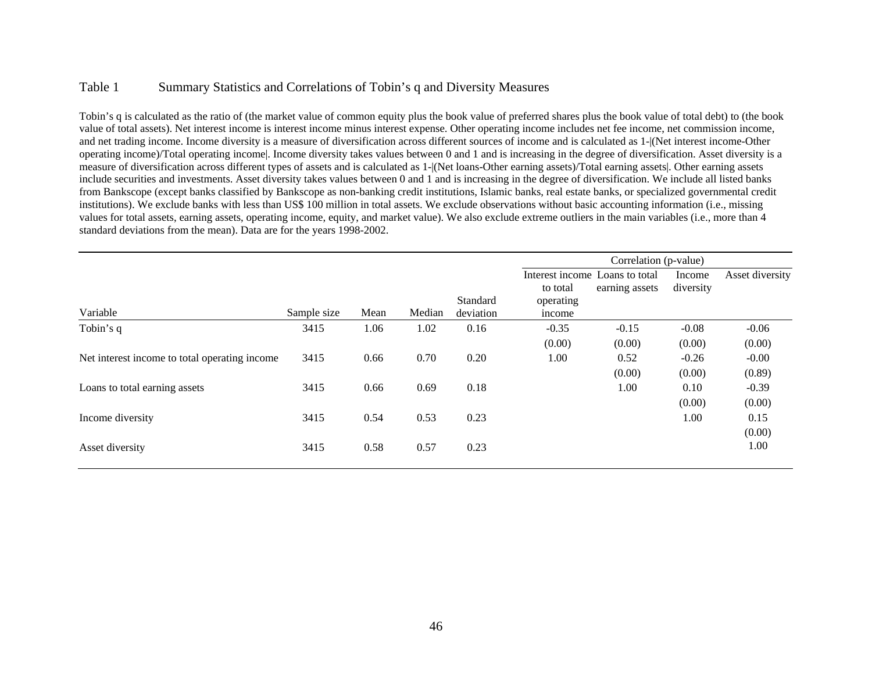#### Table 1Summary Statistics and Correlations of Tobin's q and Diversity Measures

Tobin's q is calculated as the ratio of (the market value of common equity plus the book value of preferred shares plus the book value of total debt) to (the book value of total assets). Net interest income is interest income minus interest expense. Other operating income includes net fee income, net commission income, and net trading income. Income diversity is a measure of diversification across different sources of income and is calculated as 1-|(Net interest income-Other operating income)/Total operating income|. Income diversity takes values between 0 and 1 and is increasing in the degree of diversification. Asset diversity is a measure of diversification across different types of assets and is calculated as 1-(Net loans-Other earning assets)/Total earning assets]. Other earning assets include securities and investments. Asset diversity takes values between 0 and 1 and is increasing in the degree of diversification. We include all listed banks from Bankscope (except banks classified by Bankscope as non-banking credit institutions, Islamic banks, real estate banks, or specialized governmental credit institutions). We exclude banks with less than US\$ 100 million in total assets. We exclude observations without basic accounting information (i.e., missing values for total assets, earning assets, operating income, equity, and market value). We also exclude extreme outliers in the main variables (i.e., more than 4 standard deviations from the mean). Data are for the years 1998-2002.

|                                               |             |      |        |                       | Correlation (p-value)           |                                                  |                     |                 |
|-----------------------------------------------|-------------|------|--------|-----------------------|---------------------------------|--------------------------------------------------|---------------------|-----------------|
| Variable                                      | Sample size | Mean | Median | Standard<br>deviation | to total<br>operating<br>income | Interest income Loans to total<br>earning assets | Income<br>diversity | Asset diversity |
| Tobin's q                                     | 3415        | 1.06 | 1.02   | 0.16                  | $-0.35$                         | $-0.15$                                          | $-0.08$             | $-0.06$         |
|                                               |             |      |        |                       | (0.00)                          | (0.00)                                           | (0.00)              | (0.00)          |
| Net interest income to total operating income | 3415        | 0.66 | 0.70   | 0.20                  | 1.00                            | 0.52                                             | $-0.26$             | $-0.00$         |
|                                               |             |      |        |                       |                                 | (0.00)                                           | (0.00)              | (0.89)          |
| Loans to total earning assets                 | 3415        | 0.66 | 0.69   | 0.18                  |                                 | 1.00                                             | 0.10                | $-0.39$         |
|                                               |             |      |        |                       |                                 |                                                  | (0.00)              | (0.00)          |
| Income diversity                              | 3415        | 0.54 | 0.53   | 0.23                  |                                 |                                                  | 1.00                | 0.15            |
|                                               |             |      |        |                       |                                 |                                                  |                     | (0.00)          |
| Asset diversity                               | 3415        | 0.58 | 0.57   | 0.23                  |                                 |                                                  |                     | 1.00            |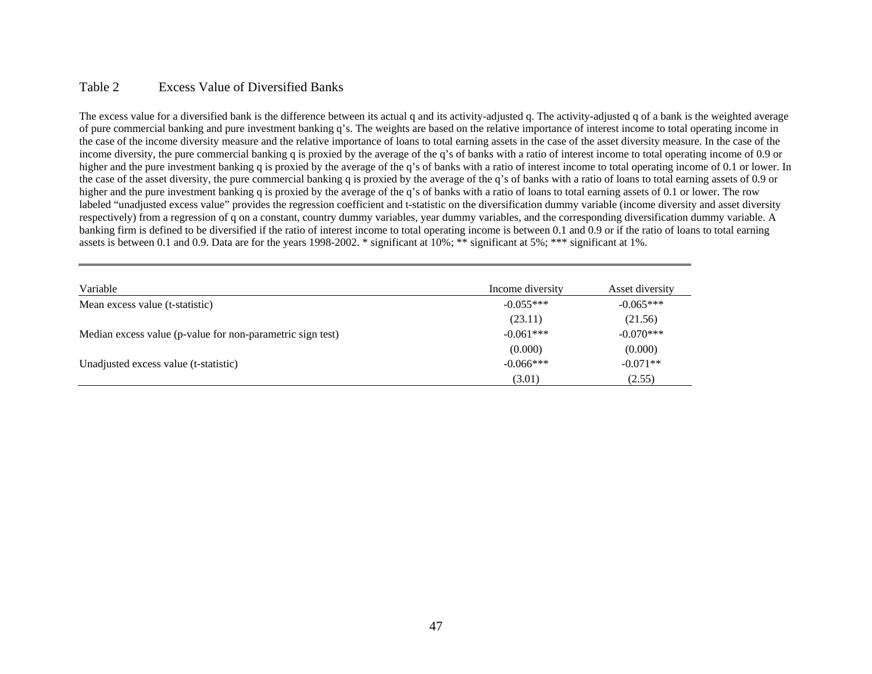#### Table 2 Excess Value of Diversified Banks

The excess value for a diversified bank is the difference between its actual q and its activity-adjusted q. The activity-adjusted q of a bank is the weighted average of pure commercial banking and pure investment banking q's. The weights are based on the relative importance of interest income to total operating income in the case of the income diversity measure and the relative importance of loans to total earning assets in the case of the asset diversity measure. In the case of the income diversity, the pure commercial banking q is proxied by the average of the q's of banks with a ratio of interest income to total operating income of 0.9 or higher and the pure investment banking q is proxied by the average of the q's of banks with a ratio of interest income to total operating income of 0.1 or lower. In the case of the asset diversity, the pure commercial banking q is proxied by the average of the q's of banks with a ratio of loans to total earning assets of 0.9 or higher and the pure investment banking q is proxied by the average of the q's of banks with a ratio of loans to total earning assets of 0.1 or lower. The row labeled "unadjusted excess value" provides the regression coefficient and t-statistic on the diversification dummy variable (income diversity and asset diversity respectively) from a regression of q on a constant, country dummy variables, year dummy variables, and the corresponding diversification dummy variable. A banking firm is defined to be diversified if the ratio of interest income to total operating income is between 0.1 and 0.9 or if the ratio of loans to total earning assets is between 0.1 and 0.9. Data are for the years 1998-2002. \* significant at 10%; \*\* significant at 5%; \*\*\* significant at 1%.

| Variable                                                   | Income diversity | Asset diversity |
|------------------------------------------------------------|------------------|-----------------|
| Mean excess value (t-statistic)                            | $-0.055***$      | $-0.065***$     |
|                                                            | (23.11)          | (21.56)         |
| Median excess value (p-value for non-parametric sign test) | $-0.061***$      | $-0.070***$     |
|                                                            | (0.000)          | (0.000)         |
| Unadjusted excess value (t-statistic)                      | $-0.066$ ***     | $-0.071**$      |
|                                                            | (3.01)           | (2.55)          |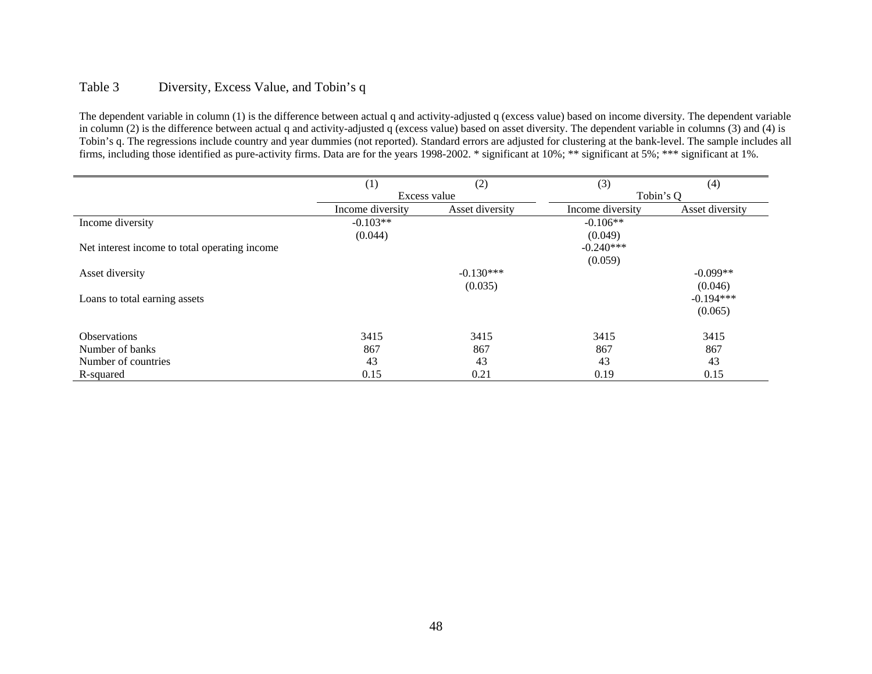#### Table 3 Diversity, Excess Value, and Tobin's q

The dependent variable in column (1) is the difference between actual q and activity-adjusted q (excess value) based on income diversity. The dependent variable in column (2) is the difference between actual q and activity-adjusted q (excess value) based on asset diversity. The dependent variable in columns (3) and (4) is Tobin's q. The regressions include country and year dummies (not reported). Standard errors are adjusted for clustering at the bank-level. The sample includes all firms, including those identified as pure-activity firms. Data are for the years 1998-2002. \* significant at 10%; \*\* significant at 5%; \*\*\* significant at 1%.

|                                               | (1)              | (2)             | (3)              | (4)             |
|-----------------------------------------------|------------------|-----------------|------------------|-----------------|
|                                               | Excess value     |                 | Tobin's Q        |                 |
|                                               | Income diversity | Asset diversity | Income diversity | Asset diversity |
| Income diversity                              | $-0.103**$       |                 | $-0.106**$       |                 |
|                                               | (0.044)          |                 | (0.049)          |                 |
| Net interest income to total operating income |                  |                 | $-0.240***$      |                 |
|                                               |                  |                 | (0.059)          |                 |
| Asset diversity                               |                  | $-0.130***$     |                  | $-0.099**$      |
|                                               |                  | (0.035)         |                  | (0.046)         |
| Loans to total earning assets                 |                  |                 |                  | $-0.194***$     |
|                                               |                  |                 |                  | (0.065)         |
| <b>Observations</b>                           | 3415             | 3415            | 3415             | 3415            |
| Number of banks                               | 867              | 867             | 867              | 867             |
| Number of countries                           | 43               | 43              | 43               | 43              |
| R-squared                                     | 0.15             | 0.21            | 0.19             | 0.15            |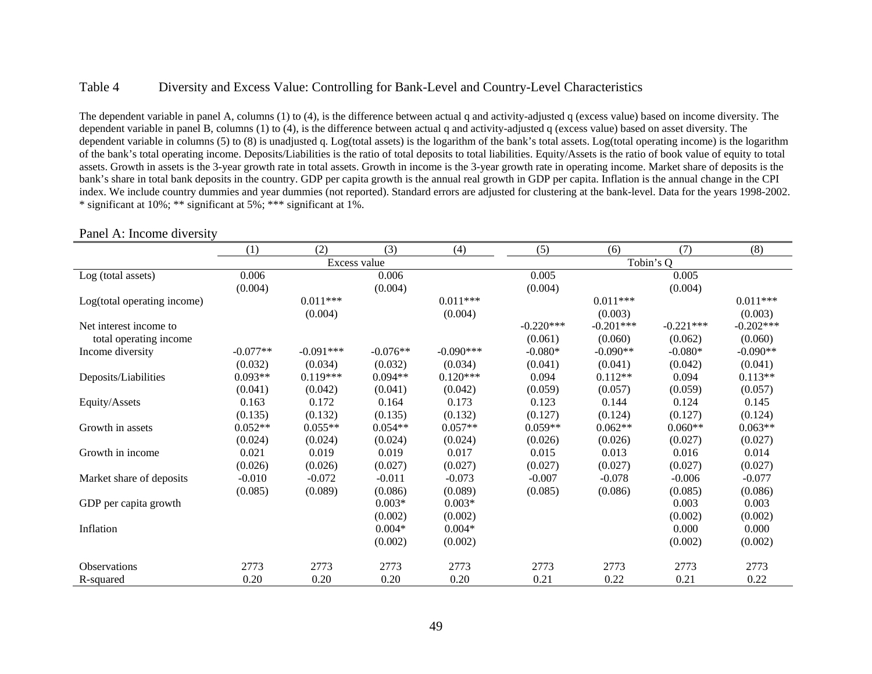#### Table 4 Diversity and Excess Value: Controlling for Bank-Level and Country-Level Characteristics

The dependent variable in panel A, columns (1) to (4), is the difference between actual q and activity-adjusted q (excess value) based on income diversity. The dependent variable in panel B, columns (1) to (4), is the difference between actual q and activity-adjusted q (excess value) based on asset diversity. The dependent variable in columns (5) to (8) is unadjusted q. Log(total assets) is the logarithm of the bank's total assets. Log(total operating income) is the logarithm of the bank's total operating income. Deposits/Liabilities is the ratio of total deposits to total liabilities. Equity/Assets is the ratio of book value of equity to total assets. Growth in assets is the 3-year growth rate in total assets. Growth in income is the 3-year growth rate in operating income. Market share of deposits is the bank's share in total bank deposits in the country. GDP per capita growth is the annual real growth in GDP per capita. Inflation is the annual change in the CPI index. We include country dummies and year dummies (not reported). Standard errors are adjusted for clustering at the bank-level. Data for the years 1998-2002. \* significant at 10%; \*\* significant at 5%; \*\*\* significant at 1%.

|                             | (1)        | (2)          | (3)        | (4)         | (5)         | (6)         | (7)         | (8)         |
|-----------------------------|------------|--------------|------------|-------------|-------------|-------------|-------------|-------------|
|                             |            | Excess value |            |             |             |             | Tobin's Q   |             |
| Log (total assets)          | 0.006      |              | 0.006      |             | 0.005       |             | 0.005       |             |
|                             | (0.004)    |              | (0.004)    |             | (0.004)     |             | (0.004)     |             |
| Log(total operating income) |            | $0.011***$   |            | $0.011***$  |             | $0.011***$  |             | $0.011***$  |
|                             |            | (0.004)      |            | (0.004)     |             | (0.003)     |             | (0.003)     |
| Net interest income to      |            |              |            |             | $-0.220***$ | $-0.201***$ | $-0.221***$ | $-0.202***$ |
| total operating income      |            |              |            |             | (0.061)     | (0.060)     | (0.062)     | (0.060)     |
| Income diversity            | $-0.077**$ | $-0.091***$  | $-0.076**$ | $-0.090***$ | $-0.080*$   | $-0.090**$  | $-0.080*$   | $-0.090**$  |
|                             | (0.032)    | (0.034)      | (0.032)    | (0.034)     | (0.041)     | (0.041)     | (0.042)     | (0.041)     |
| Deposits/Liabilities        | $0.093**$  | $0.119***$   | $0.094**$  | $0.120***$  | 0.094       | $0.112**$   | 0.094       | $0.113**$   |
|                             | (0.041)    | (0.042)      | (0.041)    | (0.042)     | (0.059)     | (0.057)     | (0.059)     | (0.057)     |
| Equity/Assets               | 0.163      | 0.172        | 0.164      | 0.173       | 0.123       | 0.144       | 0.124       | 0.145       |
|                             | (0.135)    | (0.132)      | (0.135)    | (0.132)     | (0.127)     | (0.124)     | (0.127)     | (0.124)     |
| Growth in assets            | $0.052**$  | $0.055**$    | $0.054**$  | $0.057**$   | $0.059**$   | $0.062**$   | $0.060**$   | $0.063**$   |
|                             | (0.024)    | (0.024)      | (0.024)    | (0.024)     | (0.026)     | (0.026)     | (0.027)     | (0.027)     |
| Growth in income            | 0.021      | 0.019        | 0.019      | 0.017       | 0.015       | 0.013       | 0.016       | 0.014       |
|                             | (0.026)    | (0.026)      | (0.027)    | (0.027)     | (0.027)     | (0.027)     | (0.027)     | (0.027)     |
| Market share of deposits    | $-0.010$   | $-0.072$     | $-0.011$   | $-0.073$    | $-0.007$    | $-0.078$    | $-0.006$    | $-0.077$    |
|                             | (0.085)    | (0.089)      | (0.086)    | (0.089)     | (0.085)     | (0.086)     | (0.085)     | (0.086)     |
| GDP per capita growth       |            |              | $0.003*$   | $0.003*$    |             |             | 0.003       | 0.003       |
|                             |            |              | (0.002)    | (0.002)     |             |             | (0.002)     | (0.002)     |
| Inflation                   |            |              | $0.004*$   | $0.004*$    |             |             | 0.000       | 0.000       |
|                             |            |              | (0.002)    | (0.002)     |             |             | (0.002)     | (0.002)     |
| <b>Observations</b>         | 2773       | 2773         | 2773       | 2773        | 2773        | 2773        | 2773        | 2773        |
| R-squared                   | 0.20       | 0.20         | 0.20       | 0.20        | 0.21        | 0.22        | 0.21        | 0.22        |

#### Panel A: Income diversity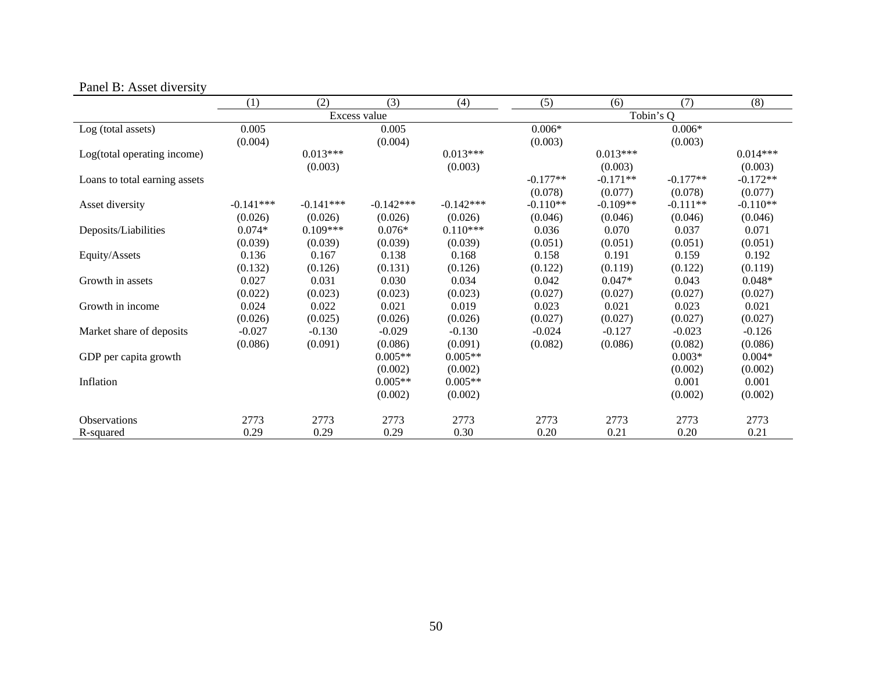|                               | (1)         | (2)         | (3)          | (4)         | (5)        | (6)        | (7)        | (8)        |
|-------------------------------|-------------|-------------|--------------|-------------|------------|------------|------------|------------|
|                               |             |             | Excess value |             |            |            | Tobin's Q  |            |
| Log (total assets)            | 0.005       |             | 0.005        |             | $0.006*$   |            | $0.006*$   |            |
|                               | (0.004)     |             | (0.004)      |             | (0.003)    |            | (0.003)    |            |
| Log(total operating income)   |             | $0.013***$  |              | $0.013***$  |            | $0.013***$ |            | $0.014***$ |
|                               |             | (0.003)     |              | (0.003)     |            | (0.003)    |            | (0.003)    |
| Loans to total earning assets |             |             |              |             | $-0.177**$ | $-0.171**$ | $-0.177**$ | $-0.172**$ |
|                               |             |             |              |             | (0.078)    | (0.077)    | (0.078)    | (0.077)    |
| Asset diversity               | $-0.141***$ | $-0.141***$ | $-0.142***$  | $-0.142***$ | $-0.110**$ | $-0.109**$ | $-0.111**$ | $-0.110**$ |
|                               | (0.026)     | (0.026)     | (0.026)      | (0.026)     | (0.046)    | (0.046)    | (0.046)    | (0.046)    |
| Deposits/Liabilities          | $0.074*$    | $0.109***$  | $0.076*$     | $0.110***$  | 0.036      | 0.070      | 0.037      | 0.071      |
|                               | (0.039)     | (0.039)     | (0.039)      | (0.039)     | (0.051)    | (0.051)    | (0.051)    | (0.051)    |
| Equity/Assets                 | 0.136       | 0.167       | 0.138        | 0.168       | 0.158      | 0.191      | 0.159      | 0.192      |
|                               | (0.132)     | (0.126)     | (0.131)      | (0.126)     | (0.122)    | (0.119)    | (0.122)    | (0.119)    |
| Growth in assets              | 0.027       | 0.031       | 0.030        | 0.034       | 0.042      | $0.047*$   | 0.043      | $0.048*$   |
|                               | (0.022)     | (0.023)     | (0.023)      | (0.023)     | (0.027)    | (0.027)    | (0.027)    | (0.027)    |
| Growth in income              | 0.024       | 0.022       | 0.021        | 0.019       | 0.023      | 0.021      | 0.023      | 0.021      |
|                               | (0.026)     | (0.025)     | (0.026)      | (0.026)     | (0.027)    | (0.027)    | (0.027)    | (0.027)    |
| Market share of deposits      | $-0.027$    | $-0.130$    | $-0.029$     | $-0.130$    | $-0.024$   | $-0.127$   | $-0.023$   | $-0.126$   |
|                               | (0.086)     | (0.091)     | (0.086)      | (0.091)     | (0.082)    | (0.086)    | (0.082)    | (0.086)    |
| GDP per capita growth         |             |             | $0.005**$    | $0.005**$   |            |            | $0.003*$   | $0.004*$   |
|                               |             |             | (0.002)      | (0.002)     |            |            | (0.002)    | (0.002)    |
| Inflation                     |             |             | $0.005**$    | $0.005**$   |            |            | 0.001      | 0.001      |
|                               |             |             | (0.002)      | (0.002)     |            |            | (0.002)    | (0.002)    |
| <b>Observations</b>           | 2773        | 2773        | 2773         | 2773        | 2773       | 2773       | 2773       | 2773       |
| R-squared                     | 0.29        | 0.29        | 0.29         | 0.30        | 0.20       | 0.21       | 0.20       | 0.21       |

#### Panel B: Asset diversity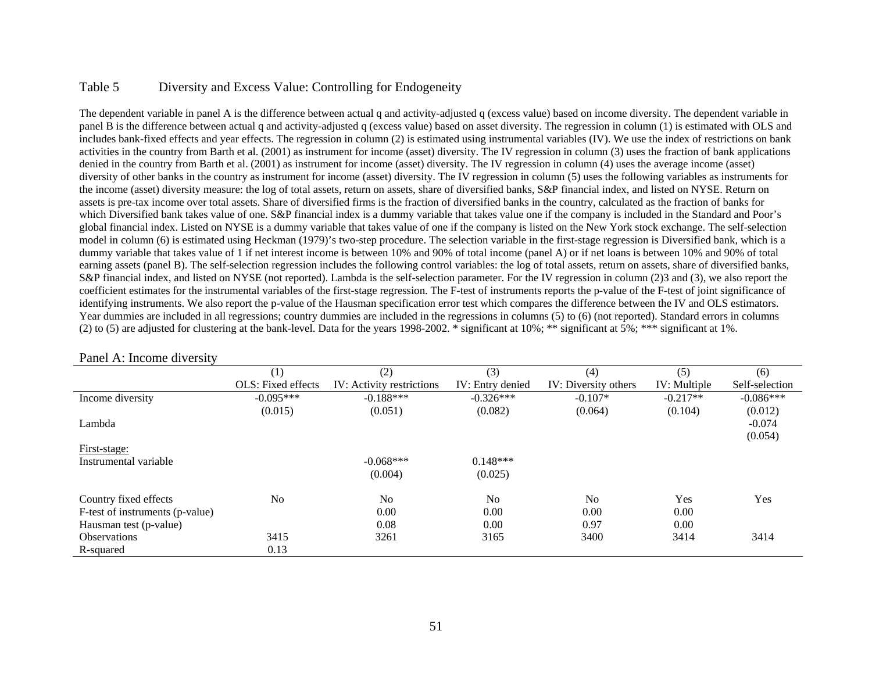#### Table 5 Diversity and Excess Value: Controlling for Endogeneity

The dependent variable in panel A is the difference between actual q and activity-adjusted q (excess value) based on income diversity. The dependent variable in panel B is the difference between actual q and activity-adjusted q (excess value) based on asset diversity. The regression in column (1) is estimated with OLS and includes bank-fixed effects and year effects. The regression in column (2) is estimated using instrumental variables (IV). We use the index of restrictions on bank activities in the country from Barth et al. (2001) as instrument for income (asset) diversity. The IV regression in column (3) uses the fraction of bank applications denied in the country from Barth et al. (2001) as instrument for income (asset) diversity. The IV regression in column (4) uses the average income (asset) diversity of other banks in the country as instrument for income (asset) diversity. The IV regression in column (5) uses the following variables as instruments for the income (asset) diversity measure: the log of total assets, return on assets, share of diversified banks, S&P financial index, and listed on NYSE. Return on assets is pre-tax income over total assets. Share of diversified firms is the fraction of diversified banks in the country, calculated as the fraction of banks for which Diversified bank takes value of one. S&P financial index is a dummy variable that takes value one if the company is included in the Standard and Poor's global financial index. Listed on NYSE is a dummy variable that takes value of one if the company is listed on the New York stock exchange. The self-selection model in column (6) is estimated using Heckman (1979)'s two-step procedure. The selection variable in the first-stage regression is Diversified bank, which is a dummy variable that takes value of 1 if net interest income is between 10% and 90% of total income (panel A) or if net loans is between 10% and 90% of total earning assets (panel B). The self-selection regression includes the following control variables: the log of total assets, return on assets, share of diversified banks, S&P financial index, and listed on NYSE (not reported). Lambda is the self-selection parameter. For the IV regression in column (2)3 and (3), we also report the coefficient estimates for the instrumental variables of the first-stage regression. The F-test of instruments reports the p-value of the F-test of joint significance of identifying instruments. We also report the p-value of the Hausman specification error test which compares the difference between the IV and OLS estimators. Year dummies are included in all regressions; country dummies are included in the regressions in columns (5) to (6) (not reported). Standard errors in columns (2) to (5) are adjusted for clustering at the bank-level. Data for the years 1998-2002. \* significant at 10%; \*\* significant at 5%; \*\*\* significant at 1%.

|                                 | (1)                | (2)                       | (3)              | (4)                  | (5)          | (6)            |
|---------------------------------|--------------------|---------------------------|------------------|----------------------|--------------|----------------|
|                                 | OLS: Fixed effects | IV: Activity restrictions | IV: Entry denied | IV: Diversity others | IV: Multiple | Self-selection |
| Income diversity                | $-0.095***$        | $-0.188***$               | $-0.326***$      | $-0.107*$            | $-0.217**$   | $-0.086***$    |
|                                 | (0.015)            | (0.051)                   | (0.082)          | (0.064)              | (0.104)      | (0.012)        |
| Lambda                          |                    |                           |                  |                      |              | $-0.074$       |
|                                 |                    |                           |                  |                      |              | (0.054)        |
| First-stage:                    |                    |                           |                  |                      |              |                |
| Instrumental variable           |                    | $-0.068***$               | $0.148***$       |                      |              |                |
|                                 |                    | (0.004)                   | (0.025)          |                      |              |                |
| Country fixed effects           | N <sub>0</sub>     | N <sub>0</sub>            | No               | N <sub>o</sub>       | Yes          | Yes            |
| F-test of instruments (p-value) |                    | 0.00                      | 0.00             | 0.00                 | 0.00         |                |
| Hausman test (p-value)          |                    | 0.08                      | 0.00             | 0.97                 | 0.00         |                |
| <b>Observations</b>             | 3415               | 3261                      | 3165             | 3400                 | 3414         | 3414           |
| R-squared                       | 0.13               |                           |                  |                      |              |                |

Panel A: Income diversity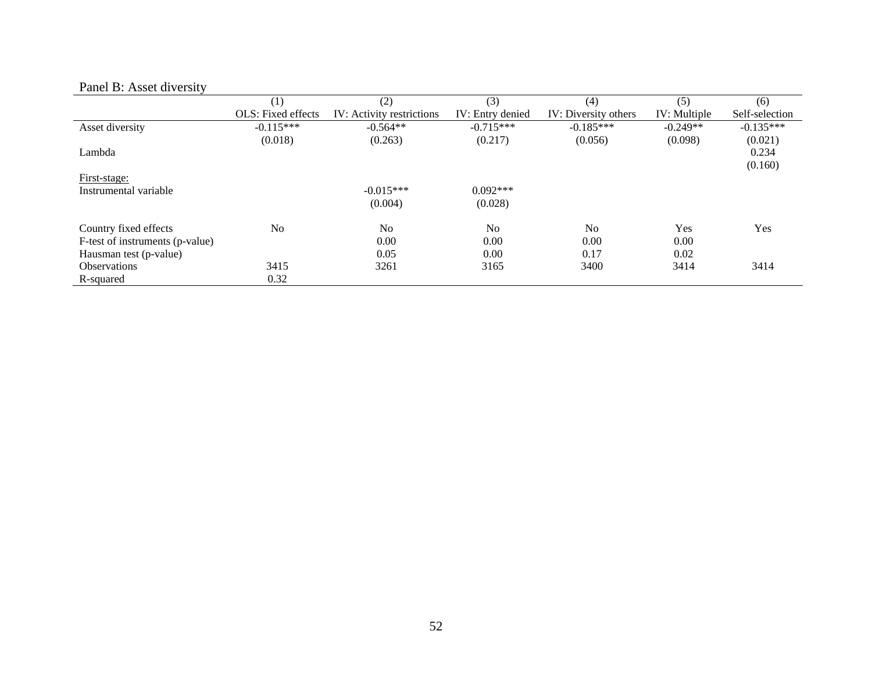|                                 | (1)                | (2)                       | (3)              | (4)                  | (5)          | (6)            |
|---------------------------------|--------------------|---------------------------|------------------|----------------------|--------------|----------------|
|                                 | OLS: Fixed effects | IV: Activity restrictions | IV: Entry denied | IV: Diversity others | IV: Multiple | Self-selection |
| Asset diversity                 | $-0.115***$        | $-0.564**$                | $-0.715***$      | $-0.185***$          | $-0.249**$   | $-0.135***$    |
|                                 | (0.018)            | (0.263)                   | (0.217)          | (0.056)              | (0.098)      | (0.021)        |
| Lambda                          |                    |                           |                  |                      |              | 0.234          |
|                                 |                    |                           |                  |                      |              | (0.160)        |
| First-stage:                    |                    |                           |                  |                      |              |                |
| Instrumental variable           |                    | $-0.015***$               | $0.092***$       |                      |              |                |
|                                 |                    | (0.004)                   | (0.028)          |                      |              |                |
| Country fixed effects           | No                 | No                        | N <sub>0</sub>   | N <sub>0</sub>       | Yes          | Yes            |
| F-test of instruments (p-value) |                    | 0.00                      | 0.00             | 0.00                 | 0.00         |                |
| Hausman test (p-value)          |                    | 0.05                      | 0.00             | 0.17                 | 0.02         |                |
| <b>Observations</b>             | 3415               | 3261                      | 3165             | 3400                 | 3414         | 3414           |
| R-squared                       | 0.32               |                           |                  |                      |              |                |

#### Panel B: Asset diversity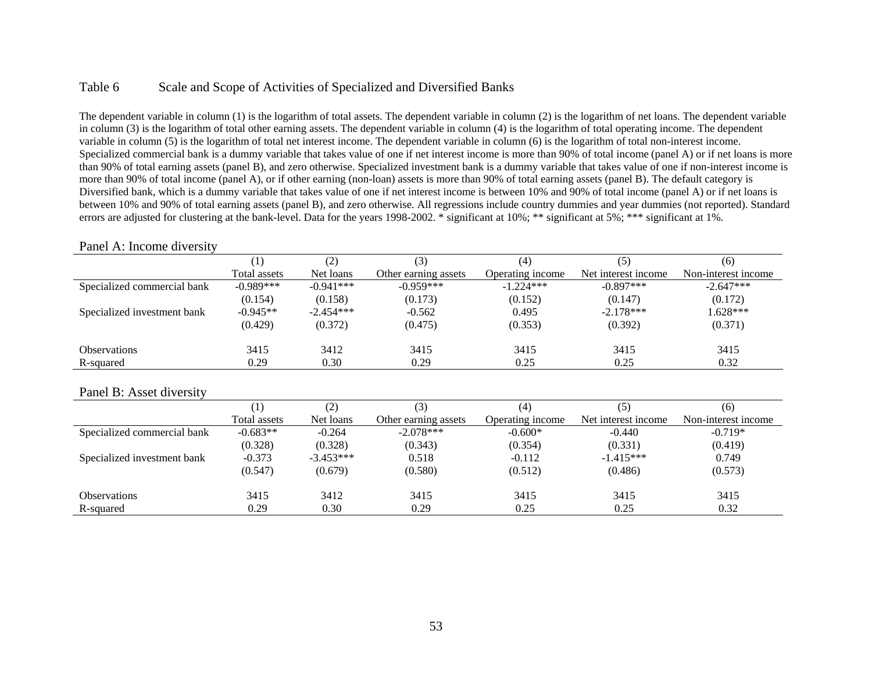#### Table 6 Scale and Scope of Activities of Specialized and Diversified Banks

The dependent variable in column (1) is the logarithm of total assets. The dependent variable in column (2) is the logarithm of net loans. The dependent variable in column (3) is the logarithm of total other earning assets. The dependent variable in column (4) is the logarithm of total operating income. The dependent variable in column (5) is the logarithm of total net interest income. The dependent variable in column (6) is the logarithm of total non-interest income. Specialized commercial bank is a dummy variable that takes value of one if net interest income is more than 90% of total income (panel A) or if net loans is more than 90% of total earning assets (panel B), and zero otherwise. Specialized investment bank is a dummy variable that takes value of one if non-interest income is more than 90% of total income (panel A), or if other earning (non-loan) assets is more than 90% of total earning assets (panel B). The default category is Diversified bank, which is a dummy variable that takes value of one if net interest income is between 10% and 90% of total income (panel A) or if net loans is between 10% and 90% of total earning assets (panel B), and zero otherwise. All regressions include country dummies and year dummies (not reported). Standard errors are adjusted for clustering at the bank-level. Data for the years 1998-2002. \* significant at 10%; \*\* significant at 5%; \*\*\* significant at 1%.

| I and TV. Income al verbity |              |             |                      |                  |                     |                     |
|-----------------------------|--------------|-------------|----------------------|------------------|---------------------|---------------------|
|                             | $\perp$      | (2)         | (3)                  | (4)              | (5)                 | (6)                 |
|                             | Total assets | Net loans   | Other earning assets | Operating income | Net interest income | Non-interest income |
| Specialized commercial bank | $-0.989***$  | $-0.941***$ | $-0.959***$          | $-1.224***$      | $-0.897***$         | $-2.647***$         |
|                             | (0.154)      | (0.158)     | (0.173)              | (0.152)          | (0.147)             | (0.172)             |
| Specialized investment bank | $-0.945**$   | $-2.454***$ | $-0.562$             | 0.495            | $-2.178***$         | $1.628***$          |
|                             | (0.429)      | (0.372)     | (0.475)              | (0.353)          | (0.392)             | (0.371)             |
| <b>Observations</b>         | 3415         | 3412        | 3415                 | 3415             | 3415                | 3415                |
| R-squared                   | 0.29         | 0.30        | 0.29                 | 0.25             | 0.25                | 0.32                |
|                             |              |             |                      |                  |                     |                     |

#### Panel A: Income diversity

#### Panel B: Asset diversity

|                             |              | (2)         | (3)                  | (4)              | [5]                 | (6)                 |
|-----------------------------|--------------|-------------|----------------------|------------------|---------------------|---------------------|
|                             | Total assets | Net loans   | Other earning assets | Operating income | Net interest income | Non-interest income |
| Specialized commercial bank | $-0.683**$   | $-0.264$    | $-2.078***$          | $-0.600*$        | $-0.440$            | $-0.719*$           |
|                             | (0.328)      | (0.328)     | (0.343)              | (0.354)          | (0.331)             | (0.419)             |
| Specialized investment bank | $-0.373$     | $-3.453***$ | 0.518                | $-0.112$         | $-1.415***$         | 0.749               |
|                             | (0.547)      | (0.679)     | (0.580)              | (0.512)          | (0.486)             | (0.573)             |
| <b>Observations</b>         | 3415         | 3412        | 3415                 | 3415             | 3415                | 3415                |
| R-squared                   | 0.29         | 0.30        | 0.29                 | 0.25             | 0.25                | 0.32                |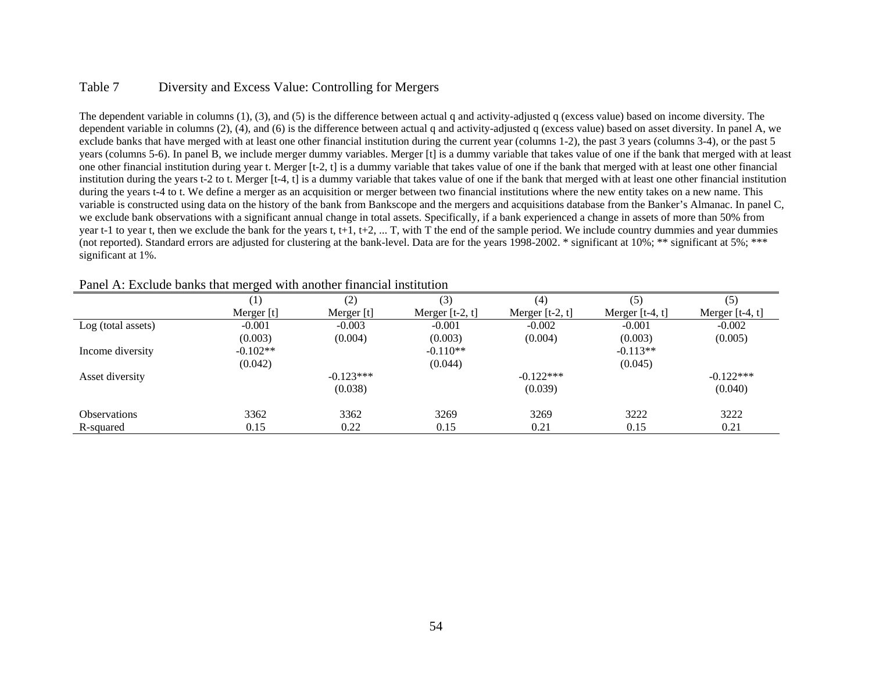#### Table 7 Diversity and Excess Value: Controlling for Mergers

The dependent variable in columns (1), (3), and (5) is the difference between actual q and activity-adjusted q (excess value) based on income diversity. The dependent variable in columns (2), (4), and (6) is the difference between actual q and activity-adjusted q (excess value) based on asset diversity. In panel A, we exclude banks that have merged with at least one other financial institution during the current year (columns 1-2), the past 3 years (columns 3-4), or the past 5 years (columns 5-6). In panel B, we include merger dummy variables. Merger [t] is a dummy variable that takes value of one if the bank that merged with at least one other financial institution during year t. Merger [t-2, t] is a dummy variable that takes value of one if the bank that merged with at least one other financial institution during the years t-2 to t. Merger [t-4, t] is a dummy variable that takes value of one if the bank that merged with at least one other financial institution during the years t-4 to t. We define a merger as an acquisition or merger between two financial institutions where the new entity takes on a new name. This variable is constructed using data on the history of the bank from Bankscope and the mergers and acquisitions database from the Banker's Almanac. In panel C, we exclude bank observations with a significant annual change in total assets. Specifically, if a bank experienced a change in assets of more than 50% from year t-1 to year t, then we exclude the bank for the years t,  $t+1$ ,  $t+2$ ,  $\dots$  T, with T the end of the sample period. We include country dummies and year dummies (not reported). Standard errors are adjusted for clustering at the bank-level. Data are for the years 1998-2002. \* significant at 10%; \*\* significant at 5%; \*\*\* significant at 1%.

|                     |            | (2)         | 3)                | (4)               | (5)               | (5)               |
|---------------------|------------|-------------|-------------------|-------------------|-------------------|-------------------|
|                     | Merger [t] | Merger [t]  | Merger $[t-2, t]$ | Merger $[t-2, t]$ | Merger $[t-4, t]$ | Merger $[t-4, t]$ |
| Log (total assets)  | $-0.001$   | $-0.003$    | $-0.001$          | $-0.002$          | $-0.001$          | $-0.002$          |
|                     | (0.003)    | (0.004)     | (0.003)           | (0.004)           | (0.003)           | (0.005)           |
| Income diversity    | $-0.102**$ |             | $-0.110**$        |                   | $-0.113**$        |                   |
|                     | (0.042)    |             | (0.044)           |                   | (0.045)           |                   |
| Asset diversity     |            | $-0.123***$ |                   | $-0.122***$       |                   | $-0.122***$       |
|                     |            | (0.038)     |                   | (0.039)           |                   | (0.040)           |
| <b>Observations</b> | 3362       | 3362        | 3269              | 3269              | 3222              | 3222              |
| R-squared           | 0.15       | 0.22        | 0.15              | 0.21              | 0.15              | 0.21              |

#### Panel A: Exclude banks that merged with another financial institution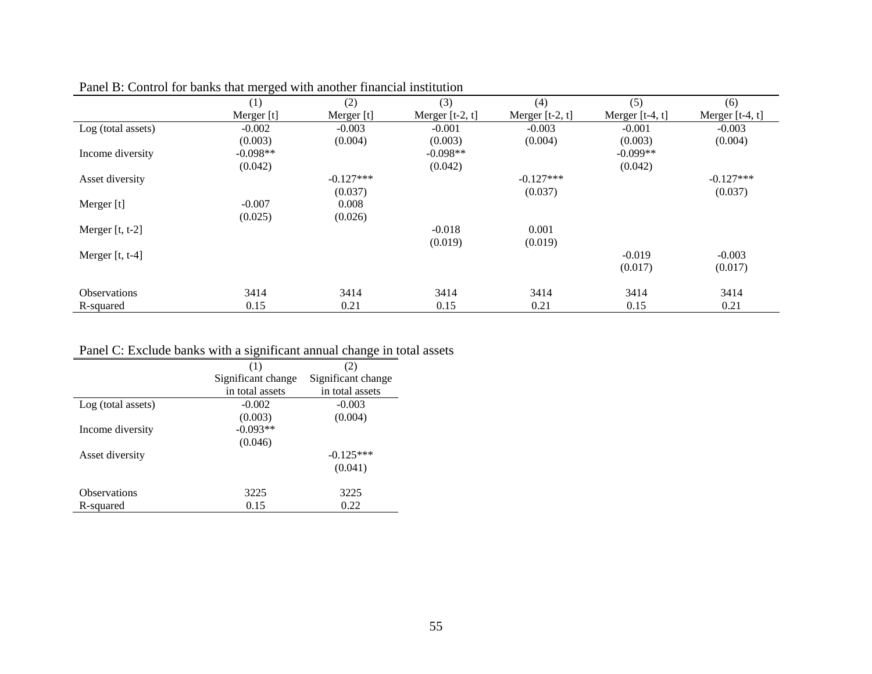|                     | (1)        | (2)         | (3)               | (4)               | (5)               | (6)               |
|---------------------|------------|-------------|-------------------|-------------------|-------------------|-------------------|
|                     | Merger [t] | Merger [t]  | Merger $[t-2, t]$ | Merger $[t-2, t]$ | Merger $[t-4, t]$ | Merger $[t-4, t]$ |
| Log (total assets)  | $-0.002$   | $-0.003$    | $-0.001$          | $-0.003$          | $-0.001$          | $-0.003$          |
|                     | (0.003)    | (0.004)     | (0.003)           | (0.004)           | (0.003)           | (0.004)           |
| Income diversity    | $-0.098**$ |             | $-0.098**$        |                   | $-0.099**$        |                   |
|                     | (0.042)    |             | (0.042)           |                   | (0.042)           |                   |
| Asset diversity     |            | $-0.127***$ |                   | $-0.127***$       |                   | $-0.127***$       |
|                     |            | (0.037)     |                   | (0.037)           |                   | (0.037)           |
| Merger [t]          | $-0.007$   | 0.008       |                   |                   |                   |                   |
|                     | (0.025)    | (0.026)     |                   |                   |                   |                   |
| Merger $[t, t-2]$   |            |             | $-0.018$          | 0.001             |                   |                   |
|                     |            |             | (0.019)           | (0.019)           |                   |                   |
| Merger [t, t-4]     |            |             |                   |                   | $-0.019$          | $-0.003$          |
|                     |            |             |                   |                   | (0.017)           | (0.017)           |
| <b>Observations</b> | 3414       | 3414        | 3414              | 3414              | 3414              | 3414              |
| R-squared           | 0.15       | 0.21        | 0.15              | 0.21              | 0.15              | 0.21              |

Panel B: Control for banks that merged with another financial institution

## Panel C: Exclude banks with a significant annual change in total assets

|                     | (1)                | (2)                |
|---------------------|--------------------|--------------------|
|                     | Significant change | Significant change |
|                     | in total assets    | in total assets    |
| Log (total assets)  | $-0.002$           | $-0.003$           |
|                     | (0.003)            | (0.004)            |
| Income diversity    | $-0.093**$         |                    |
|                     | (0.046)            |                    |
| Asset diversity     |                    | $-0.125***$        |
|                     |                    | (0.041)            |
| <b>Observations</b> | 3225               | 3225               |
| R-squared           | 0.15               | 0.22               |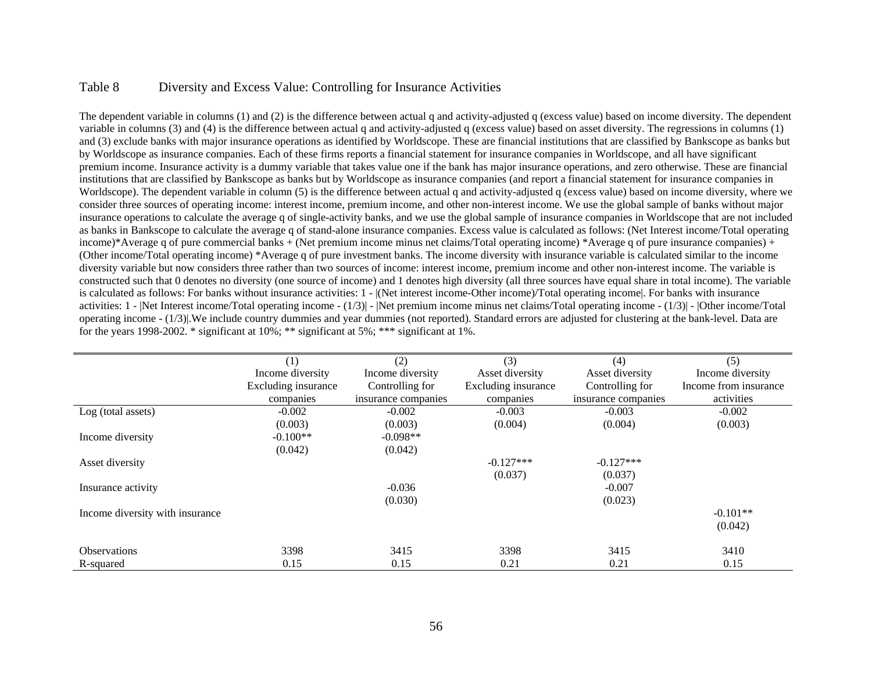#### Table 8 Diversity and Excess Value: Controlling for Insurance Activities

The dependent variable in columns (1) and (2) is the difference between actual q and activity-adjusted q (excess value) based on income diversity. The dependent variable in columns (3) and (4) is the difference between actual q and activity-adjusted q (excess value) based on asset diversity. The regressions in columns (1) and (3) exclude banks with major insurance operations as identified by Worldscope. These are financial institutions that are classified by Bankscope as banks but by Worldscope as insurance companies. Each of these firms reports a financial statement for insurance companies in Worldscope, and all have significant premium income. Insurance activity is a dummy variable that takes value one if the bank has major insurance operations, and zero otherwise. These are financial institutions that are classified by Bankscope as banks but by Worldscope as insurance companies (and report a financial statement for insurance companies in Worldscope). The dependent variable in column (5) is the difference between actual q and activity-adjusted q (excess value) based on income diversity, where we consider three sources of operating income: interest income, premium income, and other non-interest income. We use the global sample of banks without major insurance operations to calculate the average q of single-activity banks, and we use the global sample of insurance companies in Worldscope that are not included as banks in Bankscope to calculate the average q of stand-alone insurance companies. Excess value is calculated as follows: (Net Interest income/Total operating income)\*Average q of pure commercial banks + (Net premium income minus net claims/Total operating income) \*Average q of pure insurance companies) + (Other income/Total operating income) \*Average q of pure investment banks. The income diversity with insurance variable is calculated similar to the income diversity variable but now considers three rather than two sources of income: interest income, premium income and other non-interest income. The variable is constructed such that 0 denotes no diversity (one source of income) and 1 denotes high diversity (all three sources have equal share in total income). The variable is calculated as follows: For banks without insurance activities: 1 - |(Net interest income-Other income)/Total operating income|. For banks with insurance activities: 1 - |Net Interest income/Total operating income - (1/3)| - |Net premium income minus net claims/Total operating income - (1/3)| - |Other income/Total operating income - (1/3)|.We include country dummies and year dummies (not reported). Standard errors are adjusted for clustering at the bank-level. Data are for the years 1998-2002. \* significant at 10%; \*\* significant at 5%; \*\*\* significant at 1%.

|                                 | (1)                 | (2)                 | (3)                 | (4)                 | (5)                   |
|---------------------------------|---------------------|---------------------|---------------------|---------------------|-----------------------|
|                                 | Income diversity    | Income diversity    | Asset diversity     | Asset diversity     | Income diversity      |
|                                 | Excluding insurance | Controlling for     | Excluding insurance | Controlling for     | Income from insurance |
|                                 | companies           | insurance companies | companies           | insurance companies | activities            |
| Log (total assets)              | $-0.002$            | $-0.002$            | $-0.003$            | $-0.003$            | $-0.002$              |
|                                 | (0.003)             | (0.003)             | (0.004)             | (0.004)             | (0.003)               |
| Income diversity                | $-0.100**$          | $-0.098**$          |                     |                     |                       |
|                                 | (0.042)             | (0.042)             |                     |                     |                       |
| Asset diversity                 |                     |                     | $-0.127***$         | $-0.127***$         |                       |
|                                 |                     |                     | (0.037)             | (0.037)             |                       |
| Insurance activity              |                     | $-0.036$            |                     | $-0.007$            |                       |
|                                 |                     | (0.030)             |                     | (0.023)             |                       |
| Income diversity with insurance |                     |                     |                     |                     | $-0.101**$            |
|                                 |                     |                     |                     |                     | (0.042)               |
| <b>Observations</b>             | 3398                | 3415                | 3398                | 3415                | 3410                  |
| R-squared                       | 0.15                | 0.15                | 0.21                | 0.21                | 0.15                  |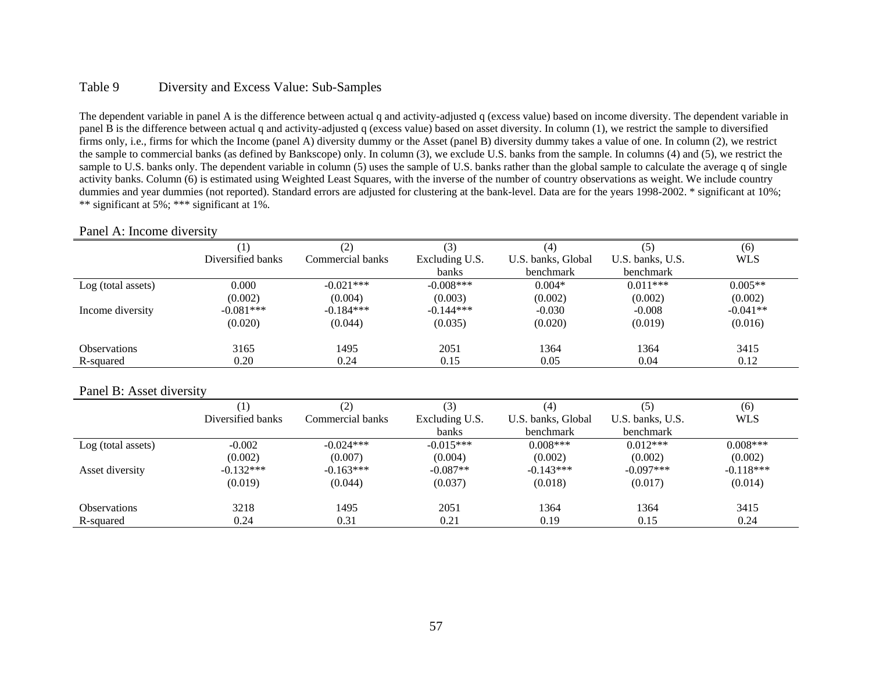#### Table 9 Diversity and Excess Value: Sub-Samples

3218

The dependent variable in panel A is the difference between actual q and activity-adjusted q (excess value) based on income diversity. The dependent variable in panel B is the difference between actual q and activity-adjusted q (excess value) based on asset diversity. In column (1), we restrict the sample to diversified firms only, i.e., firms for which the Income (panel A) diversity dummy or the Asset (panel B) diversity dummy takes a value of one. In column (2), we restrict the sample to commercial banks (as defined by Bankscope) only. In column (3), we exclude U.S. banks from the sample. In columns (4) and (5), we restrict the sample to U.S. banks only. The dependent variable in column (5) uses the sample of U.S. banks rather than the global sample to calculate the average q of single activity banks. Column (6) is estimated using Weighted Least Squares, with the inverse of the number of country observations as weight. We include country dummies and year dummies (not reported). Standard errors are adjusted for clustering at the bank-level. Data are for the years 1998-2002. \* significant at 10%; \*\* significant at 5%; \*\*\* significant at 1%.

| I and Tx, moding any crisity |                   |                  |                |                    |                  |             |  |
|------------------------------|-------------------|------------------|----------------|--------------------|------------------|-------------|--|
|                              | (1)               | (2)              | (3)            | (4)                | (5)              | (6)         |  |
|                              | Diversified banks | Commercial banks | Excluding U.S. | U.S. banks, Global | U.S. banks, U.S. | <b>WLS</b>  |  |
|                              |                   |                  | banks          | benchmark          | benchmark        |             |  |
| Log (total assets)           | 0.000             | $-0.021***$      | $-0.008$ ***   | $0.004*$           | $0.011***$       | $0.005**$   |  |
|                              | (0.002)           | (0.004)          | (0.003)        | (0.002)            | (0.002)          | (0.002)     |  |
| Income diversity             | $-0.081***$       | $-0.184***$      | $-0.144***$    | $-0.030$           | $-0.008$         | $-0.041**$  |  |
|                              | (0.020)           | (0.044)          | (0.035)        | (0.020)            | (0.019)          | (0.016)     |  |
| <b>Observations</b>          | 3165              | 1495             | 2051           | 1364               | 1364             | 3415        |  |
| R-squared                    | 0.20              | 0.24             | 0.15           | 0.05               | 0.04             | 0.12        |  |
| Panel B: Asset diversity     |                   |                  |                |                    |                  |             |  |
|                              | (1)               | (2)              | (3)            | (4)                | (5)              | (6)         |  |
|                              | Diversified banks | Commercial banks | Excluding U.S. | U.S. banks, Global | U.S. banks, U.S. | <b>WLS</b>  |  |
|                              |                   |                  | banks          | benchmark          | benchmark        |             |  |
| Log (total assets)           | $-0.002$          | $-0.024***$      | $-0.015***$    | $0.008***$         | $0.012***$       | $0.008***$  |  |
|                              | (0.002)           | (0.007)          | (0.004)        | (0.002)            | (0.002)          | (0.002)     |  |
| Asset diversity              | $-0.132***$       | $-0.163***$      | $-0.087**$     | $-0.143***$        | $-0.097***$      | $-0.118***$ |  |
|                              | (0.019)           | (0.044)          | (0.037)        | (0.018)            | (0.017)          | (0.014)     |  |
|                              |                   |                  |                |                    |                  |             |  |

Panel A: Income diversity

**Observations** 

R-squared 0.24 0.31 0.21 0.19 0.15 0.24 0.24

1495 2051 1364 1364 3415